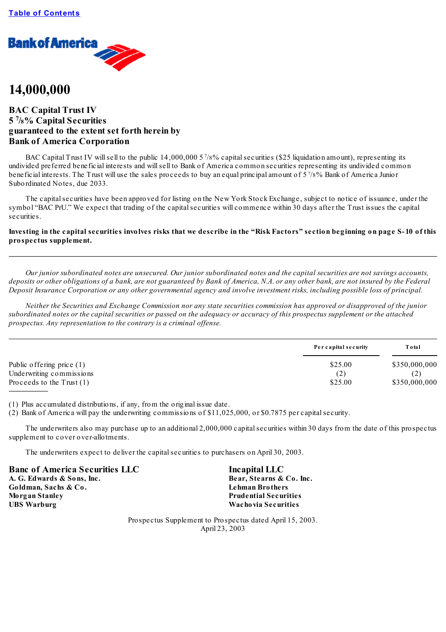

# **14,000,000**

# **BAC Capital Trust IV 5 7 /8% Capital Securities guaranteed to the extent set forth herein by Bank of America Corporation**

BAC Capital Trust IV will sell to the public 14,000,000 5 7/8% capital securities (\$25 liquidation amount), representing its undivided preferred beneficial interests and willsell to Bank of America common securities representing its undivided common beneficial interests. The Trust will use the sales proceeds to buy an equal principal amount of 5 7 /8% Bank of America Junior Subordinated Notes, due 2033.

The capitalsecurities have been approved for listing on the New York Stock Exchange, subject to notice of issuance, under the symbol "BAC PrU." We expect that trading of the capital securities will commence within 30 days after the Trust issues the capital securities.

# Investing in the capital securities involves risks that we describe in the "Risk Factors" section beginning on page S-10 of this **prospectus supplement.**

Our junior subordinated notes are unsecured. Our junior subordinated notes and the capital securities are not savings accounts, deposits or other obligations of a bank, are not guaranteed by Bank of America, N.A. or any other bank, are not insured by the Federal Deposit Insurance Corporation or any other governmental agency and involve investment risks, including possible loss of principal.

Neither the Securities and Exchange Commission nor any state securities commission has approved or disapproved of the junior subordinated notes or the capital securities or passed on the adequacy or accuracy of this prospectus supplement or the attached *prospectus. Any representation to the contrary is a criminal of ense.*

|                                                                                        | Per capital security      | Total                          |  |
|----------------------------------------------------------------------------------------|---------------------------|--------------------------------|--|
| Public offering price $(1)$<br>Underwriting commissions<br>Proceeds to the Trust $(1)$ | \$25.00<br>(2)<br>\$25.00 | \$350,000,000<br>\$350,000,000 |  |

(1) Plus accumulated distributions, if any, from the original issue date.

(2) Bank of America will pay the underwriting commissions of \$11,025,000, or \$0.7875 per capitalsecurity.

The underwriters also may purchase up to an additional 2,000,000 capitalsecurities within 30 days from the date of this prospectus supplement to cover over-allotments.

The underwriters expect to deliver the capitalsecurities to purchasers on April 30, 2003.

**Banc of America Securities LLC Incapital LLC A. G. Edwards & Sons, Inc. Bear, Stearns & Co. Inc. Goldman, Sachs & Co. Lehman Brothers Morgan Stanley Prudential Securities UBS Warburg Wachovia Securities**

Prospectus Supplement to Prospectus dated April 15, 2003. April 23, 2003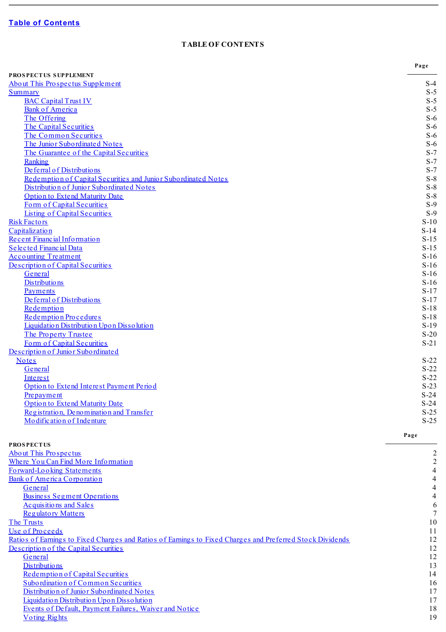and the control of the control of the control of the control of the control of

# **TABLE OF CONTENTS**

**State State**  $\overline{\phantom{a}}$ 

<span id="page-1-0"></span>

|                                                                                                           | Page             |
|-----------------------------------------------------------------------------------------------------------|------------------|
| PROSPECTUS SUPPLEMENT                                                                                     |                  |
| About This Prospectus Supplement                                                                          | $S-4$            |
| Summary<br><b>BAC Capital Trust IV</b>                                                                    | $S-5$<br>$S-5$   |
| <b>Bank of America</b>                                                                                    | $S-5$            |
| The Offering                                                                                              | $S-6$            |
| The Capital Securities                                                                                    | $S-6$            |
| The Common Securities                                                                                     | $S-6$            |
| The Junior Subordinated Notes                                                                             | $S-6$            |
| The Guarantee of the Capital Securities                                                                   | $S-7$            |
| Ranking                                                                                                   | $S-7$            |
| De ferral of Distributions                                                                                | $S-7$            |
| Redemption of Capital Securities and Junior Subordinated Notes                                            | $S-8$            |
| Distribution of Junior Subordinated Notes<br><b>Option to Extend Maturity Date</b>                        | $S-8$<br>$S-8$   |
| Form of Capital Securities                                                                                | $S-9$            |
| <b>Listing of Capital Securities</b>                                                                      | $S-9$            |
| <b>Risk Factors</b>                                                                                       | $S-10$           |
| Capitalization                                                                                            | $S-14$           |
| Recent Financial Information                                                                              | $S-15$           |
| Selected Financial Data                                                                                   | $S-15$           |
| <b>Accounting Treatment</b>                                                                               | $S-16$           |
| Description of Capital Securities                                                                         | $S-16$           |
| General                                                                                                   | $S-16$           |
| Distributions                                                                                             | $S-16$           |
| Payments<br>De ferral of Distributions                                                                    | $S-17$<br>$S-17$ |
| Redemption                                                                                                | $S-18$           |
| Redemption Procedures                                                                                     | $S-18$           |
| Liquidation Distribution Upon Dissolution                                                                 | $S-19$           |
| The Property Trustee                                                                                      | $S-20$           |
| Form of Capital Securities                                                                                | $S-21$           |
| Description of Junior Subordinated                                                                        |                  |
| <b>Notes</b>                                                                                              | $S-22$           |
| General                                                                                                   | $S-22$           |
| Interest<br>Option to Extend Interest Payment Period                                                      | $S-22$<br>$S-23$ |
| Prepayment                                                                                                | $S-24$           |
| <b>Option to Extend Maturity Date</b>                                                                     | $S-24$           |
| Registration, Denomination and Transfer                                                                   | $S-25$           |
| Modification of Indenture                                                                                 | $S-25$           |
|                                                                                                           | Page             |
| <b>PROSPECTUS</b>                                                                                         |                  |
| <b>About This Prospectus</b>                                                                              | $\overline{c}$   |
| Where You Can Find More Information                                                                       | $\overline{2}$   |
| Forward-Looking Statements<br>Bank of America Corporation                                                 | 4<br>4           |
| General                                                                                                   |                  |
| <b>Business Segment Operations</b>                                                                        |                  |
| <b>Acquisitions and Sales</b>                                                                             | 6                |
| <b>Regulatory Matters</b>                                                                                 | 7                |
| The Trusts                                                                                                | 10               |
| Use of Proceeds                                                                                           | 11               |
| Ratios of Earnings to Fixed Charges and Ratios of Earnings to Fixed Charges and Preferred Stock Dividends | 12               |
| Description of the Capital Securities                                                                     | 12               |
| General                                                                                                   | 12               |
| <b>Distributions</b>                                                                                      | 13               |
| Redemption of Capital Securities<br>Subordination of Common Securities                                    | 14<br>16         |
| Distribution of Junior Subordinated Notes                                                                 | 17               |
| Liquidation Distribution Upon Dissolution                                                                 | 17               |
| Events of Default, Payment Failures, Waiver and Notice                                                    | 18               |
| <b>Voting Rights</b>                                                                                      | 19               |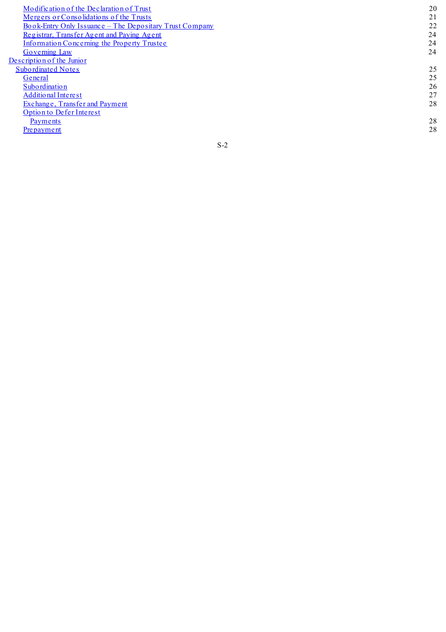[M](#page-53-0)odification of the Declaration of Trust [M](#page-54-0)ergers or Consolidations of the Trusts Book-[Ent](#page-55-0)ry Only Issuance – The Depositary Trust Company Registrar, Transfer Agent and Pay[ing](#page-57-0) Agent Information Conce[rning](#page-57-1) the Property Trustee Gove[rning](#page-57-2) Law Description of the J[uni](#page-58-0)or Subordinated Notes [G](#page-58-1)eneral S[ub](#page-59-0)ordination Additional I[nt](#page-60-0)erest [Ex](#page-61-0)change, Transfer and Payment Option to De[fe](#page-61-1)r Interest Payments Prepay[m](#page-61-2)ent

S - 2

2 8

2 8

2 0

2 1

2 2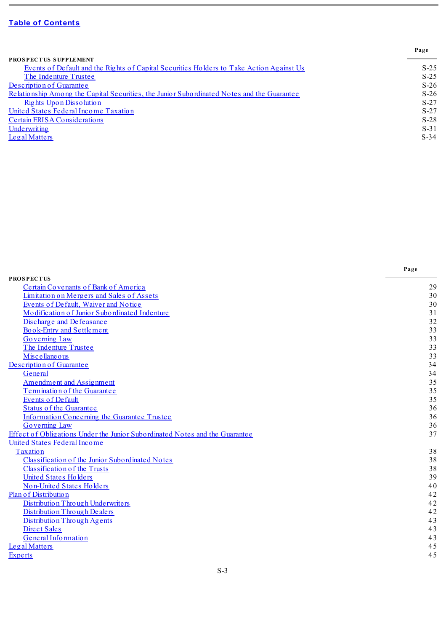$\sim$ 

|                                                                                            | Page   |
|--------------------------------------------------------------------------------------------|--------|
| <b>PROSPECTUS SUPPLEMENT</b>                                                               |        |
| Events of Default and the Rights of Capital Securities Holders to Take Action Against Us   | $S-25$ |
| The Indenture Trustee                                                                      | $S-25$ |
| Description of Guarantee                                                                   | $S-26$ |
| Relationship Among the Capital Securities, the Junior Subordinated Notes and the Guarantee | $S-26$ |
| <u>Rights Upon Dissolution</u>                                                             | $S-27$ |
| United States Federal Income Taxation                                                      | $S-27$ |
| Certain ERISA Considerations                                                               | $S-28$ |
| Underwriting                                                                               | $S-31$ |
| Legal Matters                                                                              | $S-34$ |

ä,

|                                                                             | Page |
|-----------------------------------------------------------------------------|------|
| <b>PROSPECTUS</b>                                                           |      |
| Certain Covenants of Bank of America                                        | 29   |
| Limitation on Mergers and Sales of Assets                                   | 30   |
| Events of Default, Waiver and Notice                                        | 30   |
| Modification of Junior Subordinated Indenture                               | 31   |
| Discharge and Defeasance                                                    | 32   |
| Book-Entry and Settlement                                                   | 33   |
| <b>Governing Law</b>                                                        | 33   |
| The Indenture Trustee                                                       | 33   |
| Miscellaneous                                                               | 33   |
| Description of Guarantee                                                    | 34   |
| General                                                                     | 34   |
| <b>Amendment and Assignment</b>                                             | 35   |
| Termination of the Guarantee                                                | 35   |
| <b>Events of Default</b>                                                    | 35   |
| <b>Status of the Guarantee</b>                                              | 36   |
| Information Concerning the Guarantee Trustee                                | 36   |
| <b>Governing Law</b>                                                        | 36   |
| Effect of Obligations Under the Junior Subordinated Notes and the Guarantee | 37   |
| United States Federal Income                                                |      |
| Taxation                                                                    | 38   |
| Classification of the Junior Subordinated Notes                             | 38   |
| Classification of the Trusts                                                | 38   |
| <b>United States Holders</b>                                                | 39   |
| <b>Non-United States Holders</b>                                            | 40   |
| Plan of Distribution                                                        | 42   |
| Distribution Through Underwriters                                           | 42   |
| Distribution Through Dealers                                                | 42   |
| Distribution Through Agents                                                 | 43   |
| Direct Sales                                                                | 43   |
| General Information                                                         | 43   |
| Legal Matters                                                               | 45   |
| <b>Experts</b>                                                              | 45   |
|                                                                             |      |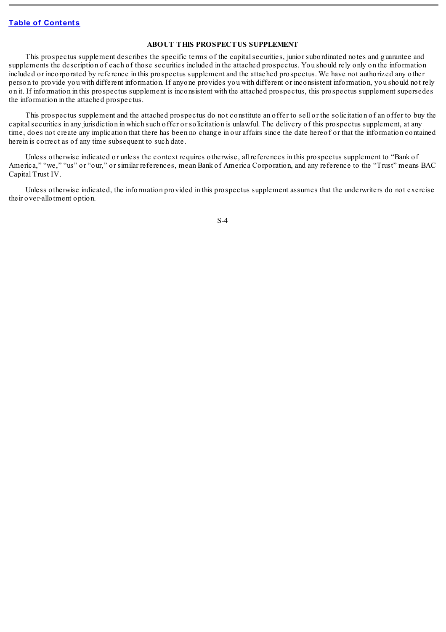## **ABOUT THIS PROSPECTUS SUPPLEMENT**

<span id="page-4-0"></span>This prospectus supplement describes the specific terms of the capitalsecurities, junior subordinated notes and guarantee and supplements the description of each of those securities included in the attached prospectus. You should rely only on the information included or incorporated by reference in this prospectus supplement and the attached prospectus. We have not authorized any other person to provide you with different information. If anyone provides you with different or inconsistent information, you should not rely on it. If information in this prospectus supplement is inconsistent with the attached prospectus, this prospectus supplement supersedes the information in the attached prospectus.

This prospectus supplement and the attached prospectus do not constitute an offer to sell or the solicitation of an offer to buy the capital securities in any jurisdiction in which such offer or solicitation is unlawful. The delivery of this prospectus supplement, at any time, does not create any implication that there has been no change in our affairs since the date hereof or that the information contained herein is correct as of any time subsequent to such date.

Unless otherwise indicated or unless the context requires otherwise, all references in this prospectus supplement to "Bank of America," "we," "us" or "our," or similar references, mean Bank of America Corporation, and any reference to the "Trust" means BAC Capital Trust IV.

Unless otherwise indicated, the information provided in this prospectus supplement assumes that the underwriters do not exercise their over-allotment option.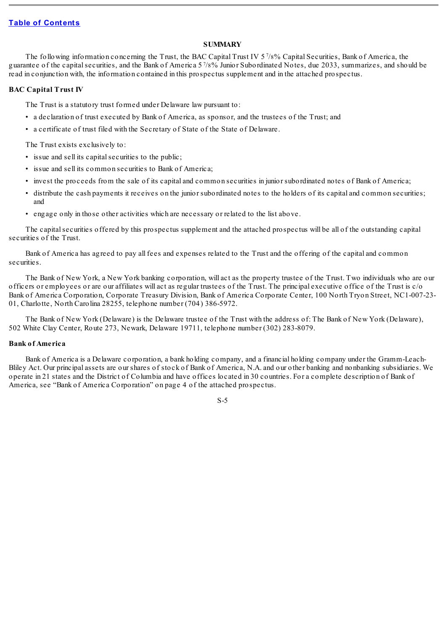# **SUMMARY**

<span id="page-5-0"></span>The following information concerning the Trust, the BAC Capital Trust IV 5<sup>7</sup>/8% Capital Securities, Bank of America, the guarantee of the capital securities, and the Bank of America 57/8% Junior Subordinated Notes, due 2033, summarizes, and should be read in conjunction with, the information contained in this prospectus supplement and in the attached prospectus.

#### <span id="page-5-1"></span>**BAC Capital Trust IV**

The Trust is a statutory trust formed under Delaware law pursuant to:

- a declaration of trust executed by Bank of America, as sponsor, and the trustees of the Trust; and
- a certificate of trust filed with the Secretary of State of the State of Delaware.

The Trust exists exclusively to:

- issue and sell its capital securities to the public;
- issue and sell its common securities to Bank of America;
- invest the proceeds from the sale of its capital and common securities in junior subordinated notes of Bank of America;
- distribute the cash payments it receives on the junior subordinated notes to the holders of its capital and common securities; and
- engage only in those other activities which are necessary or related to the list above.

The capital securities offered by this prospectus supplement and the attached prospectus will be all of the outstanding capital securities of the Trust.

Bank of America has agreed to pay all fees and expenses related to the Trust and the offering of the capital and common securities.

The Bank of New York, a New York banking corporation, will act as the property trustee of the Trust. Two individuals who are our officers or employees or are our affiliates will act as regular trustees of the Trust. The principal executive office of the Trust is c/o Bank of America Corporation, Corporate Treasury Division, Bank of America Corporate Center, 100 North Tryon Street, NC1-007-23- 01, Charlotte, North Carolina 28255, telephone number (704) 386-5972.

The Bank of New York (Delaware) is the Delaware trustee of the Trust with the address of: The Bank of New York (Delaware), 502 White Clay Center, Route 273, Newark, Delaware 19711, telephone number (302) 283-8079.

# <span id="page-5-2"></span>**Bank of America**

Bank of America is a Delaware corporation, a bank holding company, and a financial holding company under the Gramm-Leach-Bliley Act. Our principal assets are our shares of stock of Bank of America, N.A. and our other banking and nonbanking subsidiaries. We operate in 21 states and the District of Columbia and have offices located in 30 countries. For a complete description of Bank of America, see "Bank of America Corporation" on page 4 of the attached prospectus.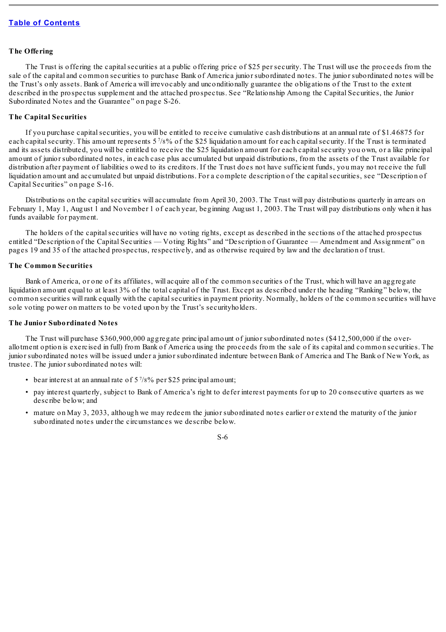#### <span id="page-6-0"></span>**The Offering**

The Trust is offering the capital securities at a public offering price of \$25 per security. The Trust will use the proceeds from the sale of the capital and common securities to purchase Bank of America junior subordinated notes. The junior subordinated notes will be the Trust's only assets. Bank of America will irrevocably and unconditionally guarantee the obligations of the Trust to the extent described in the prospectus supplement and the attached prospectus. See "Relationship Among the Capital Securities, the Junior Subordinated Notes and the Guarantee" on page S-26.

#### <span id="page-6-1"></span>**The Capital Securities**

If you purchase capitalsecurities, you will be entitled to receive cumulative cash distributions at an annual rate of \$1.46875 for each capital security. This amount represents 57/8% of the \$25 liquidation amount for each capital security. If the Trust is terminated and its assets distributed, you will be entitled to receive the \$25 liquidation amount for each capitalsecurity you own, or a like principal amount of junior subordinated notes, in each case plus accumulated but unpaid distributions, from the assets of the Trust available for distribution after payment of liabilities owed to its creditors. If the Trust does not have sufficient funds, you may not receive the full liquidation amount and accumulated but unpaid distributions. For a complete description of the capital securities, see "Description of Capital Securities" on page S-16.

Distributions on the capital securities will accumulate from April 30, 2003. The Trust will pay distributions quarterly in arrears on February 1, May 1, August 1 and November 1 of each year, beginning August 1, 2003. The Trust will pay distributions only when it has funds available for payment.

The holders of the capitalsecurities will have no voting rights, except as described in the sections of the attached prospectus entitled "Description of the Capital Securities — Voting Rights" and "Description of Guarantee — Amendment and Assignment" on pages 19 and 35 of the attached prospectus, respectively, and as otherwise required by law and the declaration of trust.

## <span id="page-6-2"></span>**The Common Securities**

Bank of America, or one of its affiliates, will acquire all of the common securities of the Trust, which will have an aggregate liquidation amount equal to at least 3% of the total capital of the Trust. Except as described under the heading "Ranking" below, the common securities will rank equally with the capitalsecurities in payment priority. Normally, holders of the common securities will have sole voting power on matters to be voted upon by the Trust's securityholders.

#### <span id="page-6-3"></span>**The Junior Subordinated Notes**

The Trust will purchase \$360,900,000 aggregate principal amount of junior subordinated notes (\$412,500,000 if the overallotment option is exercised in full) from Bank of America using the proceeds from the sale of its capital and common securities. The junior subordinated notes will be issued under a junior subordinated indenture between Bank of America and The Bank of New York, as trustee. The junior subordinated notes will:

- bear interest at an annual rate of  $5\frac{7}{8\%}$  per \$25 principal amount;
- pay interest quarterly, subject to Bank of America's right to defer interest payments for up to 20 consecutive quarters as we describe below; and
- mature on May 3, 2033, although we may redeem the junior subordinated notes earlier or extend the maturity of the junior subordinated notes under the circumstances we describe below.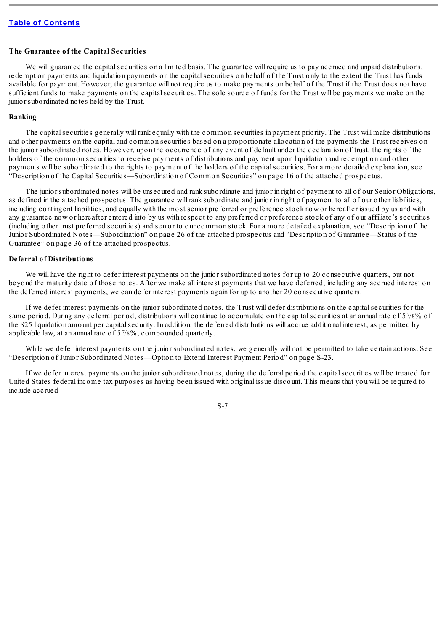#### <span id="page-7-0"></span>**The Guarantee of the Capital Securities**

We will guarantee the capital securities on a limited basis. The guarantee will require us to pay accrued and unpaid distributions, redemption payments and liquidation payments on the capitalsecurities on behalf of the Trust only to the extent the Trust has funds available for payment. However, the guarantee will not require us to make payments on behalf of the Trust if the Trust does not have sufficient funds to make payments on the capital securities. The sole source of funds for the Trust will be payments we make on the junior subordinated notes held by the Trust.

#### <span id="page-7-1"></span>**Ranking**

The capital securities generally will rank equally with the common securities in payment priority. The Trust will make distributions and other payments on the capital and common securities based on a proportionate allocation of the payments the Trust receives on the junior subordinated notes. However, upon the occurrence of any event of default under the declaration of trust, the rights of the holders of the common securities to receive payments of distributions and payment upon liquidation and redemption and other payments will be subordinated to the rights to payment of the holders of the capitalsecurities. For a more detailed explanation, see "Description of the Capital Securities—Subordination of Common Securities" on page 16 of the attached prospectus.

The junior subordinated notes will be unsecured and rank subordinate and junior in right of payment to all of our Senior Obligations, as defined in the attached prospectus. The guarantee will rank subordinate and junior in right of payment to all of our other liabilities, including contingent liabilities, and equally with the most senior preferred or preference stock now or hereafter issued by us and with any guarantee now or hereafter entered into by us with respect to any preferred or preference stock of any of our affiliate's securities (including other trust preferred securities) and senior to our common stock. For a more detailed explanation, see "Description of the Junior Subordinated Notes—Subordination" on page 26 of the attached prospectus and "Description of Guarantee—Status of the Guarantee" on page 36 of the attached prospectus.

## <span id="page-7-2"></span>**Deferral of Distributions**

We will have the right to defer interest payments on the junior subordinated notes for up to 20 consecutive quarters, but not beyond the maturity date of those notes. After we make all interest payments that we have deferred, including any accrued interest on the deferred interest payments, we can defer interest payments again for up to another 20 consecutive quarters.

If we defer interest payments on the junior subordinated notes, the Trust will defer distributions on the capitalsecurities for the same period. During any deferral period, distributions will continue to accumulate on the capital securities at an annual rate of  $5\frac{7}{8}\%$  of the \$25 liquidation amount per capitalsecurity. In addition, the deferred distributions will accrue additional interest, as permitted by applicable law, at an annual rate of  $5\frac{7}{8}\%$ , compounded quarterly.

While we defer interest payments on the junior subordinated notes, we generally will not be permitted to take certain actions. See "Description of Junior Subordinated Notes—Option to Extend Interest Payment Period" on page S-23.

If we defer interest payments on the junior subordinated notes, during the deferral period the capitalsecurities will be treated for United States federal income tax purposes as having been issued with original issue discount. This means that you will be required to include accrued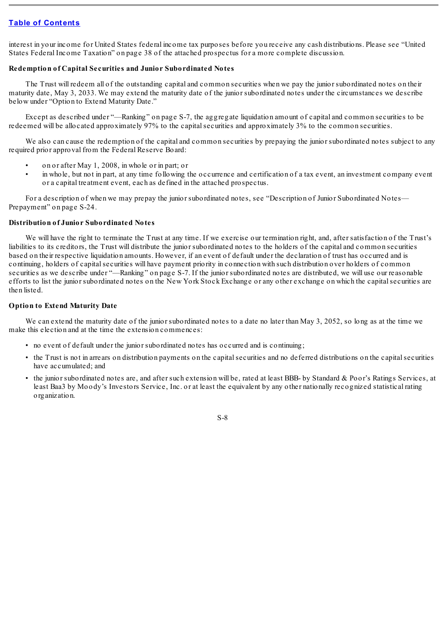interest in your income for United States federal income tax purposes before you receive any cash distributions. Please see "United States Federal Income Taxation" on page 38 of the attached prospectus for a more complete discussion.

# <span id="page-8-0"></span>**Redemption of Capital Securities and Junior Subordinated Notes**

The Trust will redeem all of the outstanding capital and common securities when we pay the junior subordinated notes on their maturity date, May 3, 2033. We may extend the maturity date of the junior subordinated notes under the circumstances we describe below under "Option to Extend Maturity Date."

Except as described under "—Ranking" on page S-7, the aggregate liquidation amount of capital and common securities to be redeemed will be allocated approximately 97% to the capitalsecurities and approximately 3% to the common securities.

We also can cause the redemption of the capital and common securities by prepaying the junior subordinated notes subject to any required prior approval from the Federal Reserve Board:

- on or after May 1, 2008, in whole or in part; or
- in whole, but not in part, at any time following the occurrence and certification of a tax event, an investment company event or a capital treatment event, each as defined in the attached prospectus.

For a description of when we may prepay the junior subordinated notes, see "Description of Junior Subordinated Notes— Prepayment" on page S-24.

## <span id="page-8-1"></span>**Distribution of Junior Subordinated Notes**

We will have the right to terminate the Trust at any time. If we exercise our termination right, and, after satisfaction of the Trust's liabilities to its creditors, the Trust will distribute the junior subordinated notes to the holders of the capital and common securities based on their respective liquidation amounts. However, if an event of default under the declaration of trust has occurred and is continuing, holders of capitalsecurities will have payment priority in connection with such distribution over holders of common securities as we describe under "—Ranking" on page S-7. If the junior subordinated notes are distributed, we will use our reasonable efforts to list the junior subordinated notes on the New York Stock Exchange or any other exchange on which the capitalsecurities are then listed.

## <span id="page-8-2"></span>**Option to Extend Maturity Date**

We can extend the maturity date of the junior subordinated notes to a date no later than May 3, 2052, so long as at the time we make this election and at the time the extension commences:

- no event of default under the junior subordinated notes has occurred and is continuing;
- the Trust is not in arrears on distribution payments on the capitalsecurities and no deferred distributions on the capitalsecurities have accumulated; and
- the junior subordinated notes are, and after such extension will be, rated at least BBB- by Standard & Poor's Ratings Services, at least Baa3 by Moody's Investors Service, Inc. or at least the equivalent by any other nationally recognized statistical rating organization.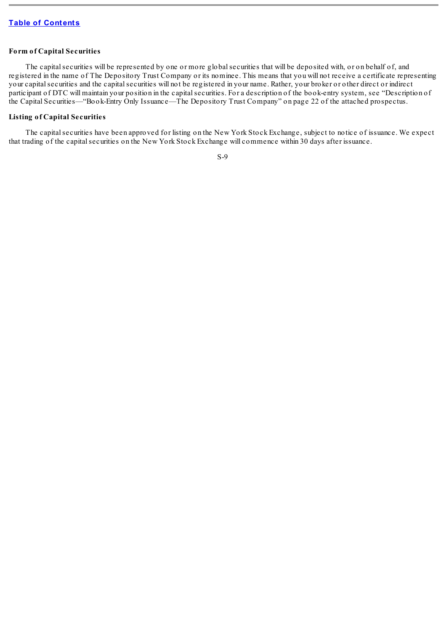## <span id="page-9-0"></span>**Form of Capital Securities**

The capital securities will be represented by one or more global securities that will be deposited with, or on behalf of, and registered in the name of The Depository Trust Company or its nominee. This means that you will not receive a certificate representing your capitalsecurities and the capitalsecurities will not be registered in your name. Rather, your broker or other direct or indirect participant of DTC will maintain your position in the capital securities. For a description of the book-entry system, see "Description of the Capital Securities—"Book-Entry Only Issuance—The Depository Trust Company" on page 22 of the attached prospectus.

#### <span id="page-9-1"></span>**Listing of Capital Securities**

The capitalsecurities have been approved for listing on the New York Stock Exchange, subject to notice of issuance. We expect that trading of the capitalsecurities on the New York Stock Exchange will commence within 30 days after issuance.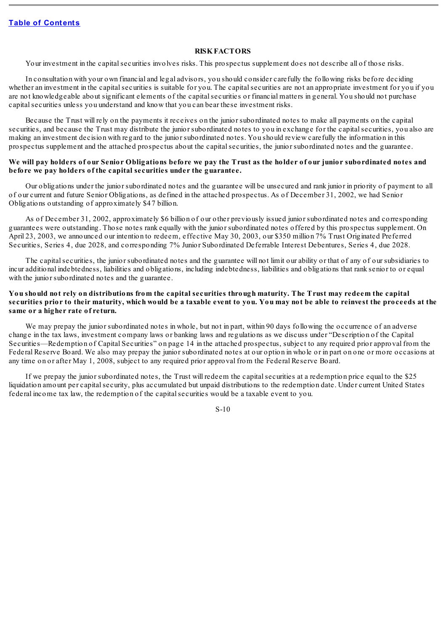#### **RISKFACTORS**

<span id="page-10-0"></span>Your investment in the capitalsecurities involves risks. This prospectus supplement does not describe all of those risks.

In consultation with your own financial and legal advisors, you should consider carefully the following risks before deciding whether an investment in the capital securities is suitable for you. The capital securities are not an appropriate investment for you if you are not knowledgeable about significant elements of the capitalsecurities or financial matters in general. You should not purchase capital securities unless you understand and know that you can bear these investment risks.

Because the Trust will rely on the payments it receives on the junior subordinated notes to make all payments on the capital securities, and because the Trust may distribute the junior subordinated notes to you in exchange for the capital securities, you also are making an investment decision with regard to the junior subordinated notes. You should review carefully the information in this prospectus supplement and the attached prospectus about the capitalsecurities, the junior subordinated notes and the guarantee.

# We will pay holders of our Senior Obligations before we pay the Trust as the holder of our junior subordinated notes and **before we pay holders of the capital securities under the guarantee.**

Our obligations under the junior subordinated notes and the guarantee will be unsecured and rank junior in priority of payment to all of our current and future Senior Obligations, as defined in the attached prospectus. As of December 31, 2002, we had Senior Obligations outstanding of approximately \$47 billion.

As of December 31, 2002, approximately \$6 billion of our other previously issued junior subordinated notes and corresponding guarantees were outstanding. Those notes rank equally with the junior subordinated notes offered by this prospectus supplement. On April 23, 2003, we announced our intention to redeem, effective May 30, 2003, our \$350 million 7% Trust Originated Preferred Securities, Series 4, due 2028, and corresponding 7% Junior Subordinated Deferrable Interest Debentures, Series 4, due 2028.

The capital securities, the junior subordinated notes and the guarantee will not limit our ability or that of any of our subsidiaries to incur additional indebtedness, liabilities and obligations, including indebtedness, liabilities and obligations that rank senior to or equal with the junior subordinated notes and the guarantee.

# You should not rely on distributions from the capital securities through maturity. The Trust may redeem the capital securities prior to their maturity, which would be a taxable event to you. You may not be able to reinvest the proceeds at the **same or a higher rate of return.**

We may prepay the junior subordinated notes in whole, but not in part, within 90 days following the occurrence of an adverse change in the tax laws, investment company laws or banking laws and regulations as we discuss under "Description of the Capital Securities—Redemption of Capital Securities" on page 14 in the attached prospectus, subject to any required prior approval from the Federal Reserve Board. We also may prepay the junior subordinated notes at our option in whole or in part on one or more occasions at any time on or after May 1, 2008, subject to any required prior approval from the Federal Reserve Board.

If we prepay the junior subordinated notes, the Trust will redeem the capitalsecurities at a redemption price equal to the \$25 liquidation amount per capital security, plus accumulated but unpaid distributions to the redemption date. Under current United States federal income tax law, the redemption of the capitalsecurities would be a taxable event to you.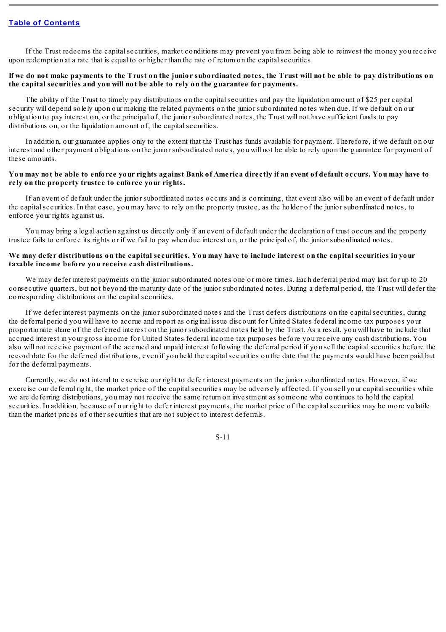If the Trust redeems the capitalsecurities, market conditions may prevent you from being able to reinvest the money you receive upon redemption at a rate that is equal to or higher than the rate of return on the capitalsecurities.

#### If we do not make payments to the Trust on the junior subordinated notes, the Trust will not be able to pay distributions on **the capital securities and you will not be able to rely on the guarantee for payments.**

The ability of the Trust to timely pay distributions on the capital securities and pay the liquidation amount of \$25 per capital security will depend solely upon our making the related payments on the junior subordinated notes when due. If we default on our obligation to pay interest on, or the principal of, the junior subordinated notes, the Trust will not have sufficient funds to pay distributions on, or the liquidation amount of, the capital securities.

In addition, our guarantee applies only to the extent that the Trust has funds available for payment. Therefore, if we default on our interest and other payment obligations on the junior subordinated notes, you will not be able to rely upon the guarantee for payment of these amounts.

#### You may not be able to enforce your rights against Bank of America directly if an event of default occurs. You may have to **rely on the property trustee to enforce your rights.**

If an event of default under the junior subordinated notes occurs and is continuing, that event also will be an event of default under the capitalsecurities. In that case, you may have to rely on the property trustee, as the holder of the junior subordinated notes, to enforce your rights against us.

You may bring a legal action against us directly only if an event of default under the declaration of trust occurs and the property trustee fails to enforce its rights or if we fail to pay when due interest on, or the principal of, the junior subordinated notes.

#### We may defer distributions on the capital securities. You may have to include interest on the capital securities in your **taxable income before you receive cash distributions.**

We may defer interest payments on the junior subordinated notes one or more times. Each deferral period may last for up to 20 consecutive quarters, but not beyond the maturity date of the junior subordinated notes. During a deferral period, the Trust will defer the corresponding distributions on the capital securities.

If we defer interest payments on the junior subordinated notes and the Trust defers distributions on the capitalsecurities, during the deferral period you will have to accrue and report as original issue discount for United States federal income tax purposes your proportionate share of the deferred interest on the junior subordinated notes held by the Trust. As a result, you will have to include that accrued interest in your gross income for United States federal income tax purposes before you receive any cash distributions. You also will not receive payment of the accrued and unpaid interest following the deferral period if you sell the capitalsecurities before the record date for the deferred distributions, even if you held the capitalsecurities on the date that the payments would have been paid but for the deferral payments.

Currently, we do not intend to exercise our right to defer interest payments on the junior subordinated notes. However, if we exercise our deferral right, the market price of the capital securities may be adversely affected. If you sell your capital securities while we are deferring distributions, you may not receive the same return on investment as someone who continues to hold the capital securities. In addition, because of our right to defer interest payments, the market price of the capital securities may be more volatile than the market prices of other securities that are not subject to interest deferrals.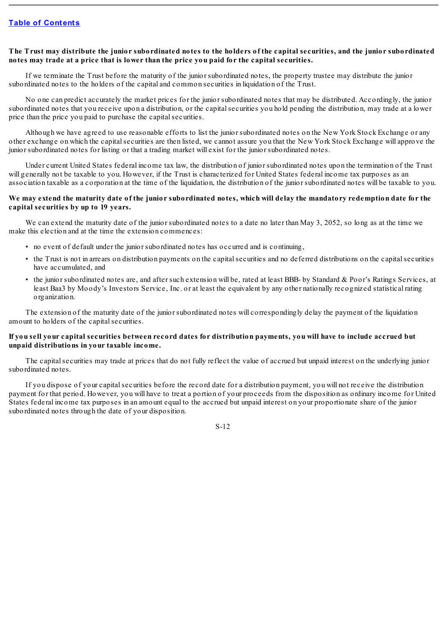# The Trust may distribute the junior subordinated notes to the holders of the capital securities, and the junior subordinated **notes may trade at a price that is lower than the price you paid for the capital securities.**

If we terminate the Trust before the maturity of the junior subordinated notes, the property trustee may distribute the junior subordinated notes to the holders of the capital and common securities in liquidation of the Trust.

No one can predict accurately the market prices for the junior subordinated notes that may be distributed. Accordingly, the junior subordinated notes that you receive upon a distribution, or the capitalsecurities you hold pending the distribution, may trade at a lower price than the price you paid to purchase the capital securities.

Although we have agreed to use reasonable efforts to list the junior subordinated notes on the New York Stock Exchange or any other exchange on which the capitalsecurities are then listed, we cannot assure you that the New York Stock Exchange will approve the junior subordinated notes for listing or that a trading market will exist for the junior subordinated notes.

Under current United States federal income tax law, the distribution of junior subordinated notes upon the termination of the Trust will generally not be taxable to you. However, if the Trust is characterized for United States federal income tax purposes as an association taxable as a corporation at the time of the liquidation, the distribution of the junior subordinated notes will be taxable to you.

# We may extend the maturity date of the junior subordinated notes, which will delay the mandatory redemption date for the **capital securities by up to 19 years.**

We can extend the maturity date of the junior subordinated notes to a date no later than May 3, 2052, so long as at the time we make this election and at the time the extension commences:

- no event of default under the junior subordinated notes has occurred and is continuing,
- the Trust is not in arrears on distribution payments on the capitalsecurities and no deferred distributions on the capitalsecurities have accumulated, and
- the junior subordinated notes are, and after such extension will be, rated at least BBB- by Standard & Poor's Ratings Services, at least Baa3 by Moody's Investors Service, Inc. or at least the equivalent by any other nationally recognized statistical rating organization.

The extension of the maturity date of the junior subordinated notes will correspondingly delay the payment of the liquidation amount to holders of the capital securities.

# If you sell your capital securities between record dates for distribution payments, you will have to include accrued but **unpaid distributions in your taxable income.**

The capitalsecurities may trade at prices that do not fully reflect the value of accrued but unpaid interest on the underlying junior subordinated notes.

If you dispose of your capitalsecurities before the record date for a distribution payment, you will not receive the distribution payment for that period. However, you will have to treat a portion of your proceeds from the disposition as ordinary income for United States federal income tax purposes in an amount equal to the accrued but unpaid interest on your proportionate share of the junior subordinated notes through the date of your disposition.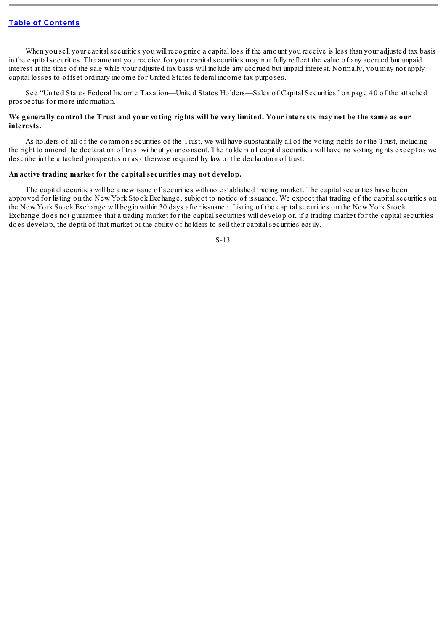When you sell your capital securities you will recognize a capital loss if the amount you receive is less than your adjusted tax basis in the capital securities. The amount you receive for your capital securities may not fully reflect the value of any accrued but unpaid interest at the time of the sale while your adjusted tax basis will include any accrued but unpaid interest. Normally, you may not apply capital losses to offset ordinary income for United States federal income tax purposes.

See "United States Federal Income Taxation—United States Holders—Sales of Capital Securities" on page 40 of the attached prospectus for more information.

# We generally control the Trust and your voting rights will be very limited. Your interests may not be the same as our **interests.**

As holders of all of the common securities of the Trust, we will have substantially all of the voting rights for the Trust, including the right to amend the declaration of trust without your consent. The holders of capitalsecurities will have no voting rights except as we describe in the attached prospectus or as otherwise required by law or the declaration of trust.

#### **An active trading market for the capital securities may not develop.**

The capital securities will be a new issue of securities with no established trading market. The capital securities have been approved for listing on the New York Stock Exchange, subject to notice of issuance. We expect that trading of the capitalsecurities on the New York Stock Exchange will begin within 30 days after issuance. Listing of the capitalsecurities on the New York Stock Exchange does not guarantee that a trading market for the capitalsecurities will develop or, if a trading market for the capitalsecurities does develop, the depth of that market or the ability of holders to sell their capital securities easily.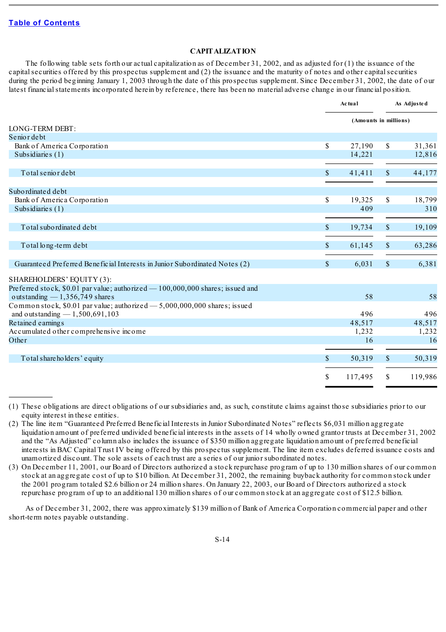# **CAPITALIZATION**

<span id="page-14-0"></span>The following table sets forth our actual capitalization as of December 31, 2002, and as adjusted for (1) the issuance of the capitalsecurities offered by this prospectus supplement and (2) the issuance and the maturity of notes and other capitalsecurities during the period beginning January 1, 2003 through the date of this prospectus supplement. Since December 31, 2002, the date of our latest financial statements incorporated herein by reference, there has been no material adverse change in our financial position.

|                                                                                                                    |                       | Ac tual |               | As Adjusted |  |
|--------------------------------------------------------------------------------------------------------------------|-----------------------|---------|---------------|-------------|--|
|                                                                                                                    | (Amounts in millions) |         |               |             |  |
| LONG-TERM DEBT:                                                                                                    |                       |         |               |             |  |
| Senior debt                                                                                                        |                       |         |               |             |  |
| Bank of America Corporation                                                                                        | <sup>\$</sup>         | 27,190  | S.            | 31,361      |  |
| Subsidiaries (1)                                                                                                   |                       | 14,221  |               | 12,816      |  |
| Total senior debt                                                                                                  | $\mathbb{S}$          | 41,411  | $\mathbb{S}$  | 44,177      |  |
| Subordinated debt                                                                                                  |                       |         |               |             |  |
| Bank of America Corporation                                                                                        | \$                    | 19,325  | \$            | 18,799      |  |
| Subsidiaries (1)                                                                                                   |                       | 409     |               | 310         |  |
| Total subordinated debt                                                                                            | \$                    | 19,734  | \$            | 19,109      |  |
| Total long-term debt                                                                                               | $\mathbb{S}$          | 61,145  | $\mathbb{S}$  | 63,286      |  |
| Guaranteed Preferred Beneficial Interests in Junior Subordinated Notes (2)                                         | $\mathbb{S}$          | 6,031   | $\mathcal{S}$ | 6,381       |  |
| SHAREHOLDERS' EQUITY (3):                                                                                          |                       |         |               |             |  |
| Preferred stock, \$0.01 par value; authorized $-100,000,000$ shares; issued and<br>outstanding $-1,356,749$ shares |                       | 58      |               | 58          |  |
| Common stock, \$0.01 par value; authorized - 5,000,000,000 shares; issued<br>and outstanding $-1,500,691,103$      |                       | 496     |               | 496         |  |
| Retained earnings                                                                                                  |                       | 48,517  |               | 48,517      |  |
| Accumulated other comprehensive income                                                                             |                       | 1,232   |               | 1,232       |  |
| Other                                                                                                              |                       | 16      |               | 16          |  |
| Total shareholders' equity                                                                                         | $\mathcal{S}$         | 50,319  | $\mathbb{S}$  | 50,319      |  |
|                                                                                                                    | \$                    | 117,495 | \$            | 119,986     |  |
|                                                                                                                    |                       |         |               |             |  |

<sup>(1)</sup> These obligations are direct obligations of our subsidiaries and, as such, constitute claims against those subsidiaries prior to our equity interest in these entities.

As of December 31, 2002, there was approximately \$139 million of Bank of America Corporation commercial paper and other short-term notes payable outstanding.

<sup>(2)</sup> The line item "Guaranteed Preferred Beneficial Interests in Junior Subordinated Notes" reflects \$6,031 million aggregate liquidation amount of preferred undivided beneficial interests in the assets of 14 wholly owned grantor trusts at December 31, 2002 and the "As Adjusted" column also includes the issuance of \$350 million aggregate liquidation amount of preferred beneficial interests in BAC Capital Trust IV being offered by this prospectus supplement. The line item excludes deferred issuance costs and unamortized discount. The sole assets of each trust are a series of our junior subordinated notes.

<sup>(3)</sup> On December 11, 2001, our Board of Directors authorized a stock repurchase program of up to 130 million shares of our common stock at an aggregate cost of up to \$10 billion. At December 31, 2002, the remaining buyback authority for common stock under the 2001 program totaled \$2.6 billion or 24 million shares. On January 22, 2003, our Board of Directors authorized a stock repurchase program of up to an additional 130 million shares of our common stock at an aggregate cost of \$12.5 billion.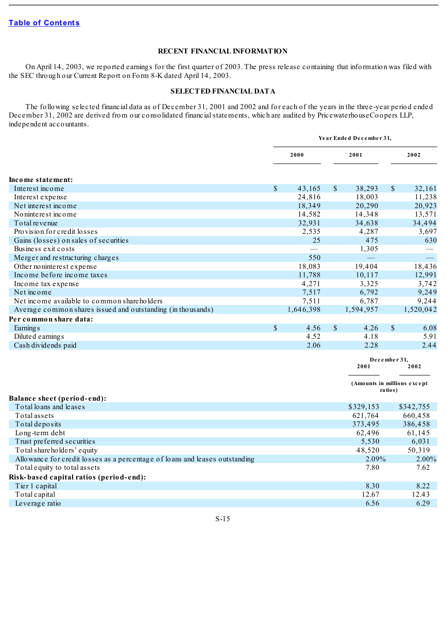# **RECENT FINANCIAL INFORMATION**

<span id="page-15-0"></span>On April 14, 2003, we reported earnings for the first quarter of 2003. The press release containing that information was filed with the SEC through our Current Report on Form 8-K dated April 14, 2003.

## **SELECTED FINANCIAL DATA**

<span id="page-15-1"></span>The following selected financial data as of December 31, 2001 and 2002 and for each of the years in the three-year period ended December 31, 2002 are derived from our consolidated financial statements, which are audited by PricewaterhouseCoopers LLP, independent accountants.

|                                                                             | Year Ended December 31, |           |              |                             |               |                          |
|-----------------------------------------------------------------------------|-------------------------|-----------|--------------|-----------------------------|---------------|--------------------------|
|                                                                             |                         | 2000      |              | 2001                        |               | 2002                     |
| Income statement:                                                           |                         |           |              |                             |               |                          |
| Interest income                                                             | $\mathbb{S}$            | 43,165    | $\mathbb{S}$ | 38,293                      | $\mathsf{\$}$ | 32,161                   |
| Interest expense                                                            |                         | 24,816    |              | 18,003                      |               | 11,238                   |
| Net interest income                                                         |                         | 18,349    |              | 20,290                      |               | 20,923                   |
| No ninterest income                                                         |                         | 14,582    |              | 14,348                      |               | 13,571                   |
| To tal revenue                                                              |                         | 32,931    |              | 34,638                      |               | 34,494                   |
| Provision for credit losses                                                 |                         | 2,535     |              | 4,287                       |               | 3,697                    |
| Gains (losses) on sales of securities                                       |                         | 25        |              | 475                         |               | 630                      |
| Business exit costs                                                         |                         |           |              | 1,305                       |               |                          |
| Merger and restructuring charges                                            |                         | 550       |              |                             |               | $\overline{\phantom{m}}$ |
| Other no ninterest expense                                                  |                         | 18,083    |              | 19,404                      |               | 18,436                   |
| Income before income taxes                                                  |                         | 11,788    |              | 10,117                      |               | 12,991                   |
| Income tax expense                                                          |                         | 4,271     |              | 3,325                       |               | 3,742                    |
| Net income                                                                  |                         | 7,517     |              | 6,792                       |               | 9,249                    |
| Net income available to common shareholders                                 |                         | 7,511     |              | 6,787                       |               | 9,244                    |
| Average common shares issued and outstanding (in thousands)                 |                         | 1,646,398 |              | 1,594,957                   |               | 1,520,042                |
| Per common share data:                                                      |                         |           |              |                             |               |                          |
| Earning <sub>s</sub>                                                        | $\mathcal{S}$           | 4.56      | $\mathbb{S}$ | 4.26                        | $\mathbb{S}$  | 6.08                     |
| Diluted earnings                                                            |                         | 4.52      |              | 4.18                        |               | 5.91                     |
| Cash dividends paid                                                         |                         | 2.06      |              | 2.28                        |               | 2.44                     |
|                                                                             |                         |           |              |                             |               |                          |
|                                                                             |                         |           |              | 2001                        | December 31,  | 2002                     |
|                                                                             |                         |           |              | (Amounts in millions except | ratios)       |                          |
| <b>Balance sheet (period-end):</b><br>Total loans and leases                |                         |           |              | \$329,153                   |               | \$342,755                |
| Total assets                                                                |                         |           |              | 621,764                     |               | 660,458                  |
| Total deposits                                                              |                         |           |              | 373,495                     |               | 386,458                  |
| Long-term debt                                                              |                         |           |              | 62,496                      |               | 61,145                   |
| Trust preferred securities                                                  |                         |           |              | 5,530                       |               | 6,031                    |
| Total shareholders' equity                                                  |                         |           |              | 48,520                      |               | 50,319                   |
| Allowance for credit losses as a percentage of loans and leases outstanding |                         |           |              | 2.09%                       |               | 2.00%                    |
| Total equity to total assets                                                |                         |           |              | 7.80                        |               | 7.62                     |
| Risk-based capital ratios (period-end):                                     |                         |           |              |                             |               |                          |
| Tier 1 capital                                                              |                         |           |              | 8.30                        |               | 8.22                     |
| Total capital                                                               |                         |           |              | 12.67                       |               | 12.43                    |
| Leverage ratio                                                              |                         |           |              | 6.56                        |               | 6.29                     |
|                                                                             |                         |           |              |                             |               |                          |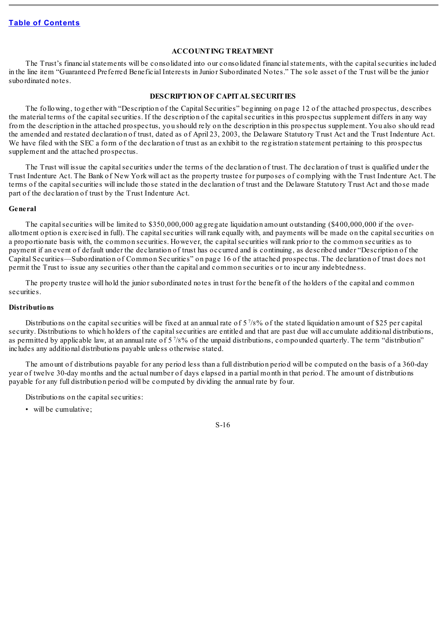#### **ACCOUNTING TREATMENT**

<span id="page-16-0"></span>The Trust's financial statements will be consolidated into our consolidated financial statements, with the capital securities included in the line item "Guaranteed Preferred Beneficial Interests in Junior Subordinated Notes." The sole asset of the Trust will be the junior subordinated notes.

#### **DESCRIPTION OF CAPITAL SECURITIES**

<span id="page-16-1"></span>The following, together with "Description of the Capital Securities" beginning on page 12 of the attached prospectus, describes the material terms of the capitalsecurities. If the description of the capitalsecurities in this prospectus supplement differs in any way from the description in the attached prospectus, you should rely on the description in this prospectus supplement. You also should read the amended and restated declaration of trust, dated as of April 23, 2003, the Delaware Statutory Trust Act and the Trust Indenture Act. We have filed with the SEC a form of the declaration of trust as an exhibit to the registration statement pertaining to this prospectus supplement and the attached prospectus.

The Trust will issue the capitalsecurities under the terms of the declaration of trust. The declaration of trust is qualified under the Trust Indenture Act. The Bank of New York will act as the property trustee for purposes of complying with the Trust Indenture Act. The terms of the capital securities will include those stated in the declaration of trust and the Delaware Statutory Trust Act and those made part of the declaration of trust by the Trust Indenture Act.

#### <span id="page-16-2"></span>**General**

The capital securities will be limited to \$350,000,000 aggregate liquidation amount outstanding (\$400,000,000 if the overallotment option is exercised in full). The capital securities will rank equally with, and payments will be made on the capital securities on a proportionate basis with, the common securities. However, the capitalsecurities will rank prior to the common securities as to payment if an event of default under the declaration of trust has occurred and is continuing, as described under "Description of the Capital Securities—Subordination of Common Securities" on page 16 of the attached prospectus. The declaration of trust does not permit the Trust to issue any securities other than the capital and common securities or to incur any indebtedness.

The property trustee will hold the junior subordinated notes in trust for the benefit of the holders of the capital and common securities.

#### <span id="page-16-3"></span>**Distributions**

Distributions on the capital securities will be fixed at an annual rate of  $5\frac{7}{8}\%$  of the stated liquidation amount of \$25 per capital security. Distributions to which holders of the capital securities are entitled and that are past due will accumulate additional distributions, as permitted by applicable law, at an annual rate of 5<sup>7</sup>/8% of the unpaid distributions, compounded quarterly. The term "distribution" includes any additional distributions payable unless otherwise stated.

The amount of distributions payable for any period less than a full distribution period will be computed on the basis of a 360-day year of twelve 30-day months and the actual number of days elapsed in a partial month in that period. The amount of distributions payable for any full distribution period will be computed by dividing the annual rate by four.

Distributions on the capital securities:

• will be cumulative;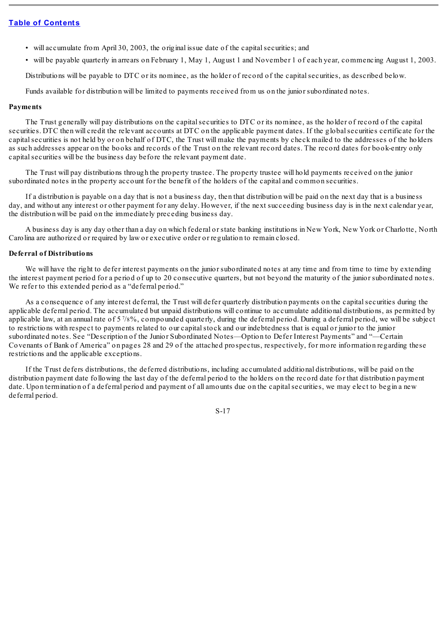- will accumulate from April 30, 2003, the original issue date of the capital securities; and
- will be payable quarterly in arrears on February 1, May 1, August 1 and November 1 of each year, commencing August 1, 2003.

Distributions will be payable to DTC or its nominee, as the holder of record of the capital securities, as described below.

Funds available for distribution will be limited to payments received from us on the junior subordinated notes.

## <span id="page-17-0"></span>**Payments**

The Trust generally will pay distributions on the capital securities to DTC or its nominee, as the holder of record of the capital securities. DTC then will credit the relevant accounts at DTC on the applicable payment dates. If the globalsecurities certificate for the capitalsecurities is not held by or on behalf of DTC, the Trust will make the payments by check mailed to the addresses of the holders as such addresses appear on the books and records of the Trust on the relevant record dates. The record dates for book-entry only capital securities will be the business day before the relevant payment date.

The Trust will pay distributions through the property trustee. The property trustee will hold payments received on the junior subordinated notes in the property account for the benefit of the holders of the capital and common securities.

If a distribution is payable on a day that is not a business day, then that distribution will be paid on the next day that is a business day, and without any interest or other payment for any delay. However, if the next succeeding business day is in the next calendar year, the distribution will be paid on the immediately preceding business day.

A business day is any day other than a day on which federal or state banking institutions in New York, New York or Charlotte, North Carolina are authorized or required by law or executive order or regulation to remain closed.

# <span id="page-17-1"></span>**Deferral of Distributions**

We will have the right to defer interest payments on the junior subordinated notes at any time and from time to time by extending the interest payment period for a period of up to 20 consecutive quarters, but not beyond the maturity of the junior subordinated notes. We refer to this extended period as a "deferral period."

As a consequence of any interest deferral, the Trust will defer quarterly distribution payments on the capital securities during the applicable deferral period. The accumulated but unpaid distributions will continue to accumulate additional distributions, as permitted by applicable law, at an annual rate of 5<sup>7</sup>/8%, compounded quarterly, during the deferral period. During a deferral period, we will be subject to restrictions with respect to payments related to our capitalstock and our indebtedness that is equal or junior to the junior subordinated notes. See "Description of the Junior Subordinated Notes—Option to Defer Interest Payments" and "—Certain Covenants of Bank of America" on pages 28 and 29 of the attached prospectus, respectively, for more information regarding these restrictions and the applicable exceptions.

If the Trust defers distributions, the deferred distributions, including accumulated additional distributions, will be paid on the distribution payment date following the last day of the deferral period to the holders on the record date for that distribution payment date. Upon termination of a deferral period and payment of all amounts due on the capital securities, we may elect to begin a new deferral period.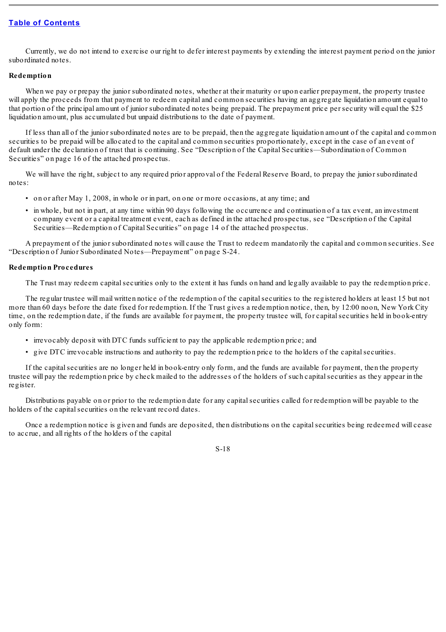Currently, we do not intend to exercise our right to defer interest payments by extending the interest payment period on the junior subordinated notes.

## <span id="page-18-0"></span>**Redemption**

When we pay or prepay the junior subordinated notes, whether at their maturity or upon earlier prepayment, the property trustee will apply the proceeds from that payment to redeem capital and common securities having an aggregate liquidation amount equal to that portion of the principal amount of junior subordinated notes being prepaid. The prepayment price per security will equal the \$25 liquidation amount, plus accumulated but unpaid distributions to the date of payment.

If less than all of the junior subordinated notes are to be prepaid, then the aggregate liquidation amount of the capital and common securities to be prepaid will be allocated to the capital and common securities proportionately, except in the case of an event of default under the declaration of trust that is continuing. See "Description of the Capital Securities—Subordination of Common Securities" on page 16 of the attached prospectus.

We will have the right, subject to any required prior approval of the Federal Reserve Board, to prepay the junior subordinated notes:

- on or after May 1, 2008, in whole or in part, on one or more occasions, at any time; and
- in whole, but not in part, at any time within 90 days following the occurrence and continuation of a tax event, an investment company event or a capital treatment event, each as defined in the attached prospectus, see "Description of the Capital Securities—Redemption of Capital Securities" on page 14 of the attached prospectus.

A prepayment of the junior subordinated notes will cause the Trust to redeem mandatorily the capital and common securities. See "Description of Junior Subordinated Notes—Prepayment" on page S-24.

## <span id="page-18-1"></span>**Redemption Procedures**

The Trust may redeem capital securities only to the extent it has funds on hand and legally available to pay the redemption price.

The regular trustee will mail written notice of the redemption of the capitalsecurities to the registered holders at least 15 but not more than 60 days before the date fixed for redemption. If the Trust gives a redemption notice, then, by 12:00 noon, New York City time, on the redemption date, if the funds are available for payment, the property trustee will, for capital securities held in book-entry only form:

- irrevocably deposit with DTC funds sufficient to pay the applicable redemption price; and
- give DTC irrevocable instructions and authority to pay the redemption price to the holders of the capitalsecurities.

If the capitalsecurities are no longer held in book-entry only form, and the funds are available for payment, then the property trustee will pay the redemption price by check mailed to the addresses of the holders of such capitalsecurities as they appear in the register.

Distributions payable on or prior to the redemption date for any capital securities called for redemption will be payable to the holders of the capital securities on the relevant record dates.

Once a redemption notice is given and funds are deposited, then distributions on the capitalsecurities being redeemed will cease to accrue, and all rights of the holders of the capital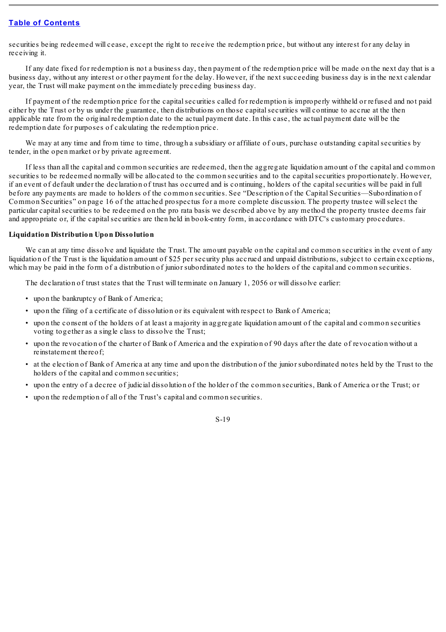securities being redeemed will cease, except the right to receive the redemption price, but without any interest for any delay in receiving it.

If any date fixed for redemption is not a business day, then payment of the redemption price will be made on the next day that is a business day, without any interest or other payment for the delay. However, if the next succeeding business day is in the next calendar year, the Trust will make payment on the immediately preceding business day.

If payment of the redemption price for the capitalsecurities called for redemption is improperly withheld or refused and not paid either by the Trust or by us under the guarantee, then distributions on those capitalsecurities will continue to accrue at the then applicable rate from the original redemption date to the actual payment date. In this case, the actual payment date will be the redemption date for purposes of calculating the redemption price.

We may at any time and from time to time, through a subsidiary or affiliate of ours, purchase outstanding capital securities by tender, in the open market or by private agreement.

If less than all the capital and common securities are redeemed, then the aggregate liquidation amount of the capital and common securities to be redeemed normally will be allocated to the common securities and to the capital securities proportionately. However, if an event of default under the declaration of trust has occurred and is continuing, holders of the capitalsecurities will be paid in full before any payments are made to holders of the common securities. See "Description of the Capital Securities—Subordination of Common Securities" on page 16 of the attached prospectus for a more complete discussion. The property trustee willselect the particular capitalsecurities to be redeemed on the pro rata basis we described above by any method the property trustee deems fair and appropriate or, if the capital securities are then held in book-entry form, in accordance with DTC's customary procedures.

# <span id="page-19-0"></span>**Liquidation Distribution Upon Dissolution**

We can at any time dissolve and liquidate the Trust. The amount payable on the capital and common securities in the event of any liquidation of the Trust is the liquidation amount of \$25 per security plus accrued and unpaid distributions, subject to certain exceptions, which may be paid in the form of a distribution of junior subordinated notes to the holders of the capital and common securities.

The declaration of trust states that the Trust will terminate on January 1, 2056 or will dissolve earlier:

- upon the bankruptcy of Bank of America;
- upon the filing of a certificate of dissolution or its equivalent with respect to Bank of America;
- upon the consent of the holders of at least a majority in aggregate liquidation amount of the capital and common securities voting together as a single class to dissolve the Trust;
- upon the revocation of the charter of Bank of America and the expiration of 90 days after the date of revocation without a reinstatement thereof;
- at the election of Bank of America at any time and upon the distribution of the junior subordinated notes held by the Trust to the holders of the capital and common securities;
- upon the entry of a decree of judicial dissolution of the holder of the common securities, Bank of America or the Trust; or
- upon the redemption of all of the Trust's capital and common securities.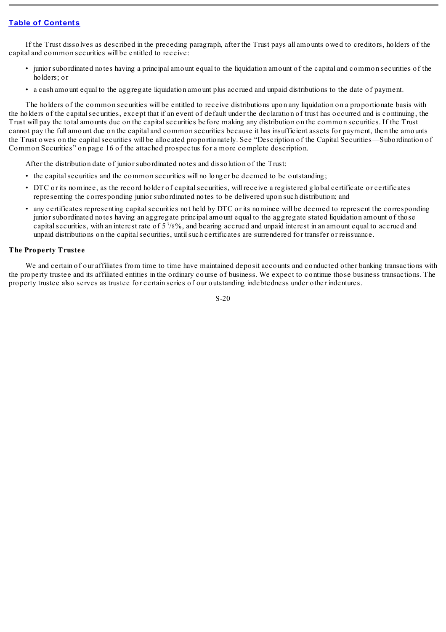If the Trust dissolves as described in the preceding paragraph, after the Trust pays all amounts owed to creditors, holders of the capital and common securities will be entitled to receive:

- junior subordinated notes having a principal amount equal to the liquidation amount of the capital and common securities of the holders; or
- a cash amount equal to the aggregate liquidation amount plus accrued and unpaid distributions to the date of payment.

The holders of the common securities will be entitled to receive distributions upon any liquidation on a proportionate basis with the holders of the capitalsecurities, except that if an event of default under the declaration of trust has occurred and is continuing, the Trust will pay the total amounts due on the capitalsecurities before making any distribution on the common securities. If the Trust cannot pay the full amount due on the capital and common securities because it has insufficient assets for payment, then the amounts the Trust owes on the capitalsecurities will be allocated proportionately. See "Description of the Capital Securities—Subordination of Common Securities" on page 16 of the attached prospectus for a more complete description.

After the distribution date of junior subordinated notes and dissolution of the Trust:

- the capital securities and the common securities will no longer be deemed to be outstanding;
- DTC or its nominee, as the record holder of capitalsecurities, will receive a registered global certificate or certificates representing the corresponding junior subordinated notes to be delivered upon such distribution; and
- any certificates representing capitalsecurities not held by DTC or its nominee will be deemed to represent the corresponding junior subordinated notes having an aggregate principal amount equal to the aggregate stated liquidation amount of those capital securities, with an interest rate of 5<sup>7</sup>/8%, and bearing accrued and unpaid interest in an amount equal to accrued and unpaid distributions on the capitalsecurities, untilsuch certificates are surrendered for transfer or reissuance.

## <span id="page-20-0"></span>**The Property Trustee**

We and certain of our affiliates from time to time have maintained deposit accounts and conducted other banking transactions with the property trustee and its affiliated entities in the ordinary course of business. We expect to continue those business transactions. The property trustee also serves as trustee for certain series of our outstanding indebtedness under other indentures.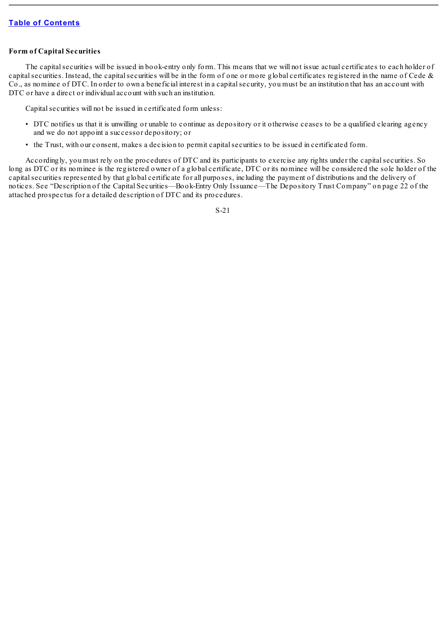# <span id="page-21-0"></span>**Form of Capital Securities**

The capitalsecurities will be issued in book-entry only form. This means that we will not issue actual certificates to each holder of capital securities. Instead, the capital securities will be in the form of one or more global certificates registered in the name of Cede  $\&$ Co., as nominee of DTC. In order to own a beneficial interest in a capitalsecurity, you must be an institution that has an account with DTC or have a direct or individual account with such an institution.

Capital securities will not be issued in certificated form unless:

- DTC notifies us that it is unwilling or unable to continue as depository or it otherwise ceases to be a qualified clearing agency and we do not appoint a successor depository; or
- the Trust, with our consent, makes a decision to permit capitalsecurities to be issued in certificated form.

Accordingly, you must rely on the procedures of DTC and its participants to exercise any rights under the capitalsecurities. So long as DTC or its nominee is the registered owner of a global certificate, DTC or its nominee will be considered the sole holder of the capitalsecurities represented by that global certificate for all purposes, including the payment of distributions and the delivery of notices. See "Description of the Capital Securities—Book-Entry Only Issuance—The Depository Trust Company" on page 22 of the attached prospectus for a detailed description of DTC and its procedures.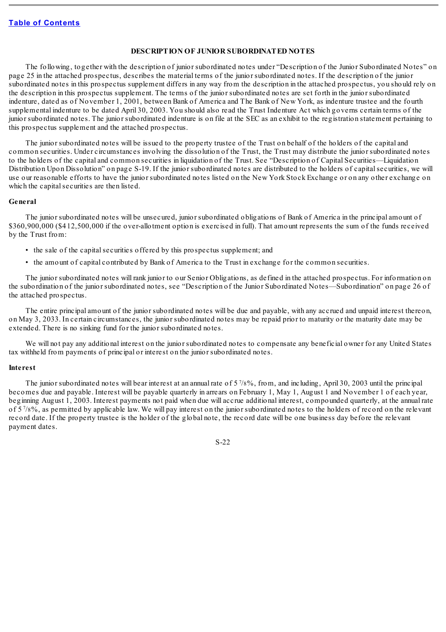#### **DESCRIPTION OF JUNIOR SUBORDINATED NOTES**

<span id="page-22-0"></span>The following, together with the description of junior subordinated notes under "Description of the Junior Subordinated Notes" on page 25 in the attached prospectus, describes the material terms of the junior subordinated notes. If the description of the junior subordinated notes in this prospectus supplement differs in any way from the description in the attached prospectus, you should rely on the description in this prospectus supplement. The terms of the junior subordinated notes are set forth in the junior subordinated indenture, dated as of November 1, 2001, between Bank of America and The Bank of New York, as indenture trustee and the fourth supplemental indenture to be dated April 30, 2003. You should also read the Trust Indenture Act which governs certain terms of the junior subordinated notes. The junior subordinated indenture is on file at the SEC as an exhibit to the registration statement pertaining to this prospectus supplement and the attached prospectus.

The junior subordinated notes will be issued to the property trustee of the Trust on behalf of the holders of the capital and common securities. Under circumstances involving the dissolution of the Trust, the Trust may distribute the junior subordinated notes to the holders of the capital and common securities in liquidation of the Trust. See "Description of Capital Securities—Liquidation Distribution Upon Dissolution" on page S-19. If the junior subordinated notes are distributed to the holders of capital securities, we will use our reasonable efforts to have the junior subordinated notes listed on the New York Stock Exchange or on any other exchange on which the capital securities are then listed.

#### <span id="page-22-1"></span>**General**

The junior subordinated notes will be unsecured, junior subordinated obligations of Bank of America in the principal amount of \$360,900,000 (\$412,500,000 if the over-allotment option is exercised in full). That amount represents the sum of the funds received by the Trust from:

- the sale of the capital securities offered by this prospectus supplement; and
- the amount of capital contributed by Bank of America to the Trust in exchange for the common securities.

The junior subordinated notes will rank junior to our Senior Obligations, as defined in the attached prospectus. For information on the subordination of the junior subordinated notes, see "Description of the Junior Subordinated Notes—Subordination" on page 26 of the attached prospectus.

The entire principal amount of the junior subordinated notes will be due and payable, with any accrued and unpaid interest thereon, on May 3, 2033. In certain circumstances, the junior subordinated notes may be repaid prior to maturity or the maturity date may be extended. There is no sinking fund for the junior subordinated notes.

We will not pay any additional interest on the junior subordinated notes to compensate any beneficial owner for any United States tax withheld from payments of principal or interest on the junior subordinated notes.

#### <span id="page-22-2"></span>**Interest**

The junior subordinated notes will bear interest at an annual rate of 5/8%, from, and including, April 30, 2003 until the principal becomes due and payable. Interest will be payable quarterly in arrears on February 1, May 1, August 1 and November 1 of each year, beginning August 1, 2003. Interest payments not paid when due will accrue additional interest, compounded quarterly, at the annual rate of 5<sup>7</sup>/8%, as permitted by applicable law. We will pay interest on the junior subordinated notes to the holders of record on the relevant record date. If the property trustee is the holder of the global note, the record date will be one business day before the relevant payment dates.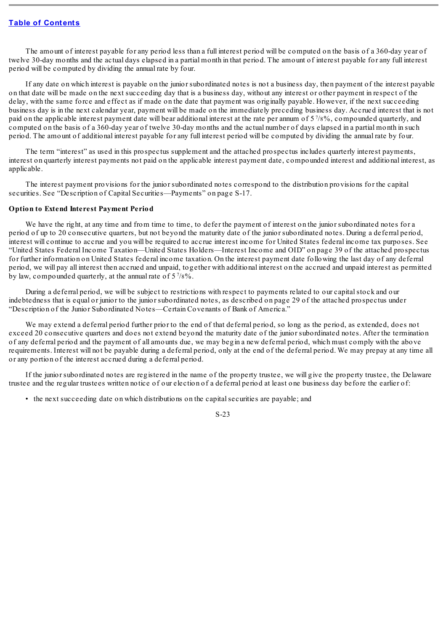The amount of interest payable for any period less than a full interest period will be computed on the basis of a 360-day year of twelve 30-day months and the actual days elapsed in a partial month in that period. The amount of interest payable for any full interest period will be computed by dividing the annual rate by four.

If any date on which interest is payable on the junior subordinated notes is not a business day, then payment of the interest payable on that date will be made on the next succeeding day that is a business day, without any interest or other payment in respect of the delay, with the same force and effect as if made on the date that payment was originally payable. However, if the next succeeding business day is in the next calendar year, payment will be made on the immediately preceding business day. Accrued interest that is not paid on the applicable interest payment date will bear additional interest at the rate per annum of 5%%, compounded quarterly, and computed on the basis of a 360-day year of twelve 30-day months and the actual number of days elapsed in a partial month in such period. The amount of additional interest payable for any full interest period will be computed by dividing the annual rate by four.

The term "interest" as used in this prospectus supplement and the attached prospectus includes quarterly interest payments, interest on quarterly interest payments not paid on the applicable interest payment date, compounded interest and additional interest, as applicable.

The interest payment provisions for the junior subordinated notes correspond to the distribution provisions for the capital securities. See "Description of Capital Securities—Payments" on page S-17.

#### <span id="page-23-0"></span>**Option to Extend Interest Payment Period**

We have the right, at any time and from time to time, to defer the payment of interest on the junior subordinated notes for a period of up to 20 consecutive quarters, but not beyond the maturity date of the junior subordinated notes. During a deferral period, interest will continue to accrue and you will be required to accrue interest income for United States federal income tax purposes. See "United States Federal Income Taxation—United States Holders—Interest Income and OID" on page 39 of the attached prospectus for further information on United States federal income taxation. On the interest payment date following the last day of any deferral period, we will pay all interest then accrued and unpaid, together with additional interest on the accrued and unpaid interest as permitted by law, compounded quarterly, at the annual rate of  $5\frac{7}{8}\%$ .

During a deferral period, we will be subject to restrictions with respect to payments related to our capital stock and our indebtedness that is equal or junior to the junior subordinated notes, as described on page 29 of the attached prospectus under "Description of the Junior Subordinated Notes—Certain Covenants of Bank of America."

We may extend a deferral period further prior to the end of that deferral period, so long as the period, as extended, does not exceed 20 consecutive quarters and does not extend beyond the maturity date of the junior subordinated notes. After the termination of any deferral period and the payment of all amounts due, we may begin a new deferral period, which must comply with the above requirements. Interest will not be payable during a deferral period, only at the end of the deferral period. We may prepay at any time all or any portion of the interest accrued during a deferral period.

If the junior subordinated notes are registered in the name of the property trustee, we will give the property trustee, the Delaware trustee and the regular trustees written notice of our election of a deferral period at least one business day before the earlier of:

• the next succeeding date on which distributions on the capitalsecurities are payable; and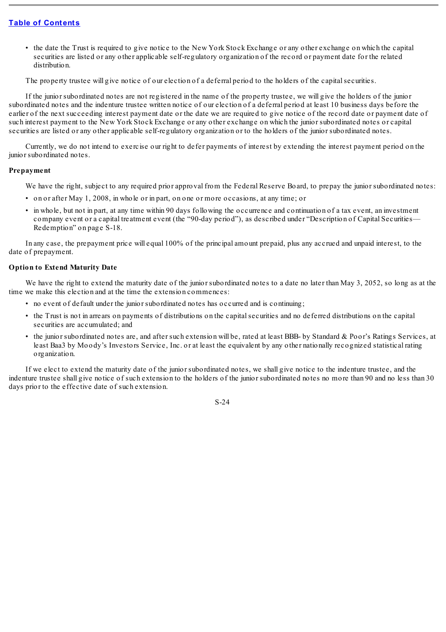• the date the Trust is required to give notice to the New York Stock Exchange or any other exchange on which the capital securities are listed or any other applicable self-regulatory organization of the record or payment date for the related distribution.

The property trustee will give notice of our election of a deferral period to the holders of the capitalsecurities.

If the junior subordinated notes are not registered in the name of the property trustee, we will give the holders of the junior subordinated notes and the indenture trustee written notice of our election of a deferral period at least 10 business days before the earlier of the next succeeding interest payment date or the date we are required to give notice of the record date or payment date of such interest payment to the New York Stock Exchange or any other exchange on which the junior subordinated notes or capital securities are listed or any other applicable self-regulatory organization or to the holders of the junior subordinated notes.

Currently, we do not intend to exercise our right to defer payments of interest by extending the interest payment period on the junior subordinated notes.

#### <span id="page-24-0"></span>**Prepayment**

We have the right, subject to any required prior approval from the Federal Reserve Board, to prepay the junior subordinated notes:

- on or after May 1, 2008, in whole or in part, on one or more occasions, at any time; or
- in whole, but not in part, at any time within 90 days following the occurrence and continuation of a tax event, an investment company event or a capital treatment event (the "90-day period"), as described under "Description of Capital Securities— Redemption" on page S-18.

In any case, the prepayment price will equal 100% of the principal amount prepaid, plus any accrued and unpaid interest, to the date of prepayment.

# <span id="page-24-1"></span>**Option to Extend Maturity Date**

We have the right to extend the maturity date of the junior subordinated notes to a date no later than May 3, 2052, so long as at the time we make this election and at the time the extension commences:

- no event of default under the junior subordinated notes has occurred and is continuing;
- the Trust is not in arrears on payments of distributions on the capital securities and no deferred distributions on the capital securities are accumulated; and
- the junior subordinated notes are, and after such extension will be, rated at least BBB- by Standard & Poor's Ratings Services, at least Baa3 by Moody's Investors Service, Inc. or at least the equivalent by any other nationally recognized statistical rating organization.

If we elect to extend the maturity date of the junior subordinated notes, we shall give notice to the indenture trustee, and the indenture trustee shall give notice of such extension to the holders of the junior subordinated notes no more than 90 and no less than 30 days prior to the effective date of such extension.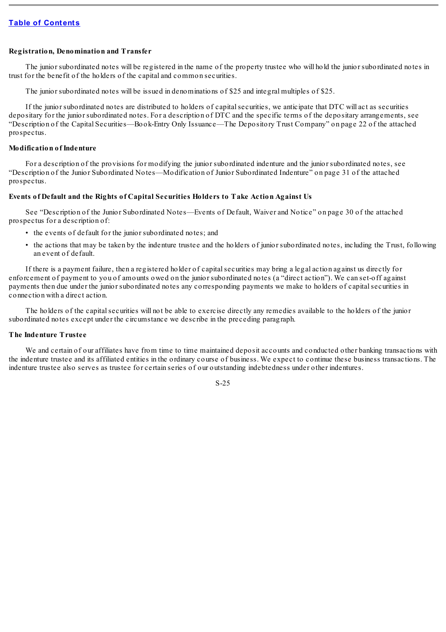#### <span id="page-25-0"></span>**Registration, Denomination and Transfer**

The junior subordinated notes will be registered in the name of the property trustee who will hold the junior subordinated notes in trust for the benefit of the holders of the capital and common securities.

The junior subordinated notes will be issued in denominations of \$25 and integral multiples of \$25.

If the junior subordinated notes are distributed to holders of capitalsecurities, we anticipate that DTC will act as securities depositary for the junior subordinated notes. For a description of DTC and the specific terms of the depositary arrangements, see "Description of the Capital Securities—Book-Entry Only Issuance—The Depository Trust Company" on page 22 of the attached prospectus.

## <span id="page-25-1"></span>**Modification of Indenture**

For a description of the provisions for modifying the junior subordinated indenture and the junior subordinated notes, see "Description of the Junior Subordinated Notes—Modification of Junior Subordinated Indenture" on page 31 of the attached prospectus.

# <span id="page-25-2"></span>**Events of Default and the Rights of Capital Securities Holders to Take Action Against Us**

See "Description of the Junior Subordinated Notes—Events of Default, Waiver and Notice" on page 30 of the attached prospectus for a description of:

- the events of default for the junior subordinated notes; and
- the actions that may be taken by the indenture trustee and the holders of junior subordinated notes, including the Trust, following an event of default.

If there is a payment failure, then a registered holder of capitalsecurities may bring a legal action against us directly for enforcement of payment to you of amounts owed on the junior subordinated notes (a "direct action"). We can set-off against payments then due under the junior subordinated notes any corresponding payments we make to holders of capitalsecurities in connection with a direct action.

The holders of the capitalsecurities will not be able to exercise directly any remedies available to the holders of the junior subordinated notes except under the circumstance we describe in the preceding paragraph.

# <span id="page-25-3"></span>**The Indenture Trustee**

We and certain of our affiliates have from time to time maintained deposit accounts and conducted other banking transactions with the indenture trustee and its affiliated entities in the ordinary course of business. We expect to continue these business transactions. The indenture trustee also serves as trustee for certain series of our outstanding indebtedness under other indentures.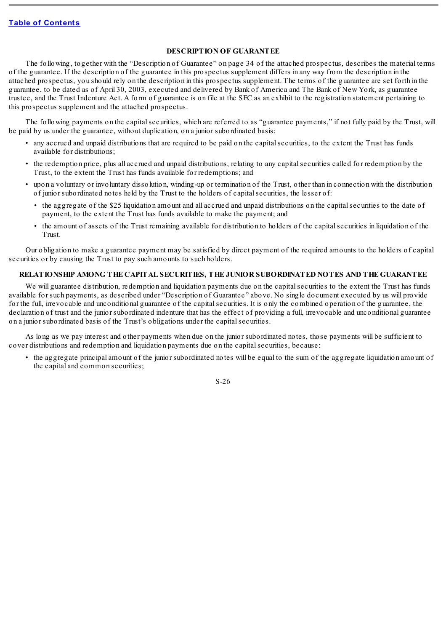## **DESCRIPTION OF GUARANTEE**

<span id="page-26-0"></span>The following, together with the "Description of Guarantee" on page 34 of the attached prospectus, describes the material terms of the guarantee. If the description of the guarantee in this prospectus supplement differs in any way from the description in the attached prospectus, you should rely on the description in this prospectus supplement. The terms of the guarantee are set forth in the guarantee, to be dated as of April 30, 2003, executed and delivered by Bank of America and The Bank of New York, as guarantee trustee, and the Trust Indenture Act. A form of guarantee is on file at the SEC as an exhibit to the registration statement pertaining to this prospectus supplement and the attached prospectus.

The following payments on the capital securities, which are referred to as "guarantee payments," if not fully paid by the Trust, will be paid by us under the guarantee, without duplication, on a junior subordinated basis:

- any accrued and unpaid distributions that are required to be paid on the capitalsecurities, to the extent the Trust has funds available for distributions;
- the redemption price, plus all accrued and unpaid distributions, relating to any capitalsecurities called for redemption by the Trust, to the extent the Trust has funds available for redemptions; and
- upon a voluntary or involuntary dissolution, winding-up or termination of the Trust, other than in connection with the distribution of junior subordinated notes held by the Trust to the holders of capitalsecurities, the lesser of:
	- the aggregate of the \$25 liquidation amount and all accrued and unpaid distributions on the capital securities to the date of payment, to the extent the Trust has funds available to make the payment; and
	- the amount of assets of the Trust remaining available for distribution to holders of the capitalsecurities in liquidation of the Trust.

Our obligation to make a guarantee payment may be satisfied by direct payment of the required amounts to the holders of capital securities or by causing the Trust to pay such amounts to such holders.

# <span id="page-26-1"></span>**RELATIONSHIP AMONG THE CAPITAL SECURITIES, THE JUNIOR SUBORDINATED NOTES AND THE GUARANTEE**

We will guarantee distribution, redemption and liquidation payments due on the capital securities to the extent the Trust has funds available for such payments, as described under "Description of Guarantee" above. No single document executed by us will provide for the full, irrevocable and unconditional guarantee of the capitalsecurities. It is only the combined operation of the guarantee, the declaration of trust and the junior subordinated indenture that has the effect of providing a full, irrevocable and unconditional guarantee on a junior subordinated basis of the Trust's obligations under the capital securities.

As long as we pay interest and other payments when due on the junior subordinated notes, those payments will be sufficient to cover distributions and redemption and liquidation payments due on the capitalsecurities, because:

• the aggregate principal amount of the junior subordinated notes will be equal to the sum of the aggregate liquidation amount of the capital and common securities;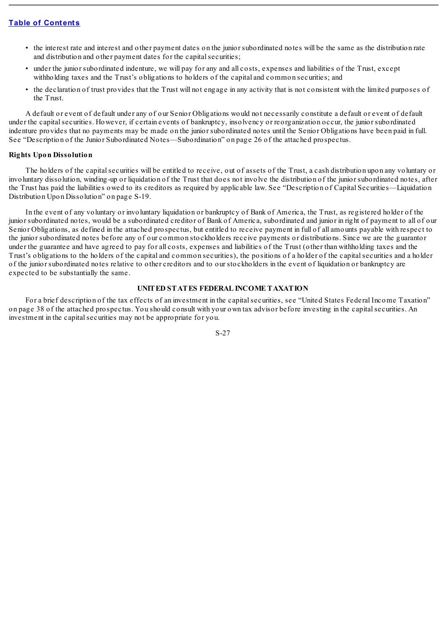- the interest rate and interest and other payment dates on the junior subordinated notes will be the same as the distribution rate and distribution and other payment dates for the capital securities;
- under the junior subordinated indenture, we will pay for any and all costs, expenses and liabilities of the Trust, except withholding taxes and the Trust's obligations to holders of the capital and common securities; and
- the declaration of trust provides that the Trust will not engage in any activity that is not consistent with the limited purposes of the Trust.

A default or event of default under any of our Senior Obligations would not necessarily constitute a default or event of default under the capitalsecurities. However, if certain events of bankruptcy, insolvency or reorganization occur, the junior subordinated indenture provides that no payments may be made on the junior subordinated notes until the Senior Obligations have been paid in full. See "Description of the Junior Subordinated Notes—Subordination" on page 26 of the attached prospectus.

## <span id="page-27-0"></span>**Rights Upon Dissolution**

The holders of the capitalsecurities will be entitled to receive, out of assets of the Trust, a cash distribution upon any voluntary or involuntary dissolution, winding-up or liquidation of the Trust that does not involve the distribution of the junior subordinated notes, after the Trust has paid the liabilities owed to its creditors as required by applicable law. See "Description of Capital Securities—Liquidation Distribution Upon Dissolution" on page S-19.

In the event of any voluntary or involuntary liquidation or bankruptcy of Bank of America, the Trust, as registered holder of the junior subordinated notes, would be a subordinated creditor of Bank of America, subordinated and junior in right of payment to all of our Senior Obligations, as defined in the attached prospectus, but entitled to receive payment in full of all amounts payable with respect to the junior subordinated notes before any of our common stockholders receive payments or distributions. Since we are the guarantor under the guarantee and have agreed to pay for all costs, expenses and liabilities of the Trust (other than withholding taxes and the Trust's obligations to the holders of the capital and common securities), the positions of a holder of the capitalsecurities and a holder of the junior subordinated notes relative to other creditors and to our stockholders in the event of liquidation or bankruptcy are expected to be substantially the same.

# **UNITED STATES FEDERAL INCOME TAXATION**

<span id="page-27-1"></span>For a brief description of the tax effects of an investment in the capitalsecurities, see "United States Federal Income Taxation" on page 38 of the attached prospectus. You should consult with your own tax advisor before investing in the capitalsecurities. An investment in the capital securities may not be appropriate for you.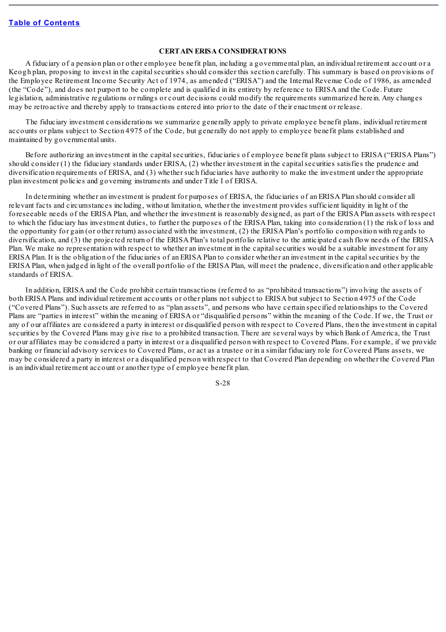#### **CERTAIN ERISA CONSIDERATIONS**

<span id="page-28-0"></span>A fiduciary of a pension plan or other employee benefit plan, including a governmental plan, an individual retirement account or a Keogh plan, proposing to invest in the capitalsecurities should consider this section carefully. This summary is based on provisions of the Employee Retirement Income Security Act of 1974, as amended ("ERISA") and the Internal Revenue Code of 1986, as amended (the "Code"), and does not purport to be complete and is qualified in its entirety by reference to ERISA and the Code. Future legislation, administrative regulations or rulings or court decisions could modify the requirements summarized herein. Any changes may be retroactive and thereby apply to transactions entered into prior to the date of their enactment or release.

The fiduciary investment considerations we summarize generally apply to private employee benefit plans, individual retirement accounts or plans subject to Section 4975 of the Code, but generally do not apply to employee benefit plans established and maintained by governmental units.

Before authorizing an investment in the capital securities, fiduciaries of employee benefit plans subject to ERISA ("ERISA Plans") should consider (1) the fiduciary standards under ERISA, (2) whether investment in the capital securities satisfies the prudence and diversification requirements of ERISA, and (3) whether such fiduciaries have authority to make the investment under the appropriate plan investment policies and governing instruments and under Title I of ERISA.

In determining whether an investment is prudent for purposes of ERISA, the fiduciaries of an ERISA Plan should consider all relevant facts and circumstances including, without limitation, whether the investment provides sufficient liquidity in light of the foreseeable needs of the ERISA Plan, and whether the investment is reasonably designed, as part of the ERISA Plan assets with respect to which the fiduciary has investment duties, to further the purposes of the ERISA Plan, taking into consideration (1) the risk of loss and the opportunity for gain (or other return) associated with the investment, (2) the ERISA Plan's portfolio composition with regards to diversification, and (3) the projected return of the ERISA Plan's total portfolio relative to the anticipated cash flow needs of the ERISA Plan. We make no representation with respect to whether an investment in the capitalsecurities would be a suitable investment for any ERISA Plan. It is the obligation of the fiduciaries of an ERISA Plan to consider whether an investment in the capitalsecurities by the ERISA Plan, when judged in light of the overall portfolio of the ERISA Plan, will meet the prudence, diversification and other applicable standards of ERISA.

In addition, ERISA and the Code prohibit certain transactions (referred to as "prohibited transactions") involving the assets of both ERISA Plans and individual retirement accounts or other plans not subject to ERISA but subject to Section 4975 of the Code ("Covered Plans"). Such assets are referred to as "plan assets", and persons who have certain specified relationships to the Covered Plans are "parties in interest" within the meaning of ERISA or "disqualified persons" within the meaning of the Code. If we, the Trust or any of our affiliates are considered a party in interest or disqualified person with respect to Covered Plans, then the investment in capital securities by the Covered Plans may give rise to a prohibited transaction. There are several ways by which Bank of America, the Trust or our affiliates may be considered a party in interest or a disqualified person with respect to Covered Plans. For example, if we provide banking or financial advisory services to Covered Plans, or act as a trustee or in a similar fiduciary role for Covered Plans assets, we may be considered a party in interest or a disqualified person with respect to that Covered Plan depending on whether the Covered Plan is an individual retirement account or another type of employee benefit plan.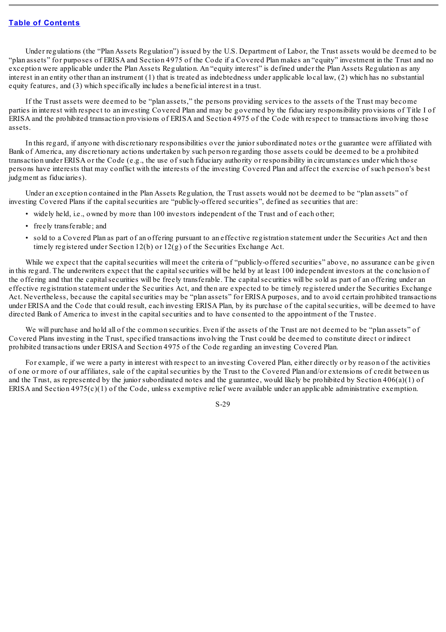Under regulations (the "Plan Assets Regulation") issued by the U.S. Department of Labor, the Trust assets would be deemed to be "plan assets" for purposes of ERISA and Section 4975 of the Code if a Covered Plan makes an "equity" investment in the Trust and no exception were applicable under the Plan Assets Regulation. An "equity interest" is defined under the Plan Assets Regulation as any interest in an entity other than an instrument (1) that is treated as indebtedness under applicable local law, (2) which has no substantial equity features, and (3) which specifically includes a beneficial interest in a trust.

If the Trust assets were deemed to be "plan assets," the persons providing services to the assets of the Trust may become parties in interest with respect to an investing Covered Plan and may be governed by the fiduciary responsibility provisions of Title I of ERISA and the prohibited transaction provisions of ERISA and Section 4975 of the Code with respect to transactions involving those assets.

In this regard, if anyone with discretionary responsibilities over the junior subordinated notes or the guarantee were affiliated with Bank of America, any discretionary actions undertaken by such person regarding those assets could be deemed to be a prohibited transaction under ERISA or the Code (e.g., the use of such fiduciary authority or responsibility in circumstances under which those persons have interests that may conflict with the interests of the investing Covered Plan and affect the exercise of such person's best judgment as fiduciaries).

Under an exception contained in the Plan Assets Regulation, the Trust assets would not be deemed to be "plan assets" of investing Covered Plans if the capitalsecurities are "publicly-offered securities", defined as securities that are:

- widely held, i.e., owned by more than 100 investors independent of the Trust and of each other;
- freely transferable; and
- sold to a Covered Plan as part of an offering pursuant to an effective registration statement under the Securities Act and then timely registered under Section 12(b) or 12(g) of the Securities Exchange Act.

While we expect that the capital securities will meet the criteria of "publicly-offered securities" above, no assurance can be given in this regard. The underwriters expect that the capital securities will be held by at least 100 independent investors at the conclusion of the offering and that the capital securities will be freely transferable. The capital securities will be sold as part of an offering under an effective registration statement under the Securities Act, and then are expected to be timely registered under the Securities Exchange Act. Nevertheless, because the capital securities may be "plan assets" for ERISA purposes, and to avoid certain prohibited transactions under ERISA and the Code that could result, each investing ERISA Plan, by its purchase of the capitalsecurities, will be deemed to have directed Bank of America to invest in the capital securities and to have consented to the appointment of the Trustee.

We will purchase and hold all of the common securities. Even if the assets of the Trust are not deemed to be "plan assets" of Covered Plans investing in the Trust, specified transactions involving the Trust could be deemed to constitute direct or indirect prohibited transactions under ERISA and Section 4975 of the Code regarding an investing Covered Plan.

For example, if we were a party in interest with respect to an investing Covered Plan, either directly or by reason of the activities of one or more of our affiliates, sale of the capitalsecurities by the Trust to the Covered Plan and/or extensions of credit between us and the Trust, as represented by the junior subordinated notes and the guarantee, would likely be prohibited by Section  $406(a)(1)$  of ERISA and Section 4975(c)(1) of the Code, unless exemptive relief were available under an applicable administrative exemption.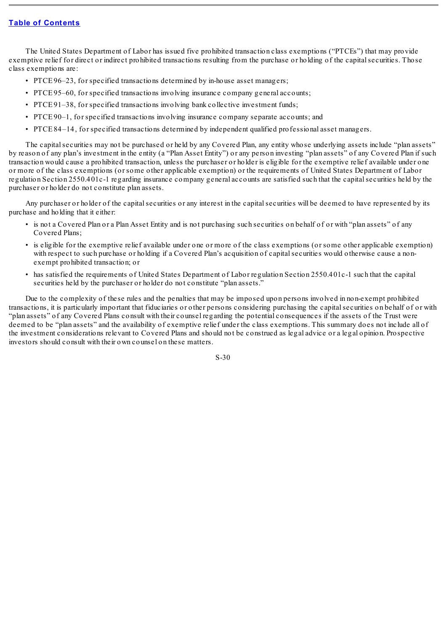The United States Department of Labor has issued five prohibited transaction class exemptions ("PTCEs") that may provide exemptive relief for direct or indirect prohibited transactions resulting from the purchase or holding of the capital securities. Those class exemptions are:

- PTCE 96–23, for specified transactions determined by in-house asset managers;
- PTCE 95–60, for specified transactions involving insurance company general accounts;
- PTCE 91–38, for specified transactions involving bank collective investment funds;
- PTCE 90–1, for specified transactions involving insurance company separate accounts; and
- PTCE 84–14, for specified transactions determined by independent qualified professional asset managers.

The capital securities may not be purchased or held by any Covered Plan, any entity whose underlying assets include "plan assets" by reason of any plan's investment in the entity (a "Plan Asset Entity") or any person investing "plan assets" of any Covered Plan if such transaction would cause a prohibited transaction, unless the purchaser or holder is eligible for the exemptive relief available under one or more of the class exemptions (or some other applicable exemption) or the requirements of United States Department of Labor regulation Section 2550.401c-1 regarding insurance company general accounts are satisfied such that the capitalsecurities held by the purchaser or holder do not constitute plan assets.

Any purchaser or holder of the capital securities or any interest in the capital securities will be deemed to have represented by its purchase and holding that it either:

- is not a Covered Plan or a Plan Asset Entity and is not purchasing such securities on behalf of or with "plan assets" of any Covered Plans;
- is eligible for the exemptive relief available under one or more of the class exemptions (or some other applicable exemption) with respect to such purchase or holding if a Covered Plan's acquisition of capital securities would otherwise cause a nonexempt prohibited transaction; or
- has satisfied the requirements of United States Department of Labor regulation Section 2550.401c-1 such that the capital securities held by the purchaser or holder do not constitute "plan assets."

Due to the complexity of these rules and the penalties that may be imposed upon persons involved in non-exempt prohibited transactions, it is particularly important that fiduciaries or other persons considering purchasing the capitalsecurities on behalf of or with "plan assets" of any Covered Plans consult with their counsel regarding the potential consequences if the assets of the Trust were deemed to be "plan assets" and the availability of exemptive relief under the class exemptions. This summary does not include all of the investment considerations relevant to Covered Plans and should not be construed as legal advice or a legal opinion. Prospective investors should consult with their own counsel on these matters.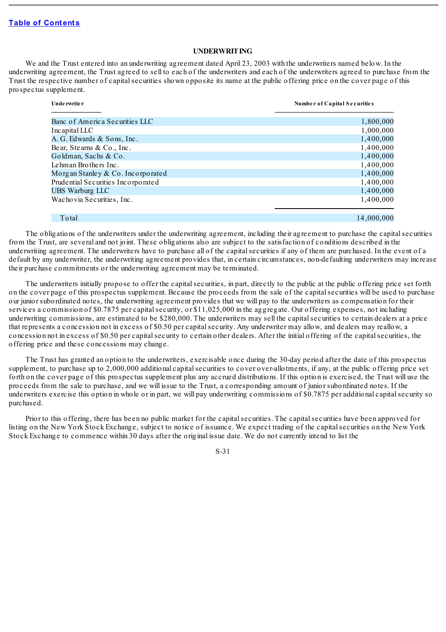## **UNDERWRITING**

<span id="page-31-0"></span>We and the Trust entered into an underwriting agreement dated April 23, 2003 with the underwriters named below. In the underwriting agreement, the Trust agreed to sell to each of the underwriters and each of the underwriters agreed to purchase from the Trust the respective number of capital securities shown opposite its name at the public offering price on the cover page of this prospectus supplement.

| Unde rwrite r                         | Number of Capital Securities |
|---------------------------------------|------------------------------|
|                                       |                              |
| Banc of America Securities LLC        | 1,800,000                    |
| Incapital LLC                         | 1,000,000                    |
| A. G. Edwards & Sons, Inc.            | 1,400,000                    |
| Bear, Stearns & Co., Inc.             | 1,400,000                    |
| Goldman, Sachs & Co.                  | 1,400,000                    |
| Lehman Brothers Inc.                  | 1,400,000                    |
| Morgan Stanley $& Co. Inco$ roughlend | 1,400,000                    |
| Prudential Securities Incorporated    | 1,400,000                    |
| <b>UBS</b> Warburg LLC                | 1,400,000                    |
| Wachovia Securities, Inc.             | 1,400,000                    |
|                                       |                              |
| Total                                 | 14.000.000                   |

The obligations of the underwriters under the underwriting agreement, including their agreement to purchase the capital securities from the Trust, are several and not joint. These obligations also are subject to the satisfaction of conditions described in the underwriting agreement. The underwriters have to purchase all of the capitalsecurities if any of them are purchased. In the event of a default by any underwriter, the underwriting agreement provides that, in certain circumstances, non-defaulting underwriters may increase

their purchase commitments or the underwriting agreement may be terminated.

The underwriters initially propose to offer the capitalsecurities, in part, directly to the public at the public offering price set forth on the cover page of this prospectus supplement. Because the proceeds from the sale of the capitalsecurities will be used to purchase our junior subordinated notes, the underwriting agreement provides that we will pay to the underwriters as compensation for their services a commission of \$0.7875 per capital security, or \$11,025,000 in the aggregate. Our offering expenses, not including underwriting commissions, are estimated to be \$280,000. The underwriters may sell the capitalsecurities to certain dealers at a price that represents a concession not in excess of \$0.50 per capitalsecurity. Any underwriter may allow, and dealers may reallow, a concession not in excess of \$0.50 per capitalsecurity to certain other dealers. After the initial offering of the capitalsecurities, the offering price and these concessions may change.

The Trust has granted an option to the underwriters, exercisable once during the 30-day period after the date of this prospectus supplement, to purchase up to 2,000,000 additional capital securities to cover over-allotments, if any, at the public offering price set forth on the cover page of this prospectus supplement plus any accrued distributions. If this option is exercised, the Trust will use the proceeds from the sale to purchase, and we will issue to the Trust, a corresponding amount of junior subordinated notes. If the underwriters exercise this option in whole or in part, we will pay underwriting commissions of \$0.7875 per additional capitalsecurity so purchased.

Prior to this offering, there has been no public market for the capital securities. The capital securities have been approved for listing on the New York Stock Exchange, subject to notice of issuance. We expect trading of the capitalsecurities on the New York Stock Exchange to commence within 30 days after the original issue date. We do not currently intend to list the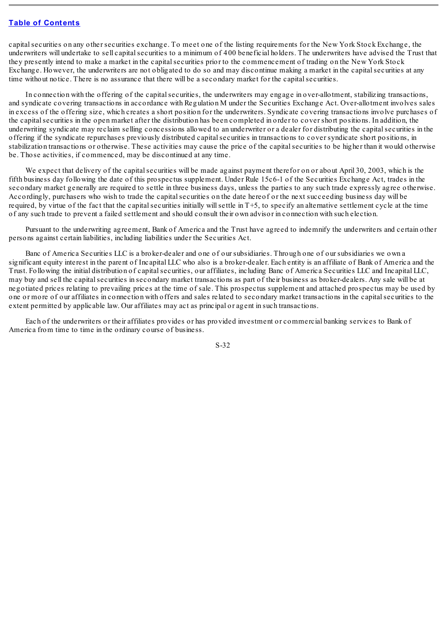capitalsecurities on any other securities exchange. To meet one of the listing requirements for the New York Stock Exchange, the underwriters will undertake to sell capitalsecurities to a minimum of 400 beneficial holders. The underwriters have advised the Trust that they presently intend to make a market in the capitalsecurities prior to the commencement of trading on the New York Stock Exchange. However, the underwriters are not obligated to do so and may discontinue making a market in the capitalsecurities at any time without notice. There is no assurance that there will be a secondary market for the capital securities.

In connection with the offering of the capital securities, the underwriters may engage in over-allotment, stabilizing transactions, and syndicate covering transactions in accordance with Regulation M under the Securities Exchange Act. Over-allotment involves sales in excess of the offering size, which creates a short position for the underwriters. Syndicate covering transactions involve purchases of the capitalsecurities in the open market after the distribution has been completed in order to cover short positions. In addition, the underwriting syndicate may reclaim selling concessions allowed to an underwriter or a dealer for distributing the capitalsecurities in the offering if the syndicate repurchases previously distributed capitalsecurities in transactions to cover syndicate short positions, in stabilization transactions or otherwise. These activities may cause the price of the capitalsecurities to be higher than it would otherwise be. Those activities, if commenced, may be discontinued at any time.

We expect that delivery of the capital securities will be made against payment therefor on or about April 30, 2003, which is the fifth business day following the date of this prospectus supplement. Under Rule 15c6-1 of the Securities Exchange Act, trades in the secondary market generally are required to settle in three business days, unless the parties to any such trade expressly agree otherwise. Accordingly, purchasers who wish to trade the capitalsecurities on the date hereof or the next succeeding business day will be required, by virtue of the fact that the capital securities initially will settle in T+5, to specify an alternative settlement cycle at the time of any such trade to prevent a failed settlement and should consult their own advisor in connection with such election.

Pursuant to the underwriting agreement, Bank of America and the Trust have agreed to indemnify the underwriters and certain other persons against certain liabilities, including liabilities under the Securities Act.

Banc of America Securities LLC is a broker-dealer and one of our subsidiaries. Through one of our subsidiaries we own a significant equity interest in the parent of Incapital LLC who also is a broker-dealer. Each entity is an affiliate of Bank of America and the Trust. Following the initial distribution of capital securities, our affiliates, including Banc of America Securities LLC and Incapital LLC, may buy and sell the capitalsecurities in secondary market transactions as part of their business as broker-dealers. Any sale will be at negotiated prices relating to prevailing prices at the time of sale. This prospectus supplement and attached prospectus may be used by one or more of our affiliates in connection with offers and sales related to secondary market transactions in the capitalsecurities to the extent permitted by applicable law. Our affiliates may act as principal or agent in such transactions.

Each of the underwriters or their affiliates provides or has provided investment or commercial banking services to Bank of America from time to time in the ordinary course of business.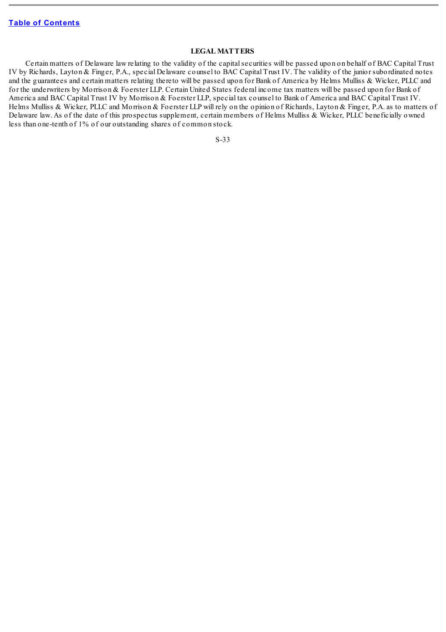# **LEGAL MATTERS**

<span id="page-33-0"></span>Certain matters of Delaware law relating to the validity of the capitalsecurities will be passed upon on behalf of BAC Capital Trust IV by Richards, Layton & Finger, P.A., special Delaware counsel to BAC Capital Trust IV. The validity of the junior subordinated notes and the guarantees and certain matters relating thereto will be passed upon for Bank of America by Helms Mulliss & Wicker, PLLC and for the underwriters by Morrison & Foerster LLP. Certain United States federal income tax matters will be passed upon for Bank of America and BAC Capital Trust IV by Morrison & Foerster LLP, special tax counsel to Bank of America and BAC Capital Trust IV. Helms Mulliss & Wicker, PLLC and Morrison & Foerster LLP will rely on the opinion of Richards, Layton & Finger, P.A. as to matters of Delaware law. As of the date of this prospectus supplement, certain members of Helms Mulliss & Wicker, PLLC beneficially owned less than one-tenth of 1% of our outstanding shares of common stock.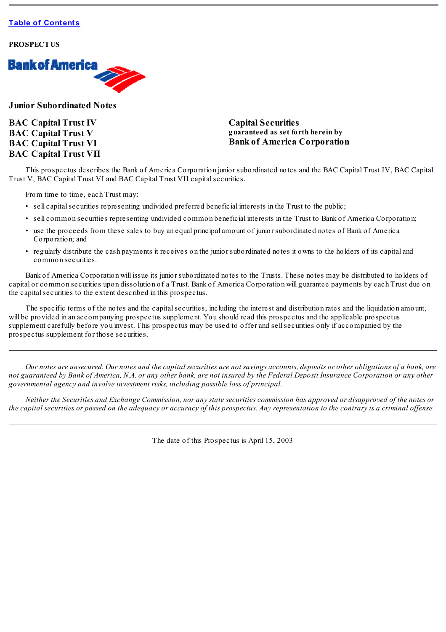

**Junior Subordinated Notes**

**BAC Capital Trust IV BAC Capital Trust V BAC Capital Trust VI BAC Capital Trust VII** **Capital Securities guaranteed as set forth herein by Bank of America Corporation**

This prospectus describes the Bank of America Corporation junior subordinated notes and the BAC Capital Trust IV, BAC Capital Trust V, BAC Capital Trust VI and BAC Capital Trust VII capitalsecurities.

From time to time, each Trust may:

- sell capital securities representing undivided preferred beneficial interests in the Trust to the public;
- sell common securities representing undivided common beneficial interests in the Trust to Bank of America Corporation;
- use the proceeds from these sales to buy an equal principal amount of junior subordinated notes of Bank of America Corporation; and
- regularly distribute the cash payments it receives on the junior subordinated notes it owns to the holders of its capital and common securities.

Bank of America Corporation will issue its junior subordinated notes to the Trusts. These notes may be distributed to holders of capital or common securities upon dissolution of a Trust. Bank of America Corporation will guarantee payments by each Trust due on the capital securities to the extent described in this prospectus.

The specific terms of the notes and the capitalsecurities, including the interest and distribution rates and the liquidation amount, will be provided in an accompanying prospectus supplement. You should read this prospectus and the applicable prospectus supplement carefully before you invest. This prospectus may be used to offer and sellsecurities only if accompanied by the prospectus supplement for those securities.

Our notes are unsecured. Our notes and the capital securities are not savings accounts, deposits or other obligations of a bank, are not guaranteed by Bank of America, N.A. or any other bank, are not insured by the Federal Deposit Insurance Corporation or any other *governmental agency and involve investment risks, including possible loss of principal.*

Neither the Securities and Exchange Commission, nor any state securities commission has approved or disapproved of the notes or the capital securities or passed on the adequacy or accuracy of this prospectus. Any representation to the contrary is a criminal offense.

The date of this Prospectus is April 15, 2003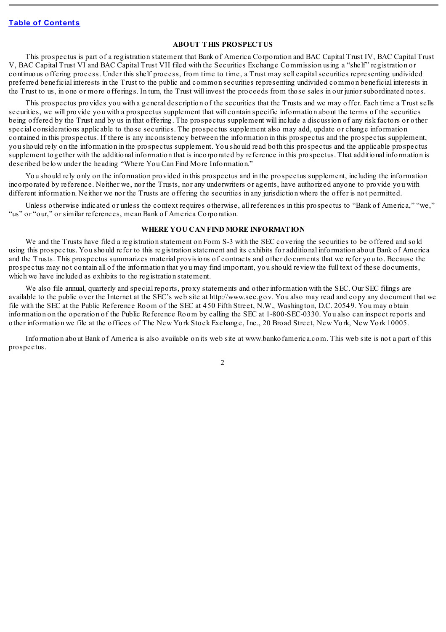## **ABOUT THIS PROSPECTUS**

<span id="page-35-0"></span>This prospectus is part of a registration statement that Bank of America Corporation and BAC Capital Trust IV, BAC Capital Trust V, BAC Capital Trust VI and BAC Capital Trust VII filed with the Securities Exchange Commission using a "shelf" registration or continuous offering process. Under this shelf process, from time to time, a Trust may sell capitalsecurities representing undivided preferred beneficial interests in the Trust to the public and common securities representing undivided common beneficial interests in the Trust to us, in one or more offerings. In turn, the Trust will invest the proceeds from those sales in our junior subordinated notes.

This prospectus provides you with a general description of the securities that the Trusts and we may offer. Each time a Trust sells securities, we will provide you with a prospectus supplement that will contain specific information about the terms of the securities being offered by the Trust and by us in that offering. The prospectus supplement will include a discussion of any risk factors or other special considerations applicable to those securities. The prospectus supplement also may add, update or change information contained in this prospectus. If there is any inconsistency between the information in this prospectus and the prospectus supplement, you should rely on the information in the prospectus supplement. You should read both this prospectus and the applicable prospectus supplement together with the additional information that is incorporated by reference in this prospectus. That additional information is described below under the heading "Where You Can Find More Information."

You should rely only on the information provided in this prospectus and in the prospectus supplement, including the information incorporated by reference. Neither we, nor the Trusts, nor any underwriters or agents, have authorized anyone to provide you with different information. Neither we nor the Trusts are offering the securities in any jurisdiction where the offer is not permitted.

Unless otherwise indicated or unless the context requires otherwise, all references in this prospectus to "Bank of America," "we," "us" or "our," or similar references, mean Bank of America Corporation.

## **WHERE YOU CAN FIND MORE INFORMATION**

<span id="page-35-1"></span>We and the Trusts have filed a registration statement on Form S-3 with the SEC covering the securities to be offered and sold using this prospectus. You should refer to this registration statement and its exhibits for additional information about Bank of America and the Trusts. This prospectus summarizes material provisions of contracts and other documents that we refer you to. Because the prospectus may not contain all of the information that you may find important, you should review the full text of these documents, which we have included as exhibits to the registration statement.

We also file annual, quarterly and special reports, proxy statements and other information with the SEC. Our SEC filings are available to the public over the Internet at the SEC's web site at http://www.sec.gov. You also may read and copy any document that we file with the SEC at the Public Reference Room of the SEC at 450 Fifth Street, N.W., Washington, D.C. 20549. You may obtain information on the operation of the Public Reference Room by calling the SEC at 1-800-SEC-0330. You also can inspect reports and other information we file at the offices of The New York Stock Exchange, Inc., 20 Broad Street, New York, New York 10005.

Information about Bank of America is also available on its web site at www.bankofamerica.com. This web site is not a part of this prospectus.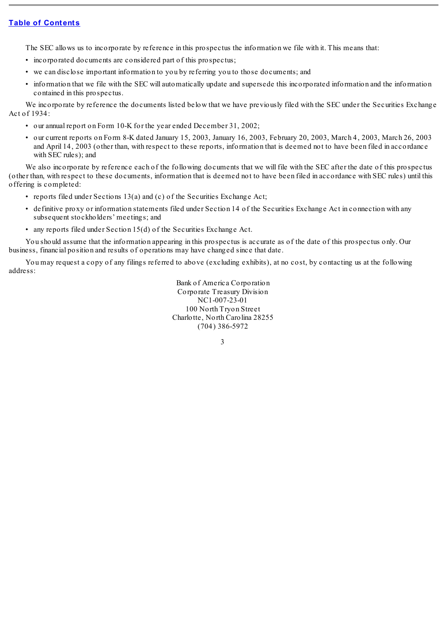The SEC allows us to incorporate by reference in this prospectus the information we file with it. This means that:

- incorporated documents are considered part of this prospectus;
- we can disclose important information to you by referring you to those documents; and
- information that we file with the SEC will automatically update and supersede this incorporated information and the information contained in this prospectus.

We incorporate by reference the documents listed below that we have previously filed with the SEC under the Securities Exchange Act of 1934:

- our annual report on Form 10-K for the year ended December 31, 2002;
- our current reports on Form 8-K dated January 15, 2003, January 16, 2003, February 20, 2003, March 4, 2003, March 26, 2003 and April 14, 2003 (other than, with respect to these reports, information that is deemed not to have been filed in accordance with SEC rules); and

We also incorporate by reference each of the following documents that we will file with the SEC after the date of this prospectus (other than, with respect to these documents, information that is deemed not to have been filed in accordance with SEC rules) until this offering is completed:

- reports filed under Sections 13(a) and (c) of the Securities Exchange Act;
- definitive proxy or information statements filed under Section 14 of the Securities Exchange Act in connection with any subsequent stockholders' meetings; and
- any reports filed under Section 15(d) of the Securities Exchange Act.

You should assume that the information appearing in this prospectus is accurate as of the date of this prospectus only. Our business, financial position and results of operations may have changed since that date.

You may request a copy of any filings referred to above (excluding exhibits), at no cost, by contacting us at the following address:

> Bank of America Corporation Corporate Treasury Division NC1-007-23-01 100 North Tryon Street Charlotte, North Carolina 28255 (704) 386-5972

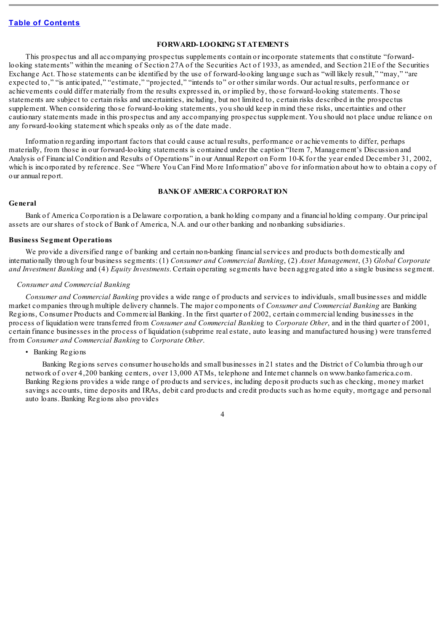### **FORWARD-LOOKING STATEMENTS**

This prospectus and all accompanying prospectus supplements contain or incorporate statements that constitute "forwardlooking statements" within the meaning of Section 27A of the Securities Act of 1933, as amended, and Section 21E of the Securities Exchange Act. Those statements can be identified by the use of forward-looking language such as "will likely result," "may," "are expected to," "is anticipated," "estimate," "projected," "intends to" or other similar words. Our actual results, performance or achievements could differ materially from the results expressed in, or implied by, those forward-looking statements. Those statements are subject to certain risks and uncertainties, including, but not limited to, certain risks described in the prospectus supplement. When considering those forward-looking statements, you should keep in mind these risks, uncertainties and other cautionary statements made in this prospectus and any accompanying prospectus supplement. You should not place undue reliance on any forward-looking statement which speaks only as of the date made.

Information regarding important factors that could cause actual results, performance or achievements to differ, perhaps materially, from those in our forward-looking statements is contained under the caption "Item 7, Management's Discussion and Analysis of Financial Condition and Results of Operations" in our Annual Report on Form 10-K for the year ended December 31, 2002, which is incorporated by reference. See "Where You Can Find More Information" above for information about how to obtain a copy of our annual report.

#### **BANKOF AMERICA CORPORATION**

#### **General**

Bank of America Corporation is a Delaware corporation, a bank holding company and a financial holding company. Our principal assets are our shares of stock of Bank of America, N.A. and our other banking and nonbanking subsidiaries.

### **Business Segment Operations**

We provide a diversified range of banking and certain non-banking financialservices and products both domestically and internationally through four business segments: (1) *Consumer and Commercial Banking*, (2) *Asset Management*, (3) *Global Corporate and Investment Banking* and (4) *Equity Investments*. Certain operating segments have been aggregated into a single business segment.

### *Consumer and Commercial Banking*

*Consumer and Commercial Banking* provides a wide range of products and services to individuals, small businesses and middle market companies through multiple delivery channels. The major components of *Consumer and Commercial Banking* are Banking Regions, Consumer Products and Commercial Banking. In the first quarter of 2002, certain commercial lending businesses in the process of liquidation were transferred from *Consumer and Commercial Bankin*g to *Corporate Other*, and in the third quarter of 2001, certain finance businesses in the process of liquidation (subprime real estate, auto leasing and manufactured housing) were transferred from *Consumer and Commercial Banking* to *Corporate Other*.

### • Banking Regions

Banking Regions serves consumer households and small businesses in 21 states and the District of Columbia through our network of over 4,200 banking centers, over 13,000 ATMs, telephone and Internet channels on www.bankofamerica.com. Banking Regions provides a wide range of products and services, including deposit products such as checking, money market savings accounts, time deposits and IRAs, debit card products and credit products such as home equity, mortgage and personal auto loans. Banking Regions also provides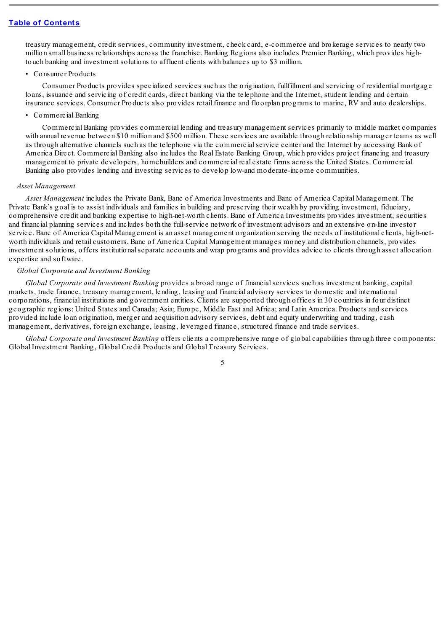treasury management, credit services, community investment, check card, e-commerce and brokerage services to nearly two million small business relationships across the franchise. Banking Regions also includes Premier Banking, which provides hightouch banking and investment solutions to affluent clients with balances up to \$3 million.

#### • Consumer Products

Consumer Products provides specialized services such as the origination, fullfillment and servicing of residential mortgage loans, issuance and servicing of credit cards, direct banking via the telephone and the Internet, student lending and certain insurance services. Consumer Products also provides retail finance and floorplan programs to marine, RV and auto dealerships.

### • Commercial Banking

Commercial Banking provides commercial lending and treasury management services primarily to middle market companies with annual revenue between \$10 million and \$500 million. These services are available through relationship manager teams as well as through alternative channels such as the telephone via the commercialservice center and the Internet by accessing Bank of America Direct. Commercial Banking also includes the Real Estate Banking Group, which provides project financing and treasury management to private developers, homebuilders and commercial real estate firms across the United States. Commercial Banking also provides lending and investing services to develop low-and moderate-income communities.

#### *Asset Management*

*Asset Management* includes the Private Bank, Banc of America Investments and Banc of America Capital Management. The Private Bank's goal is to assist individuals and families in building and preserving their wealth by providing investment, fiduciary, comprehensive credit and banking expertise to high-net-worth clients. Banc of America Investments provides investment, securities and financial planning services and includes both the full-service network of investment advisors and an extensive on-line investor service. Banc of America Capital Management is an asset management organization serving the needs of institutional clients, high-networth individuals and retail customers. Banc of America Capital Management manages money and distribution channels, provides investment solutions, offers institutionalseparate accounts and wrap programs and provides advice to clients through asset allocation expertise and software.

#### *Global Corporate and Investment Banking*

*Global Corporate and Investment Banking* provides a broad range of financialservices such as investment banking, capital markets, trade finance, treasury management, lending, leasing and financial advisory services to domestic and international corporations, financial institutions and government entities. Clients are supported through offices in 30 countries in four distinct geographic regions: United States and Canada; Asia; Europe, Middle East and Africa; and Latin America. Products and services provided include loan origination, merger and acquisition advisory services, debt and equity underwriting and trading, cash management, derivatives, foreign exchange, leasing, leveraged finance, structured finance and trade services.

*Global Corporate and Investment Banking* offers clients a comprehensive range of global capabilities through three components: Global Investment Banking, Global Credit Products and Global Treasury Services.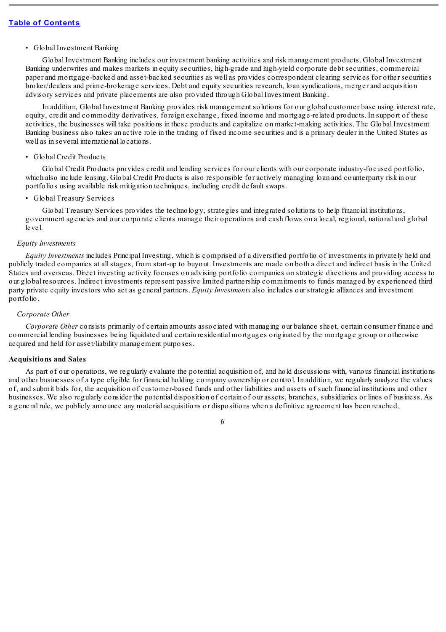#### • Global Investment Banking

Global Investment Banking includes our investment banking activities and risk management products. Global Investment Banking underwrites and makes markets in equity securities, high-grade and high-yield corporate debt securities, commercial paper and mortgage-backed and asset-backed securities as well as provides correspondent clearing services for other securities broker/dealers and prime-brokerage services. Debt and equity securities research, loan syndications, merger and acquisition advisory services and private placements are also provided through Global Investment Banking.

In addition, Global Investment Banking provides risk management solutions for our global customer base using interest rate, equity, credit and commodity derivatives, foreign exchange, fixed income and mortgage-related products. In support of these activities, the businesses will take positions in these products and capitalize on market-making activities. The Global Investment Banking business also takes an active role in the trading of fixed income securities and is a primary dealer in the United States as well as in several international locations.

### • Global Credit Products

Global Credit Products provides credit and lending services for our clients with our corporate industry-focused portfolio, which also include leasing. Global Credit Products is also responsible for actively managing loan and counterparty risk in our portfolios using available risk mitigation techniques, including credit default swaps.

### • Global Treasury Services

Global Treasury Services provides the technology, strategies and integrated solutions to help financial institutions, government agencies and our corporate clients manage their operations and cash flows on a local, regional, national and global level.

#### *Equity Investments*

*Equity Investments* includes Principal Investing, which is comprised of a diversified portfolio of investments in privately held and publicly traded companies at allstages, from start-up to buyout. Investments are made on both a direct and indirect basis in the United States and overseas. Direct investing activity focuses on advising portfolio companies on strategic directions and providing access to our global resources. Indirect investments represent passive limited partnership commitments to funds managed by experienced third party private equity investors who act as general partners. *Equity Investments* also includes our strategic alliances and investment portfolio.

## *Corporate Other*

*Corporate Other* consists primarily of certain amounts associated with managing our balance sheet, certain consumer finance and commercial lending businesses being liquidated and certain residential mortgages originated by the mortgage group or otherwise acquired and held for asset/liability management purposes.

#### **Acquisitions and Sales**

As part of our operations, we regularly evaluate the potential acquisition of, and hold discussions with, various financial institutions and other businesses of a type eligible for financial holding company ownership or control. In addition, we regularly analyze the values of, and submit bids for, the acquisition of customer-based funds and other liabilities and assets of such financial institutions and other businesses. We also regularly consider the potential disposition of certain of our assets, branches, subsidiaries or lines of business. As a general rule, we publicly announce any material acquisitions or dispositions when a definitive agreement has been reached.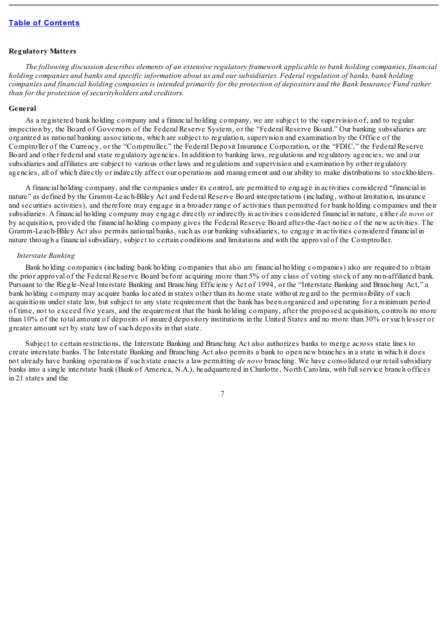### **Regulatory Matters**

The following discussion describes elements of an extensive regulatory framework applicable to bank holding companies, financial holding companies and banks and specific information about us and our subsidiaries. Federal regulation of banks, bank holding companies and financial holding companies is intended primarily for the protection of depositors and the Bank Insurance Fund rather *than for the protection of securityholders and creditors.*

#### **General**

As a registered bank holding company and a financial holding company, we are subject to the supervision of, and to regular inspection by, the Board of Governors of the Federal Reserve System, or the "Federal Reserve Board." Our banking subsidiaries are organized as national banking associations, which are subject to regulation, supervision and examination by the Office of the Comptroller of the Currency, or the "Comptroller," the Federal Deposit Insurance Corporation, or the "FDIC," the Federal Reserve Board and other federal and state regulatory agencies. In addition to banking laws, regulations and regulatory agencies, we and our subsidiaries and affiliates are subject to various other laws and regulations and supervision and examination by other regulatory agencies, all of which directly or indirectly affect our operations and management and our ability to make distributions to stockholders.

A financial holding company, and the companies under its control, are permitted to engage in activities considered "financial in nature" as defined by the Gramm-Leach-Bliley Act and Federal Reserve Board interpretations (including, without limitation, insurance and securities activities), and therefore may engage in a broader range of activities than permitted for bank holding companies and their subsidiaries. A financial holding company may engage directly or indirectly in activities considered financial in nature, either *de novo* or by acquisition, provided the financial holding company gives the Federal Reserve Board after-the-fact notice of the new activities. The Gramm-Leach-Bliley Act also permits national banks, such as our banking subsidiaries, to engage in activities considered financial in nature through a financialsubsidiary, subject to certain conditions and limitations and with the approval of the Comptroller.

#### *Interstate Banking*

Bank holding companies (including bank holding companies that also are financial holding companies) also are required to obtain the prior approval of the Federal Reserve Board before acquiring more than 5% of any class of voting stock of any non-affiliated bank. Pursuant to the Riegle-Neal Interstate Banking and Branching Efficiency Act of 1994, or the "Interstate Banking and Branching Act," a bank holding company may acquire banks located in states other than its home state without regard to the permissibility of such acquisitions under state law, but subject to any state requirement that the bank has been organized and operating for a minimum period of time, not to exceed five years, and the requirement that the bank holding company, after the proposed acquisition, controls no more than 10% of the total amount of deposits of insured depository institutions in the United States and no more than 30% or such lesser or greater amount set by state law of such deposits in that state.

Subject to certain restrictions, the Interstate Banking and Branching Act also authorizes banks to merge across state lines to create interstate banks. The Interstate Banking and Branching Act also permits a bank to open new branches in a state in which it does not already have banking operations if such state enacts a law permitting *de novo* branching. We have consolidated our retailsubsidiary banks into a single interstate bank (Bank of America, N.A.), headquartered in Charlotte, North Carolina, with fullservice branch offices in 21 states and the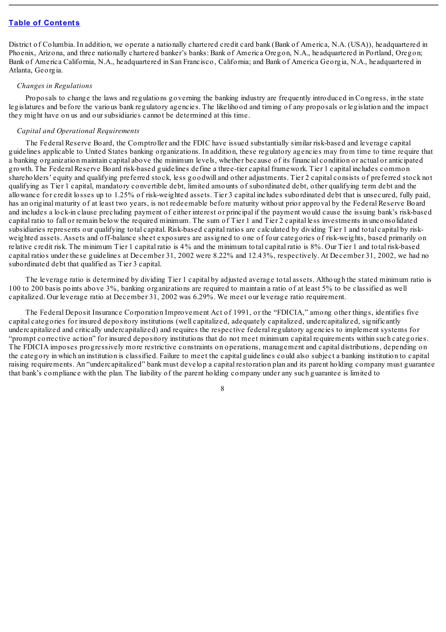District of Columbia. In addition, we operate a nationally chartered credit card bank (Bank of America, N.A. (USA)), headquartered in Phoenix, Arizona, and three nationally chartered banker's banks: Bank of America Oregon, N.A., headquartered in Portland, Oregon; Bank of America California, N.A., headquartered in San Francisco, California; and Bank of America Georgia, N.A., headquartered in Atlanta, Georgia.

#### *Changes in Regulations*

Proposals to change the laws and regulations governing the banking industry are frequently introduced in Congress, in the state legislatures and before the various bank regulatory agencies. The likelihood and timing of any proposals or legislation and the impact they might have on us and our subsidiaries cannot be determined at this time.

#### *Capital and Operational Requirements*

The Federal Reserve Board, the Comptroller and the FDIC have issued substantially similar risk-based and leverage capital guidelines applicable to United States banking organizations. In addition, these regulatory agencies may from time to time require that a banking organization maintain capital above the minimum levels, whether because of its financial condition or actual or anticipated growth. The Federal Reserve Board risk-based guidelines define a three-tier capital framework. Tier 1 capital includes common shareholders' equity and qualifying preferred stock, less goodwill and other adjustments. Tier 2 capital consists of preferred stock not qualifying as Tier 1 capital, mandatory convertible debt, limited amounts of subordinated debt, other qualifying term debt and the allowance for credit losses up to 1.25% of risk-weighted assets. Tier 3 capital includes subordinated debt that is unsecured, fully paid, has an original maturity of at least two years, is not redeemable before maturity without prior approval by the Federal Reserve Board and includes a lock-in clause precluding payment of either interest or principal if the payment would cause the issuing bank's risk-based capital ratio to fall or remain below the required minimum. The sum of Tier 1 and Tier 2 capital less investments in unconsolidated subsidiaries represents our qualifying total capital. Risk-based capital ratios are calculated by dividing Tier 1 and total capital by riskweighted assets. Assets and off-balance sheet exposures are assigned to one of four categories of risk-weights, based primarily on relative credit risk. The minimum Tier 1 capital ratio is 4% and the minimum total capital ratio is 8%. Our Tier 1 and total risk-based capital ratios under these guidelines at December 31, 2002 were 8.22% and 12.43%, respectively. At December 31, 2002, we had no subordinated debt that qualified as Tier 3 capital.

The leverage ratio is determined by dividing Tier 1 capital by adjusted average total assets. Although the stated minimum ratio is 100 to 200 basis points above 3%, banking organizations are required to maintain a ratio of at least 5% to be classified as well capitalized. Our leverage ratio at December 31, 2002 was 6.29%. We meet our leverage ratio requirement.

The Federal Deposit Insurance Corporation Improvement Act of 1991, or the "FDICIA," among other things, identifies five capital categories for insured depository institutions (well capitalized, adequately capitalized, undercapitalized, significantly undercapitalized and critically undercapitalized) and requires the respective federal regulatory agencies to implement systems for "prompt corrective action" for insured depository institutions that do not meet minimum capital requirements within such categories. The FDICIA imposes progressively more restrictive constraints on operations, management and capital distributions, depending on the category in which an institution is classified. Failure to meet the capital guidelines could also subject a banking institution to capital raising requirements. An "undercapitalized" bank must develop a capital restoration plan and its parent holding company must guarantee that bank's compliance with the plan. The liability of the parent holding company under any such guarantee is limited to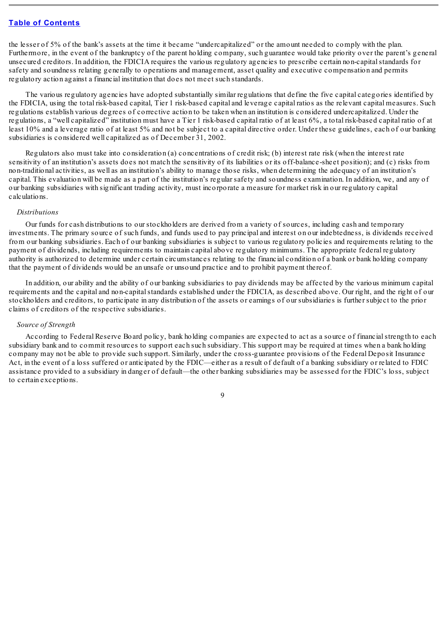the lesser of 5% of the bank's assets at the time it became "undercapitalized" or the amount needed to comply with the plan. Furthermore, in the event of the bankruptcy of the parent holding company, such guarantee would take priority over the parent's general unsecured creditors. In addition, the FDICIA requires the various regulatory agencies to prescribe certain non-capitalstandards for safety and soundness relating generally to operations and management, asset quality and executive compensation and permits regulatory action against a financial institution that does not meet such standards.

The various regulatory agencies have adopted substantially similar regulations that define the five capital categories identified by the FDICIA, using the total risk-based capital, Tier 1 risk-based capital and leverage capital ratios as the relevant capital measures. Such regulations establish various degrees of corrective action to be taken when an institution is considered undercapitalized. Under the regulations, a "well capitalized" institution must have a Tier 1 risk-based capital ratio of at least 6%, a total risk-based capital ratio of at least 10% and a leverage ratio of at least 5% and not be subject to a capital directive order. Under these guidelines, each of our banking subsidiaries is considered well capitalized as of December 31, 2002.

Regulators also must take into consideration (a) concentrations of credit risk; (b) interest rate risk (when the interest rate sensitivity of an institution's assets does not match the sensitivity of its liabilities or its off-balance-sheet position); and (c) risks from non-traditional activities, as well as an institution's ability to manage those risks, when determining the adequacy of an institution's capital. This evaluation will be made as a part of the institution's regular safety and soundness examination. In addition, we, and any of our banking subsidiaries with significant trading activity, must incorporate a measure for market risk in our regulatory capital calculations.

### *Distributions*

Our funds for cash distributions to our stockholders are derived from a variety of sources, including cash and temporary investments. The primary source of such funds, and funds used to pay principal and interest on our indebtedness, is dividends received from our banking subsidiaries. Each of our banking subsidiaries is subject to various regulatory policies and requirements relating to the payment of dividends, including requirements to maintain capital above regulatory minimums. The appropriate federal regulatory authority is authorized to determine under certain circumstances relating to the financial condition of a bank or bank holding company that the payment of dividends would be an unsafe or unsound practice and to prohibit payment thereof.

In addition, our ability and the ability of our banking subsidiaries to pay dividends may be affected by the various minimum capital requirements and the capital and non-capitalstandards established under the FDICIA, as described above. Our right, and the right of our stockholders and creditors, to participate in any distribution of the assets or earnings of our subsidiaries is further subject to the prior claims of creditors of the respective subsidiaries.

### *Source of Strength*

According to Federal Reserve Board policy, bank holding companies are expected to act as a source of financialstrength to each subsidiary bank and to commit resources to support each such subsidiary. This support may be required at times when a bank holding company may not be able to provide such support. Similarly, under the cross-guarantee provisions of the Federal Deposit Insurance Act, in the event of a loss suffered or anticipated by the FDIC—either as a result of default of a banking subsidiary or related to FDIC assistance provided to a subsidiary in danger of default—the other banking subsidiaries may be assessed for the FDIC's loss, subject to certain exceptions.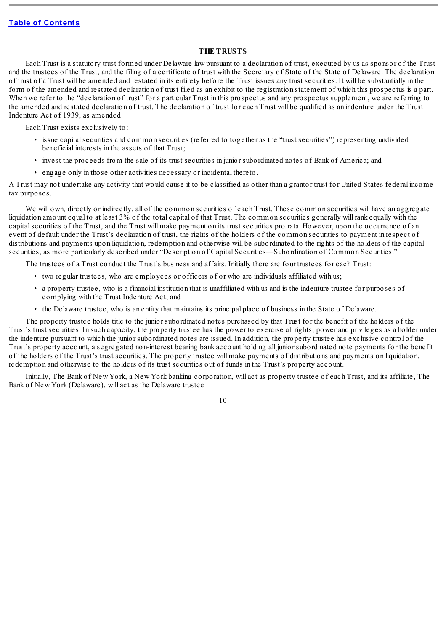## **THE TRUSTS**

Each Trust is a statutory trust formed under Delaware law pursuant to a declaration of trust, executed by us as sponsor of the Trust and the trustees of the Trust, and the filing of a certificate of trust with the Secretary of State of the State of Delaware. The declaration of trust of a Trust will be amended and restated in its entirety before the Trust issues any trust securities. It will be substantially in the form of the amended and restated declaration of trust filed as an exhibit to the registration statement of which this prospectus is a part. When we refer to the "declaration of trust" for a particular Trust in this prospectus and any prospectus supplement, we are referring to the amended and restated declaration of trust. The declaration of trust for each Trust will be qualified as an indenture under the Trust Indenture Act of 1939, as amended.

Each Trust exists exclusively to:

- issue capitalsecurities and common securities (referred to together as the "trust securities") representing undivided beneficial interests in the assets of that Trust;
- invest the proceeds from the sale of its trust securities in junior subordinated notes of Bank of America; and
- engage only in those other activities necessary or incidental thereto.

A Trust may not undertake any activity that would cause it to be classified as other than a grantor trust for United States federal income tax purposes.

We will own, directly or indirectly, all of the common securities of each Trust. These common securities will have an aggregate liquidation amount equal to at least 3% of the total capital of that Trust. The common securities generally will rank equally with the capital securities of the Trust, and the Trust will make payment on its trust securities pro rata. However, upon the occurrence of an event of default under the Trust's declaration of trust, the rights of the holders of the common securities to payment in respect of distributions and payments upon liquidation, redemption and otherwise will be subordinated to the rights of the holders of the capital securities, as more particularly described under "Description of Capital Securities—Subordination of Common Securities."

The trustees of a Trust conduct the Trust's business and affairs. Initially there are four trustees for each Trust:

- two regular trustees, who are employees or officers of or who are individuals affiliated with us;
- a property trustee, who is a financial institution that is unaffiliated with us and is the indenture trustee for purposes of complying with the Trust Indenture Act; and
- the Delaware trustee, who is an entity that maintains its principal place of business in the State of Delaware.

The property trustee holds title to the junior subordinated notes purchased by that Trust for the benefit of the holders of the Trust's trust securities. In such capacity, the property trustee has the power to exercise all rights, power and privileges as a holder under the indenture pursuant to which the junior subordinated notes are issued. In addition, the property trustee has exclusive control of the Trust's property account, a segregated non-interest bearing bank account holding all junior subordinated note payments for the benefit of the holders of the Trust's trust securities. The property trustee will make payments of distributions and payments on liquidation, redemption and otherwise to the holders of its trust securities out of funds in the Trust's property account.

Initially, The Bank of New York, a New York banking corporation, will act as property trustee of each Trust, and its affiliate, The Bank of New York (Delaware), will act as the Delaware trustee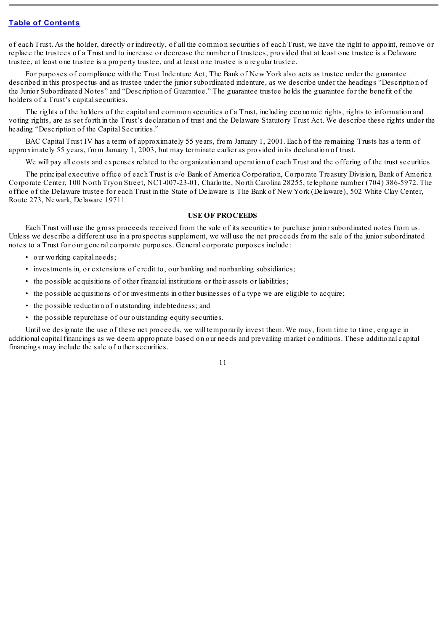of each Trust. As the holder, directly or indirectly, of all the common securities of each Trust, we have the right to appoint, remove or replace the trustees of a Trust and to increase or decrease the number of trustees, provided that at least one trustee is a Delaware trustee, at least one trustee is a property trustee, and at least one trustee is a regular trustee.

For purposes of compliance with the Trust Indenture Act, The Bank of New York also acts as trustee under the guarantee described in this prospectus and as trustee under the junior subordinated indenture, as we describe under the headings "Description of the Junior Subordinated Notes" and "Description of Guarantee." The guarantee trustee holds the guarantee for the benefit of the holders of a Trust's capital securities.

The rights of the holders of the capital and common securities of a Trust, including economic rights, rights to information and voting rights, are as set forth in the Trust's declaration of trust and the Delaware Statutory Trust Act. We describe these rights under the heading "Description of the Capital Securities."

BAC Capital Trust IV has a term of approximately 55 years, from January 1, 2001. Each of the remaining Trusts has a term of approximately 55 years, from January 1, 2003, but may terminate earlier as provided in its declaration of trust.

We will pay all costs and expenses related to the organization and operation of each Trust and the offering of the trust securities.

The principal executive office of each Trust is c/o Bank of America Corporation, Corporate Treasury Division, Bank of America Corporate Center, 100 North Tryon Street, NC1-007-23-01, Charlotte, North Carolina 28255, telephone number (704) 386-5972. The office of the Delaware trustee for each Trust in the State of Delaware is The Bank of New York (Delaware), 502 White Clay Center, Route 273, Newark, Delaware 19711.

### **USE OF PROCEEDS**

Each Trust will use the gross proceeds received from the sale of its securities to purchase junior subordinated notes from us. Unless we describe a different use in a prospectus supplement, we will use the net proceeds from the sale of the junior subordinated notes to a Trust for our general corporate purposes. General corporate purposes include:

- our working capital needs;
- investments in, or extensions of credit to, our banking and nonbanking subsidiaries;
- the possible acquisitions of other financial institutions or their assets or liabilities;
- the possible acquisitions of or investments in other businesses of a type we are eligible to acquire;
- the possible reduction of outstanding indebtedness; and
- the possible repurchase of our outstanding equity securities.

Until we designate the use of these net proceeds, we will temporarily invest them. We may, from time to time, engage in additional capital financings as we deem appropriate based on our needs and prevailing market conditions. These additional capital financings may include the sale of other securities.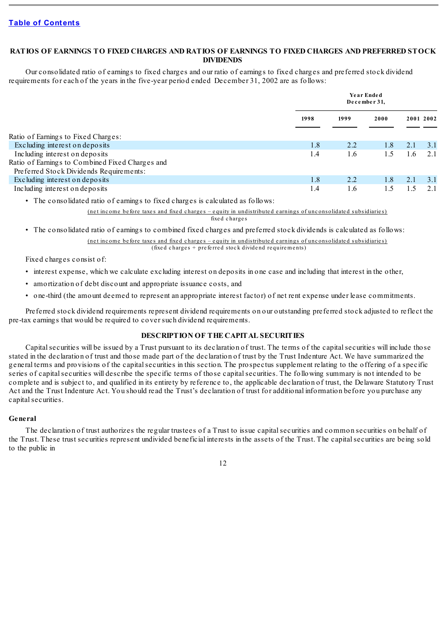## **RATIOS OF EARNINGS TO FIXED CHARGES AND RATIOS OF EARNINGS TO FIXED CHARGES AND PREFERRED STOCK DIVIDENDS**

Our consolidated ratio of earnings to fixed charges and our ratio of earnings to fixed charges and preferred stock dividend requirements for each of the years in the five-year period ended December 31, 2002 are as follows:

|                                                 |      | Year Ended<br>December 31, |      |           |     |
|-------------------------------------------------|------|----------------------------|------|-----------|-----|
|                                                 | 1998 | 1999                       | 2000 | 2001 2002 |     |
| Ratio of Earnings to Fixed Charges:             |      |                            |      |           |     |
| Excluding interest on deposits                  | 1.8  | 2.2                        | 1.8  | 2.1       | 3.1 |
| Including interest on deposits                  | 1.4  | 1.6                        | 1.5  | 1.6       | 2.1 |
| Ratio of Earnings to Combined Fixed Charges and |      |                            |      |           |     |
| Preferred Stock Dividends Requirements:         |      |                            |      |           |     |
| Excluding interest on deposits                  | 1.8  | 2.2                        | 1.8  | 2.1       | 3.1 |
| Including interest on deposits                  | 1.4  | 1.6                        |      |           | 2.1 |
|                                                 |      |                            |      |           |     |

• The consolidated ratio of earnings to fixed charges is calculated as follows:

(ne t inc ome be fore taxe s and fixe d c harge s – e quity in undistribute d e arnings of unc onsolidate d subsidiarie s) fixed charges

• The consolidated ratio of earnings to combined fixed charges and preferred stock dividends is calculated as follows:

(ne t inc ome be fore taxe s and fixe d c harge s – e quity in undistribute d e arnings of unc onsolidate d subsidiarie s)  $(fixed charges + preferred stock divided red requires the number of freedom.$ 

Fixed charges consist of:

- interest expense, which we calculate excluding interest on deposits in one case and including that interest in the other,
- amortization of debt discount and appropriate issuance costs, and
- one-third (the amount deemed to represent an appropriate interest factor) of net rent expense under lease commitments.

Preferred stock dividend requirements represent dividend requirements on our outstanding preferred stock adjusted to reflect the pre-tax earnings that would be required to cover such dividend requirements.

## **DESCRIPTION OF THE CAPITAL SECURITIES**

Capital securities will be issued by a Trust pursuant to its declaration of trust. The terms of the capital securities will include those stated in the declaration of trust and those made part of the declaration of trust by the Trust Indenture Act. We have summarized the general terms and provisions of the capitalsecurities in this section. The prospectus supplement relating to the offering of a specific series of capitalsecurities will describe the specific terms of those capitalsecurities. The following summary is not intended to be complete and is subject to, and qualified in its entirety by reference to, the applicable declaration of trust, the Delaware Statutory Trust Act and the Trust Indenture Act. You should read the Trust's declaration of trust for additional information before you purchase any capital securities.

## **General**

The declaration of trust authorizes the regular trustees of a Trust to issue capital securities and common securities on behalf of the Trust. These trust securities represent undivided beneficial interests in the assets of the Trust. The capital securities are being sold to the public in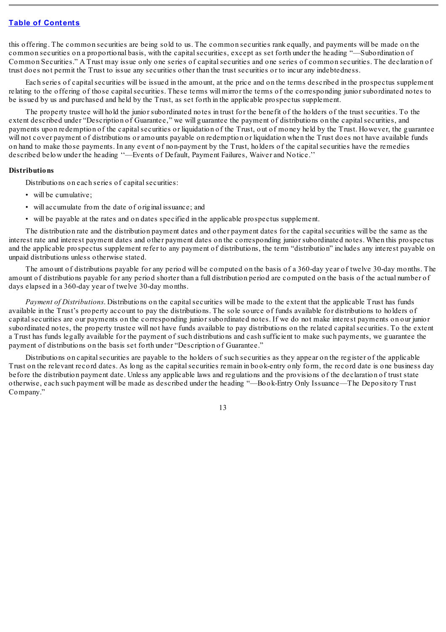this offering. The common securities are being sold to us. The common securities rank equally, and payments will be made on the common securities on a proportional basis, with the capital securities, except as set forth under the heading "—Subordination of Common Securities." A Trust may issue only one series of capitalsecurities and one series of common securities. The declaration of trust does not permit the Trust to issue any securities other than the trust securities or to incur any indebtedness.

Each series of capitalsecurities will be issued in the amount, at the price and on the terms described in the prospectus supplement relating to the offering of those capital securities. These terms will mirror the terms of the corresponding junior subordinated notes to be issued by us and purchased and held by the Trust, as set forth in the applicable prospectus supplement.

The property trustee will hold the junior subordinated notes in trust for the benefit of the holders of the trust securities. To the extent described under "Description of Guarantee," we will guarantee the payment of distributions on the capital securities, and payments upon redemption of the capital securities or liquidation of the Trust, out of money held by the Trust. However, the guarantee will not cover payment of distributions or amounts payable on redemption or liquidation when the Trust does not have available funds on hand to make those payments. In any event of non-payment by the Trust, holders of the capitalsecurities have the remedies described below under the heading ''—Events of Default, Payment Failures, Waiver and Notice.''

### **Distributions**

Distributions on each series of capital securities:

- will be cumulative;
- will accumulate from the date of original issuance; and
- will be payable at the rates and on dates specified in the applicable prospectus supplement.

The distribution rate and the distribution payment dates and other payment dates for the capitalsecurities will be the same as the interest rate and interest payment dates and other payment dates on the corresponding junior subordinated notes. When this prospectus and the applicable prospectus supplement refer to any payment of distributions, the term "distribution" includes any interest payable on unpaid distributions unless otherwise stated.

The amount of distributions payable for any period will be computed on the basis of a 360-day year of twelve 30-day months. The amount of distributions payable for any period shorter than a full distribution period are computed on the basis of the actual number of days elapsed in a 360-day year of twelve 30-day months.

*Payment of Distributions*. Distributions on the capital securities will be made to the extent that the applicable Trust has funds available in the Trust's property account to pay the distributions. The sole source of funds available for distributions to holders of capitalsecurities are our payments on the corresponding junior subordinated notes. If we do not make interest payments on our junior subordinated notes, the property trustee will not have funds available to pay distributions on the related capitalsecurities. To the extent a Trust has funds legally available for the payment of such distributions and cash sufficient to make such payments, we guarantee the payment of distributions on the basis set forth under "Description of Guarantee."

Distributions on capital securities are payable to the holders of such securities as they appear on the register of the applicable Trust on the relevant record dates. As long as the capitalsecurities remain in book-entry only form, the record date is one business day before the distribution payment date. Unless any applicable laws and regulations and the provisions of the declaration of trust state otherwise, each such payment will be made as described under the heading "—Book-Entry Only Issuance—The Depository Trust Company."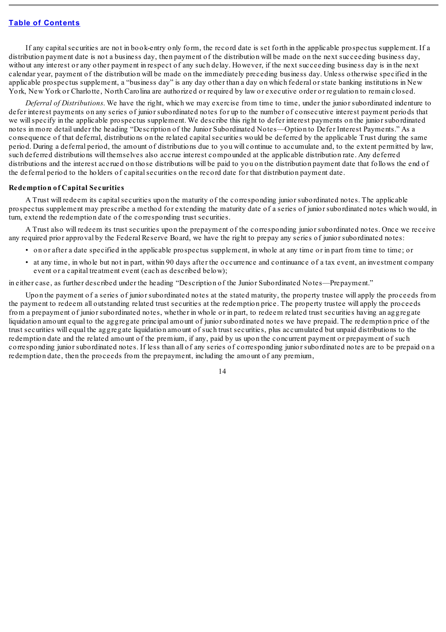If any capitalsecurities are not in book-entry only form, the record date is set forth in the applicable prospectus supplement. If a distribution payment date is not a business day, then payment of the distribution will be made on the next succeeding business day, without any interest or any other payment in respect of any such delay. However, if the next succeeding business day is in the next calendar year, payment of the distribution will be made on the immediately preceding business day. Unless otherwise specified in the applicable prospectus supplement, a "business day" is any day other than a day on which federal or state banking institutions in New York, New York or Charlotte, North Carolina are authorized or required by law or executive order or regulation to remain closed.

*Deferral of Distributions*. We have the right, which we may exercise from time to time, under the junior subordinated indenture to defer interest payments on any series of junior subordinated notes for up to the number of consecutive interest payment periods that we willspecify in the applicable prospectus supplement. We describe this right to defer interest payments on the junior subordinated notes in more detail under the heading "Description of the Junior Subordinated Notes—Option to Defer Interest Payments." As a consequence of that deferral, distributions on the related capitalsecurities would be deferred by the applicable Trust during the same period. During a deferral period, the amount of distributions due to you will continue to accumulate and, to the extent permitted by law, such deferred distributions will themselves also accrue interest compounded at the applicable distribution rate. Any deferred distributions and the interest accrued on those distributions will be paid to you on the distribution payment date that follows the end of the deferral period to the holders of capitalsecurities on the record date for that distribution payment date.

### **Redemption of Capital Securities**

A Trust will redeem its capitalsecurities upon the maturity of the corresponding junior subordinated notes. The applicable prospectus supplement may prescribe a method for extending the maturity date of a series of junior subordinated notes which would, in turn, extend the redemption date of the corresponding trust securities.

A Trust also will redeem its trust securities upon the prepayment of the corresponding junior subordinated notes. Once we receive any required prior approval by the Federal Reserve Board, we have the right to prepay any series of junior subordinated notes:

- on or after a date specified in the applicable prospectus supplement, in whole at any time or in part from time to time; or
- at any time, in whole but not in part, within 90 days after the occurrence and continuance of a tax event, an investment company event or a capital treatment event (each as described below);

in either case, as further described under the heading "Description of the Junior Subordinated Notes—Prepayment."

Upon the payment of a series of junior subordinated notes at the stated maturity, the property trustee will apply the proceeds from the payment to redeem all outstanding related trust securities at the redemption price. The property trustee will apply the proceeds from a prepayment of junior subordinated notes, whether in whole or in part, to redeem related trust securities having an aggregate liquidation amount equal to the aggregate principal amount of junior subordinated notes we have prepaid. The redemption price of the trust securities will equal the aggregate liquidation amount of such trust securities, plus accumulated but unpaid distributions to the redemption date and the related amount of the premium, if any, paid by us upon the concurrent payment or prepayment of such corresponding junior subordinated notes. If less than all of any series of corresponding junior subordinated notes are to be prepaid on a redemption date, then the proceeds from the prepayment, including the amount of any premium,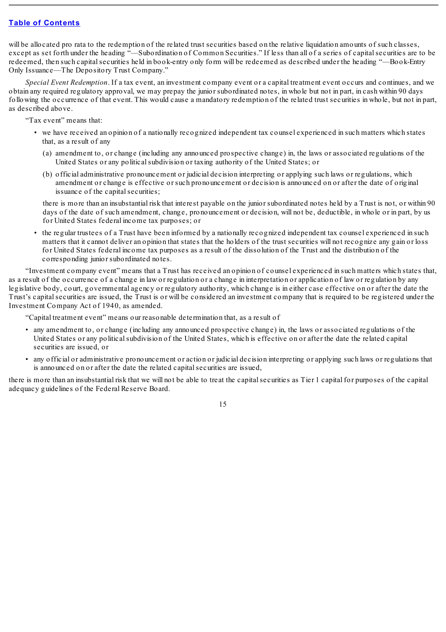will be allocated pro rata to the redemption of the related trust securities based on the relative liquidation amounts of such classes, except as set forth under the heading "—Subordination of Common Securities." If less than all of a series of capitalsecurities are to be redeemed, then such capitalsecurities held in book-entry only form will be redeemed as described under the heading "—Book-Entry Only Issuance—The Depository Trust Company."

*Special Event Redemption*. If a tax event, an investment company event or a capital treatment event occurs and continues, and we obtain any required regulatory approval, we may prepay the junior subordinated notes, in whole but not in part, in cash within 90 days following the occurrence of that event. This would cause a mandatory redemption of the related trust securities in whole, but not in part, as described above.

"Tax event" means that:

- we have received an opinion of a nationally recognized independent tax counsel experienced in such matters which states that, as a result of any
	- (a) amendment to, or change (including any announced prospective change) in, the laws or associated regulations of the United States or any politicalsubdivision or taxing authority of the United States; or
	- (b) official administrative pronouncement or judicial decision interpreting or applying such laws or regulations, which amendment or change is effective or such pronouncement or decision is announced on or after the date of original issuance of the capital securities;

there is more than an insubstantial risk that interest payable on the junior subordinated notes held by a Trust is not, or within 90 days of the date of such amendment, change, pronouncement or decision, will not be, deductible, in whole or in part, by us for United States federal income tax purposes; or

• the regular trustees of a Trust have been informed by a nationally recognized independent tax counsel experienced in such matters that it cannot deliver an opinion that states that the holders of the trust securities will not recognize any gain or loss for United States federal income tax purposes as a result of the dissolution of the Trust and the distribution of the corresponding junior subordinated notes.

"Investment company event" means that a Trust has received an opinion of counsel experienced in such matters which states that, as a result of the occurrence of a change in law or regulation or a change in interpretation or application of law or regulation by any legislative body, court, governmental agency or regulatory authority, which change is in either case effective on or after the date the Trust's capital securities are issued, the Trust is or will be considered an investment company that is required to be registered under the Investment Company Act of 1940, as amended.

"Capital treatment event" means our reasonable determination that, as a result of

- any amendment to, or change (including any announced prospective change) in, the laws or associated regulations of the United States or any politicalsubdivision of the United States, which is effective on or after the date the related capital securities are issued, or
- any official or administrative pronouncement or action or judicial decision interpreting or applying such laws or regulations that is announced on or after the date the related capital securities are issued,

there is more than an insubstantial risk that we will not be able to treat the capitalsecurities as Tier 1 capital for purposes of the capital adequacy guidelines of the Federal Reserve Board.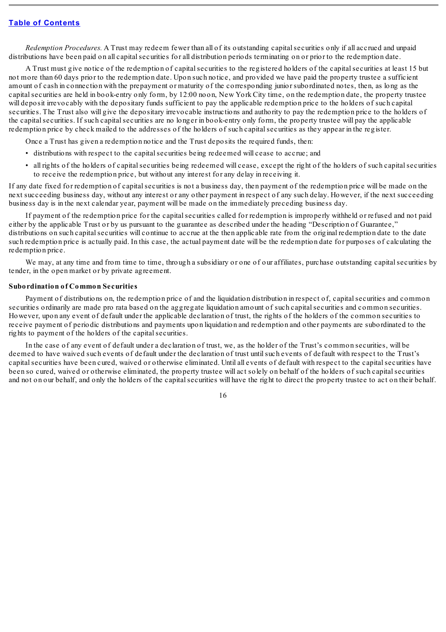*Redemption Procedures.* A Trust may redeem fewer than all of its outstanding capitalsecurities only if all accrued and unpaid distributions have been paid on all capital securities for all distribution periods terminating on or prior to the redemption date.

A Trust must give notice of the redemption of capitalsecurities to the registered holders of the capitalsecurities at least 15 but not more than 60 days prior to the redemption date. Upon such notice, and provided we have paid the property trustee a sufficient amount of cash in connection with the prepayment or maturity of the corresponding junior subordinated notes, then, as long as the capitalsecurities are held in book-entry only form, by 12:00 noon, New York City time, on the redemption date, the property trustee will deposit irrevocably with the depositary funds sufficient to pay the applicable redemption price to the holders of such capital securities. The Trust also will give the depositary irrevocable instructions and authority to pay the redemption price to the holders of the capitalsecurities. If such capitalsecurities are no longer in book-entry only form, the property trustee will pay the applicable redemption price by check mailed to the addresses of the holders of such capitalsecurities as they appear in the register.

Once a Trust has given a redemption notice and the Trust deposits the required funds, then:

- distributions with respect to the capitalsecurities being redeemed will cease to accrue; and
- all rights of the holders of capitalsecurities being redeemed will cease, except the right of the holders of such capitalsecurities to receive the redemption price, but without any interest for any delay in receiving it.

If any date fixed for redemption of capital securities is not a business day, then payment of the redemption price will be made on the next succeeding business day, without any interest or any other payment in respect of any such delay. However, if the next succeeding business day is in the next calendar year, payment will be made on the immediately preceding business day.

If payment of the redemption price for the capital securities called for redemption is improperly withheld or refused and not paid either by the applicable Trust or by us pursuant to the guarantee as described under the heading "Description of Guarantee," distributions on such capital securities will continue to accrue at the then applicable rate from the original redemption date to the date such redemption price is actually paid. In this case, the actual payment date will be the redemption date for purposes of calculating the redemption price.

We may, at any time and from time to time, through a subsidiary or one of our affiliates, purchase outstanding capital securities by tender, in the open market or by private agreement.

#### **Subordination of Common Securities**

Payment of distributions on, the redemption price of and the liquidation distribution in respect of, capital securities and common securities ordinarily are made pro rata based on the aggregate liquidation amount of such capitalsecurities and common securities. However, upon any event of default under the applicable declaration of trust, the rights of the holders of the common securities to receive payment of periodic distributions and payments upon liquidation and redemption and other payments are subordinated to the rights to payment of the holders of the capital securities.

In the case of any event of default under a declaration of trust, we, as the holder of the Trust's common securities, will be deemed to have waived such events of default under the declaration of trust untilsuch events of default with respect to the Trust's capital securities have been cured, waived or otherwise eliminated. Until all events of default with respect to the capital securities have been so cured, waived or otherwise eliminated, the property trustee will act solely on behalf of the holders of such capitalsecurities and not on our behalf, and only the holders of the capitalsecurities will have the right to direct the property trustee to act on their behalf.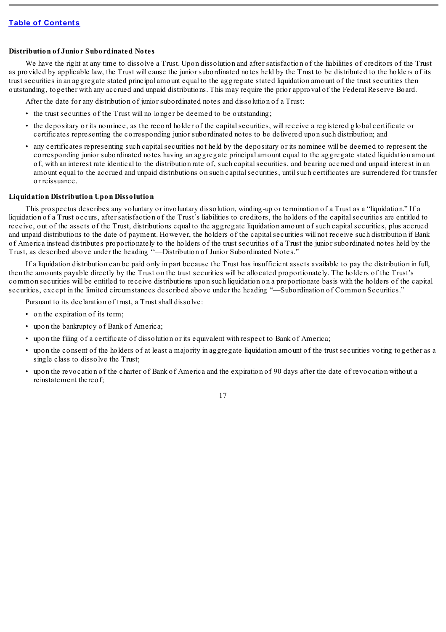### **Distribution of Junior Subordinated Notes**

We have the right at any time to dissolve a Trust. Upon dissolution and after satisfaction of the liabilities of creditors of the Trust as provided by applicable law, the Trust will cause the junior subordinated notes held by the Trust to be distributed to the holders of its trust securities in an aggregate stated principal amount equal to the aggregate stated liquidation amount of the trust securities then outstanding, together with any accrued and unpaid distributions. This may require the prior approval of the Federal Reserve Board.

After the date for any distribution of junior subordinated notes and dissolution of a Trust:

- the trust securities of the Trust will no longer be deemed to be outstanding;
- the depositary or its nominee, as the record holder of the capitalsecurities, will receive a registered global certificate or certificates representing the corresponding junior subordinated notes to be delivered upon such distribution; and
- any certificates representing such capitalsecurities not held by the depositary or its nominee will be deemed to represent the corresponding junior subordinated notes having an aggregate principal amount equal to the aggregate stated liquidation amount of, with an interest rate identical to the distribution rate of, such capitalsecurities, and bearing accrued and unpaid interest in an amount equal to the accrued and unpaid distributions on such capitalsecurities, untilsuch certificates are surrendered for transfer or reissuance.

### **Liquidation Distribution Upon Dissolution**

This prospectus describes any voluntary or involuntary dissolution, winding-up or termination of a Trust as a "liquidation." If a liquidation of a Trust occurs, after satisfaction of the Trust's liabilities to creditors, the holders of the capital securities are entitled to receive, out of the assets of the Trust, distributions equal to the aggregate liquidation amount of such capitalsecurities, plus accrued and unpaid distributions to the date of payment. However, the holders of the capitalsecurities will not receive such distribution if Bank of America instead distributes proportionately to the holders of the trust securities of a Trust the junior subordinated notes held by the Trust, as described above under the heading ''—Distribution of Junior Subordinated Notes."

If a liquidation distribution can be paid only in part because the Trust has insufficient assets available to pay the distribution in full, then the amounts payable directly by the Trust on the trust securities will be allocated proportionately. The holders of the Trust's common securities will be entitled to receive distributions upon such liquidation on a proportionate basis with the holders of the capital securities, except in the limited circumstances described above under the heading "—Subordination of Common Securities."

Pursuant to its declaration of trust, a Trust shall dissolve:

- on the expiration of its term;
- upon the bankruptcy of Bank of America;
- upon the filing of a certificate of dissolution or its equivalent with respect to Bank of America;
- upon the consent of the holders of at least a majority in aggregate liquidation amount of the trust securities voting together as a single class to dissolve the Trust;
- upon the revocation of the charter of Bank of America and the expiration of 90 days after the date of revocation without a reinstatement thereof;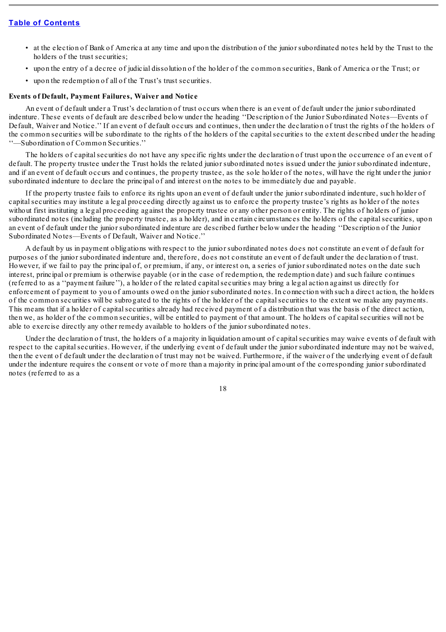- at the election of Bank of America at any time and upon the distribution of the junior subordinated notes held by the Trust to the holders of the trust securities;
- upon the entry of a decree of judicial dissolution of the holder of the common securities, Bank of America or the Trust; or
- upon the redemption of all of the Trust's trust securities.

### **Events of Default, Payment Failures, Waiver and Notice**

An event of default under a Trust's declaration of trust occurs when there is an event of default under the junior subordinated indenture. These events of default are described below under the heading ''Description of the Junior Subordinated Notes—Events of Default, Waiver and Notice.'' If an event of default occurs and continues, then under the declaration of trust the rights of the holders of the common securities will be subordinate to the rights of the holders of the capitalsecurities to the extent described under the heading ''—Subordination of Common Securities.''

The holders of capital securities do not have any specific rights under the declaration of trust upon the occurrence of an event of default. The property trustee under the Trust holds the related junior subordinated notes issued under the junior subordinated indenture, and if an event of default occurs and continues, the property trustee, as the sole holder of the notes, will have the right under the junior subordinated indenture to declare the principal of and interest on the notes to be immediately due and payable.

If the property trustee fails to enforce its rights upon an event of default under the junior subordinated indenture, such holder of capitalsecurities may institute a legal proceeding directly against us to enforce the property trustee's rights as holder of the notes without first instituting a legal proceeding against the property trustee or any other person or entity. The rights of holders of junior subordinated notes (including the property trustee, as a holder), and in certain circumstances the holders of the capital securities, upon an event of default under the junior subordinated indenture are described further below under the heading ''Description of the Junior Subordinated Notes—Events of Default, Waiver and Notice.''

A default by us in payment obligations with respect to the junior subordinated notes does not constitute an event of default for purposes of the junior subordinated indenture and, therefore, does not constitute an event of default under the declaration of trust. However, if we fail to pay the principal of, or premium, if any, or interest on, a series of junior subordinated notes on the date such interest, principal or premium is otherwise payable (or in the case of redemption, the redemption date) and such failure continues (referred to as a ''payment failure''), a holder of the related capitalsecurities may bring a legal action against us directly for enforcement of payment to you of amounts owed on the junior subordinated notes. In connection with such a direct action, the holders of the common securities will be subrogated to the rights of the holder of the capitalsecurities to the extent we make any payments. This means that if a holder of capitalsecurities already had received payment of a distribution that was the basis of the direct action, then we, as holder of the common securities, will be entitled to payment of that amount. The holders of capitalsecurities will not be able to exercise directly any other remedy available to holders of the junior subordinated notes.

Under the declaration of trust, the holders of a majority in liquidation amount of capital securities may waive events of default with respect to the capital securities. However, if the underlying event of default under the junior subordinated indenture may not be waived, then the event of default under the declaration of trust may not be waived. Furthermore, if the waiver of the underlying event of default under the indenture requires the consent or vote of more than a majority in principal amount of the corresponding junior subordinated notes (referred to as a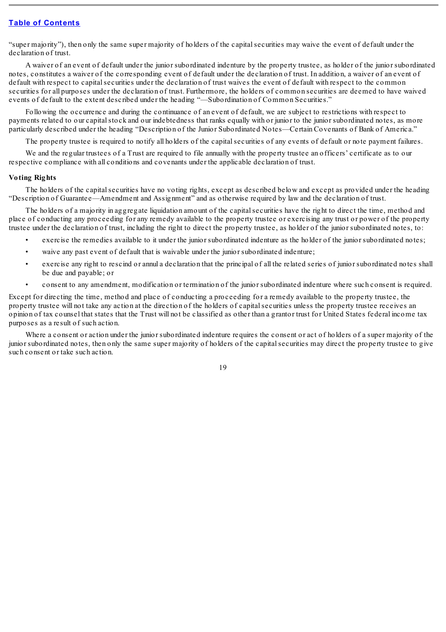"super majority"), then only the same super majority of holders of the capitalsecurities may waive the event of default under the declaration of trust.

A waiver of an event of default under the junior subordinated indenture by the property trustee, as holder of the junior subordinated notes, constitutes a waiver of the corresponding event of default under the declaration of trust. In addition, a waiver of an event of default with respect to capital securities under the declaration of trust waives the event of default with respect to the common securities for all purposes under the declaration of trust. Furthermore, the holders of common securities are deemed to have waived events of default to the extent described under the heading "—Subordination of Common Securities."

Following the occurrence and during the continuance of an event of default, we are subject to restrictions with respect to payments related to our capital stock and our indebtedness that ranks equally with or junior to the junior subordinated notes, as more particularly described under the heading "Description of the Junior Subordinated Notes—Certain Covenants of Bank of America."

The property trustee is required to notify all holders of the capitalsecurities of any events of default or note payment failures.

We and the regular trustees of a Trust are required to file annually with the property trustee an officers' certificate as to our respective compliance with all conditions and covenants under the applicable declaration of trust.

### **Voting Rights**

The holders of the capitalsecurities have no voting rights, except as described below and except as provided under the heading "Description of Guarantee—Amendment and Assignment" and as otherwise required by law and the declaration of trust.

The holders of a majority in aggregate liquidation amount of the capital securities have the right to direct the time, method and place of conducting any proceeding for any remedy available to the property trustee or exercising any trust or power of the property trustee under the declaration of trust, including the right to direct the property trustee, as holder of the junior subordinated notes, to:

- exercise the remedies available to it under the junior subordinated indenture as the holder of the junior subordinated notes;
- waive any past event of default that is waivable under the junior subordinated indenture;
- exercise any right to rescind or annul a declaration that the principal of all the related series of junior subordinated notes shall be due and payable; or
- consent to any amendment, modification or termination of the junior subordinated indenture where such consent is required.

Except for directing the time, method and place of conducting a proceeding for a remedy available to the property trustee, the property trustee will not take any action at the direction of the holders of capitalsecurities unless the property trustee receives an opinion of tax counsel that states that the Trust will not be classified as other than a grantor trust for United States federal income tax purposes as a result of such action.

Where a consent or action under the junior subordinated indenture requires the consent or act of holders of a super majority of the junior subordinated notes, then only the same super majority of holders of the capitalsecurities may direct the property trustee to give such consent or take such action.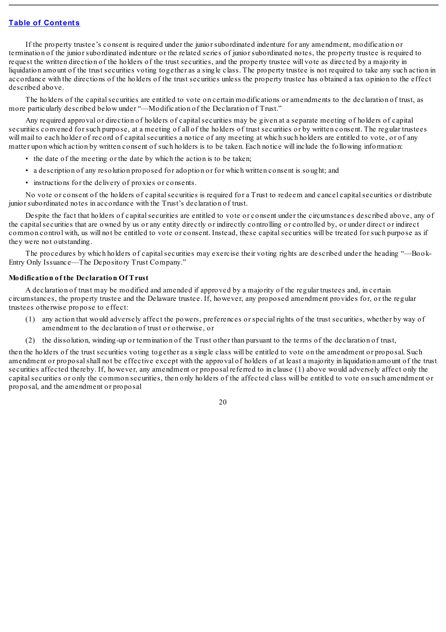If the property trustee's consent is required under the junior subordinated indenture for any amendment, modification or termination of the junior subordinated indenture or the related series of junior subordinated notes, the property trustee is required to request the written direction of the holders of the trust securities, and the property trustee will vote as directed by a majority in liquidation amount of the trust securities voting together as a single class. The property trustee is not required to take any such action in accordance with the directions of the holders of the trust securities unless the property trustee has obtained a tax opinion to the effect described above.

The holders of the capital securities are entitled to vote on certain modifications or amendments to the declaration of trust, as more particularly described below under "—Modification of the Declaration of Trust."

Any required approval or direction of holders of capital securities may be given at a separate meeting of holders of capital securities convened for such purpose, at a meeting of all of the holders of trust securities or by written consent. The regular trustees will mail to each holder of record of capital securities a notice of any meeting at which such holders are entitled to vote, or of any matter upon which action by written consent of such holders is to be taken. Each notice will include the following information:

- the date of the meeting or the date by which the action is to be taken;
- a description of any resolution proposed for adoption or for which written consent is sought; and
- instructions for the delivery of proxies or consents.

No vote or consent of the holders of capital securities is required for a Trust to redeem and cancel capital securities or distribute junior subordinated notes in accordance with the Trust's declaration of trust.

Despite the fact that holders of capital securities are entitled to vote or consent under the circumstances described above, any of the capitalsecurities that are owned by us or any entity directly or indirectly controlling or controlled by, or under direct or indirect common control with, us will not be entitled to vote or consent. Instead, these capitalsecurities will be treated for such purpose as if they were not outstanding.

The procedures by which holders of capital securities may exercise their voting rights are described under the heading "—Book-Entry Only Issuance—The Depository Trust Company."

## **Modification of the Declaration Of Trust**

A declaration of trust may be modified and amended if approved by a majority of the regular trustees and, in certain circumstances, the property trustee and the Delaware trustee. If, however, any proposed amendment provides for, or the regular trustees otherwise propose to effect:

- (1) any action that would adversely affect the powers, preferences or special rights of the trust securities, whether by way of amendment to the declaration of trust or otherwise, or
- (2) the dissolution, winding-up or termination of the Trust other than pursuant to the terms of the declaration of trust,

then the holders of the trust securities voting together as a single class will be entitled to vote on the amendment or proposal. Such amendment or proposalshall not be effective except with the approval of holders of at least a majority in liquidation amount of the trust securities affected thereby. If, however, any amendment or proposal referred to in clause (1) above would adversely affect only the capitalsecurities or only the common securities, then only holders of the affected class will be entitled to vote on such amendment or proposal, and the amendment or proposal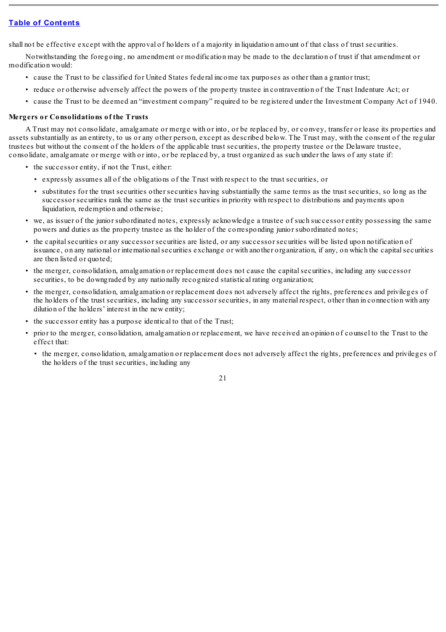shall not be effective except with the approval of holders of a majority in liquidation amount of that class of trust securities.

Notwithstanding the foregoing, no amendment or modification may be made to the declaration of trust if that amendment or modification would:

- cause the Trust to be classified for United States federal income tax purposes as other than a grantor trust;
- reduce or otherwise adversely affect the powers of the property trustee in contravention of the Trust Indenture Act; or
- cause the Trust to be deemed an "investment company" required to be registered under the Investment Company Act of 1940.

### **Mergers or Consolidations of the Trusts**

A Trust may not consolidate, amalgamate or merge with or into, or be replaced by, or convey, transfer or lease its properties and assets substantially as an entirety, to us or any other person, except as described below. The Trust may, with the consent of the regular trustees but without the consent of the holders of the applicable trust securities, the property trustee or the Delaware trustee, consolidate, amalgamate or merge with or into, or be replaced by, a trust organized as such under the laws of any state if:

- the successor entity, if not the Trust, either:
	- expressly assumes all of the obligations of the Trust with respect to the trust securities, or
	- substitutes for the trust securities other securities having substantially the same terms as the trust securities, so long as the successor securities rank the same as the trust securities in priority with respect to distributions and payments upon liquidation, redemption and otherwise;
- we, as issuer of the junior subordinated notes, expressly acknowledge a trustee of such successor entity possessing the same powers and duties as the property trustee as the holder of the corresponding junior subordinated notes;
- the capitalsecurities or any successor securities are listed, or any successor securities will be listed upon notification of issuance, on any national or internationalsecurities exchange or with another organization, if any, on which the capitalsecurities are then listed or quoted;
- the merger, consolidation, amalgamation or replacement does not cause the capitalsecurities, including any successor securities, to be downgraded by any nationally recognized statistical rating organization;
- the merger, consolidation, amalgamation or replacement does not adversely affect the rights, preferences and privileges of the holders of the trust securities, including any successor securities, in any material respect, other than in connection with any dilution of the holders' interest in the new entity;
- the successor entity has a purpose identical to that of the Trust;
- prior to the merger, consolidation, amalgamation or replacement, we have received an opinion of counsel to the Trust to the effect that:
	- the merger, consolidation, amalgamation or replacement does not adversely affect the rights, preferences and privileges of the holders of the trust securities, including any

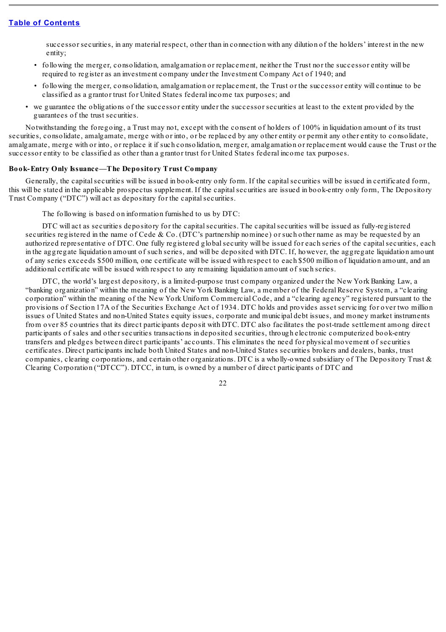successor securities, in any material respect, other than in connection with any dilution of the holders' interest in the new entity;

- following the merger, consolidation, amalgamation or replacement, neither the Trust nor the successor entity will be required to register as an investment company under the Investment Company Act of 1940; and
- following the merger, consolidation, amalgamation or replacement, the Trust or the successor entity will continue to be classified as a grantor trust for United States federal income tax purposes; and
- we guarantee the obligations of the successor entity under the successor securities at least to the extent provided by the guarantees of the trust securities.

Notwithstanding the foregoing, a Trust may not, except with the consent of holders of 100% in liquidation amount of its trust securities, consolidate, amalgamate, merge with or into, or be replaced by any other entity or permit any other entity to consolidate, amalgamate, merge with or into, or replace it if such consolidation, merger, amalgamation or replacement would cause the Trust or the successor entity to be classified as other than a grantor trust for United States federal income tax purposes.

### **Book-Entry Only Issuance—The Depository Trust Company**

Generally, the capital securities will be issued in book-entry only form. If the capital securities will be issued in certificated form, this will be stated in the applicable prospectus supplement. If the capitalsecurities are issued in book-entry only form, The Depository Trust Company ("DTC") will act as depositary for the capital securities.

The following is based on information furnished to us by DTC:

DTC will act as securities depository for the capital securities. The capital securities will be issued as fully-registered securities registered in the name of Cede & Co. (DTC's partnership nominee) or such other name as may be requested by an authorized representative of DTC. One fully registered globalsecurity will be issued for each series of the capitalsecurities, each in the aggregate liquidation amount of such series, and will be deposited with DTC. If, however, the aggregate liquidation amount of any series exceeds \$500 million, one certificate will be issued with respect to each \$500 million of liquidation amount, and an additional certificate will be issued with respect to any remaining liquidation amount of such series.

DTC, the world's largest depository, is a limited-purpose trust company organized under the New York Banking Law, a "banking organization" within the meaning of the New York Banking Law, a member of the Federal Reserve System, a "clearing corporation" within the meaning of the New York Uniform Commercial Code, and a "clearing agency" registered pursuant to the provisions of Section 17A of the Securities Exchange Act of 1934. DTC holds and provides asset servicing for over two million issues of United States and non-United States equity issues, corporate and municipal debt issues, and money market instruments from over 85 countries that its direct participants deposit with DTC. DTC also facilitates the post-trade settlement among direct participants of sales and other securities transactions in deposited securities, through electronic computerized book-entry transfers and pledges between direct participants' accounts. This eliminates the need for physical movement of securities certificates. Direct participants include both United States and non-United States securities brokers and dealers, banks, trust companies, clearing corporations, and certain other organizations. DTC is a wholly-owned subsidiary of The Depository Trust  $\&$ Clearing Corporation ("DTCC"). DTCC, in turn, is owned by a number of direct participants of DTC and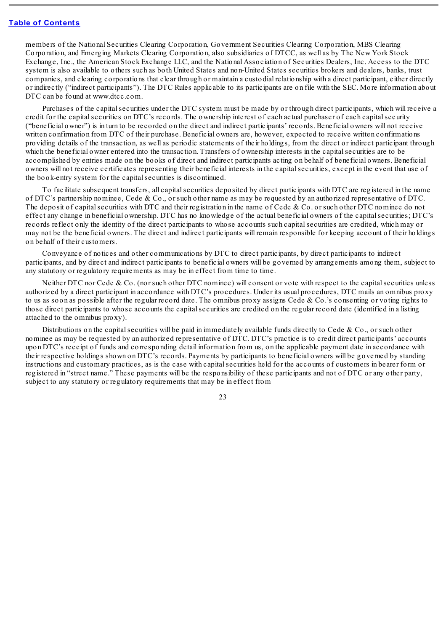members of the National Securities Clearing Corporation, Government Securities Clearing Corporation, MBS Clearing Corporation, and Emerging Markets Clearing Corporation, also subsidiaries of DTCC, as well as by The New York Stock Exchange, Inc., the American Stock Exchange LLC, and the National Association of Securities Dealers, Inc. Access to the DTC system is also available to others such as both United States and non-United States securities brokers and dealers, banks, trust companies, and clearing corporations that clear through or maintain a custodial relationship with a direct participant, either directly or indirectly ("indirect participants"). The DTC Rules applicable to its participants are on file with the SEC. More information about DTC can be found at www.dtcc.com.

Purchases of the capital securities under the DTC system must be made by or through direct participants, which will receive a credit for the capitalsecurities on DTC's records. The ownership interest of each actual purchaser of each capitalsecurity ("beneficial owner") is in turn to be recorded on the direct and indirect participants' records. Beneficial owners will not receive written confirmation from DTC of their purchase. Beneficial owners are, however, expected to receive written confirmations providing details of the transaction, as well as periodic statements of their holdings, from the direct or indirect participant through which the beneficial owner entered into the transaction. Transfers of ownership interests in the capital securities are to be accomplished by entries made on the books of direct and indirect participants acting on behalf of beneficial owners. Beneficial owners will not receive certificates representing their beneficial interests in the capitalsecurities, except in the event that use of the book-entry system for the capital securities is discontinued.

To facilitate subsequent transfers, all capitalsecurities deposited by direct participants with DTC are registered in the name of DTC's partnership nominee, Cede & Co., or such other name as may be requested by an authorized representative of DTC. The deposit of capital securities with DTC and their registration in the name of Cede & Co. or such other DTC nominee do not effect any change in beneficial ownership. DTC has no knowledge of the actual beneficial owners of the capitalsecurities; DTC's records reflect only the identity of the direct participants to whose accounts such capitalsecurities are credited, which may or may not be the beneficial owners. The direct and indirect participants will remain responsible for keeping account of their holdings on behalf of their customers.

Conveyance of notices and other communications by DTC to direct participants, by direct participants to indirect participants, and by direct and indirect participants to beneficial owners will be governed by arrangements among them, subject to any statutory or regulatory requirements as may be in effect from time to time.

Neither DTC nor Cede & Co. (nor such other DTC nominee) will consent or vote with respect to the capital securities unless authorized by a direct participant in accordance with DTC's procedures. Under its usual procedures, DTC mails an omnibus proxy to us as soon as possible after the regular record date. The omnibus proxy assigns Cede & Co.'s consenting or voting rights to those direct participants to whose accounts the capitalsecurities are credited on the regular record date (identified in a listing attached to the omnibus proxy).

Distributions on the capital securities will be paid in immediately available funds directly to Cede & Co., or such other nominee as may be requested by an authorized representative of DTC. DTC's practice is to credit direct participants' accounts upon DTC's receipt of funds and corresponding detail information from us, on the applicable payment date in accordance with their respective holdings shown on DTC's records. Payments by participants to beneficial owners will be governed by standing instructions and customary practices, as is the case with capitalsecurities held for the accounts of customers in bearer form or registered in "street name." These payments will be the responsibility of these participants and not of DTC or any other party, subject to any statutory or regulatory requirements that may be in effect from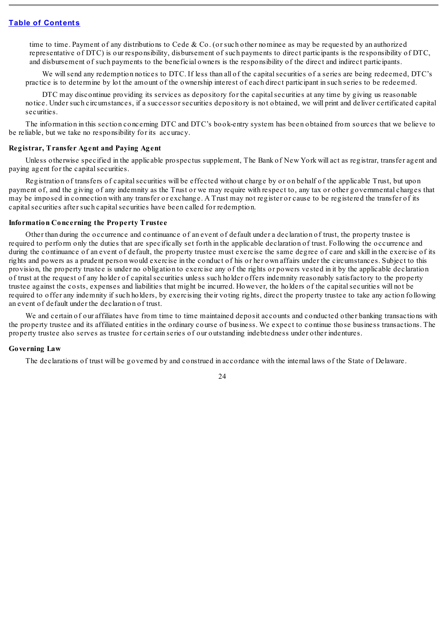time to time. Payment of any distributions to Cede & Co. (or such other nominee as may be requested by an authorized representative of DTC) is our responsibility, disbursement of such payments to direct participants is the responsibility of DTC, and disbursement of such payments to the beneficial owners is the responsibility of the direct and indirect participants.

We will send any redemption notices to DTC. If less than all of the capital securities of a series are being redeemed, DTC's practice is to determine by lot the amount of the ownership interest of each direct participant in such series to be redeemed.

DTC may discontinue providing its services as depository for the capital securities at any time by giving us reasonable notice. Under such circumstances, if a successor securities depository is not obtained, we will print and deliver certificated capital securities.

The information in this section concerning DTC and DTC's book-entry system has been obtained from sources that we believe to be reliable, but we take no responsibility for its accuracy.

#### **Registrar, Transfer Agent and Paying Agent**

Unless otherwise specified in the applicable prospectus supplement, The Bank of New York will act as registrar, transfer agent and paying agent for the capital securities.

Registration of transfers of capitalsecurities will be effected without charge by or on behalf of the applicable Trust, but upon payment of, and the giving of any indemnity as the Trust or we may require with respect to, any tax or other governmental charges that may be imposed in connection with any transfer or exchange. A Trust may not register or cause to be registered the transfer of its capital securities after such capital securities have been called for redemption.

### **Information Concerning the Property Trustee**

Other than during the occurrence and continuance of an event of default under a declaration of trust, the property trustee is required to perform only the duties that are specifically set forth in the applicable declaration of trust. Following the occurrence and during the continuance of an event of default, the property trustee must exercise the same degree of care and skill in the exercise of its rights and powers as a prudent person would exercise in the conduct of his or her own affairs under the circumstances. Subject to this provision, the property trustee is under no obligation to exercise any of the rights or powers vested in it by the applicable declaration of trust at the request of any holder of capitalsecurities unless such holder offers indemnity reasonably satisfactory to the property trustee against the costs, expenses and liabilities that might be incurred. However, the holders of the capitalsecurities will not be required to offer any indemnity if such holders, by exercising their voting rights, direct the property trustee to take any action following an event of default under the declaration of trust.

We and certain of our affiliates have from time to time maintained deposit accounts and conducted other banking transactions with the property trustee and its affiliated entities in the ordinary course of business. We expect to continue those business transactions. The property trustee also serves as trustee for certain series of our outstanding indebtedness under other indentures.

### **Governing Law**

The declarations of trust will be governed by and construed in accordance with the internal laws of the State of Delaware.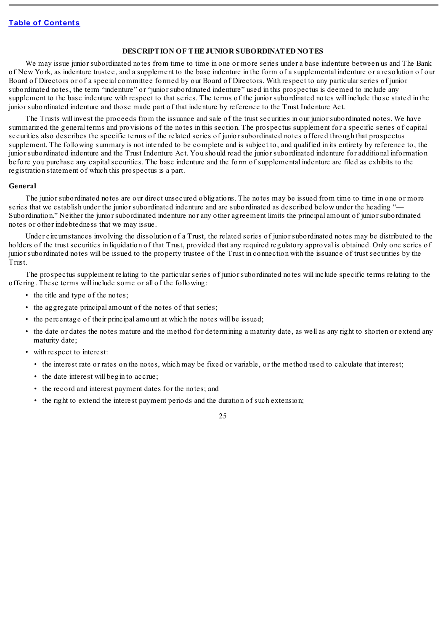### **DESCRIPTION OF THE JUNIOR SUBORDINATED NOTES**

We may issue junior subordinated notes from time to time in one or more series under a base indenture between us and The Bank of New York, as indenture trustee, and a supplement to the base indenture in the form of a supplemental indenture or a resolution of our Board of Directors or of a special committee formed by our Board of Directors. With respect to any particular series of junior subordinated notes, the term "indenture" or "junior subordinated indenture" used in this prospectus is deemed to include any supplement to the base indenture with respect to that series. The terms of the junior subordinated notes will include those stated in the junior subordinated indenture and those made part of that indenture by reference to the Trust Indenture Act.

The Trusts will invest the proceeds from the issuance and sale of the trust securities in our junior subordinated notes. We have summarized the general terms and provisions of the notes in this section. The prospectus supplement for a specific series of capital securities also describes the specific terms of the related series of junior subordinated notes offered through that prospectus supplement. The following summary is not intended to be complete and is subject to, and qualified in its entirety by reference to, the junior subordinated indenture and the Trust Indenture Act. You should read the junior subordinated indenture for additional information before you purchase any capitalsecurities. The base indenture and the form of supplemental indenture are filed as exhibits to the registration statement of which this prospectus is a part.

#### **General**

The junior subordinated notes are our direct unsecured obligations. The notes may be issued from time to time in one or more series that we establish under the junior subordinated indenture and are subordinated as described below under the heading "— Subordination." Neither the junior subordinated indenture nor any other agreement limits the principal amount of junior subordinated notes or other indebtedness that we may issue.

Under circumstances involving the dissolution of a Trust, the related series of junior subordinated notes may be distributed to the holders of the trust securities in liquidation of that Trust, provided that any required regulatory approval is obtained. Only one series of junior subordinated notes will be issued to the property trustee of the Trust in connection with the issuance of trust securities by the Trust.

The prospectus supplement relating to the particular series of junior subordinated notes will include specific terms relating to the offering. These terms will include some or all of the following:

- the title and type of the notes;
- the aggregate principal amount of the notes of that series;
- the percentage of their principal amount at which the notes will be issued;
- the date or dates the notes mature and the method for determining a maturity date, as well as any right to shorten or extend any maturity date;
- with respect to interest:
	- the interest rate or rates on the notes, which may be fixed or variable, or the method used to calculate that interest;
	- the date interest will begin to accrue;
	- the record and interest payment dates for the notes; and
	- the right to extend the interest payment periods and the duration of such extension;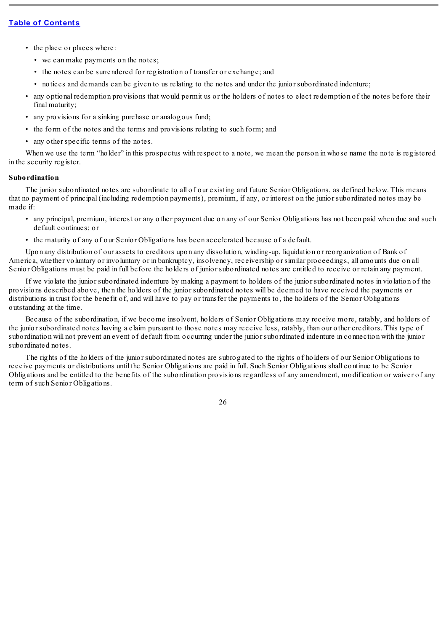- the place or places where:
	- we can make payments on the notes;
	- the notes can be surrendered for registration of transfer or exchange; and
	- notices and demands can be given to us relating to the notes and under the junior subordinated indenture;
- any optional redemption provisions that would permit us or the holders of notes to elect redemption of the notes before their final maturity;
- any provisions for a sinking purchase or analogous fund;
- the form of the notes and the terms and provisions relating to such form; and
- any other specific terms of the notes.

When we use the term "holder" in this prospectus with respect to a note, we mean the person in whose name the note is registered in the security register.

### **Subordination**

The junior subordinated notes are subordinate to all of our existing and future Senior Obligations, as defined below. This means that no payment of principal (including redemption payments), premium, if any, or interest on the junior subordinated notes may be made if:

- any principal, premium, interest or any other payment due on any of our Senior Obligations has not been paid when due and such default continues; or
- the maturity of any of our Senior Obligations has been accelerated because of a default.

Upon any distribution of our assets to creditors upon any dissolution, winding-up, liquidation or reorganization of Bank of America, whether voluntary or involuntary or in bankruptcy, insolvency, receivership or similar proceedings, all amounts due on all Senior Obligations must be paid in full before the holders of junior subordinated notes are entitled to receive or retain any payment.

If we violate the junior subordinated indenture by making a payment to holders of the junior subordinated notes in violation of the provisions described above, then the holders of the junior subordinated notes will be deemed to have received the payments or distributions in trust for the benefit of, and will have to pay or transfer the payments to, the holders of the Senior Obligations outstanding at the time.

Because of the subordination, if we become insolvent, holders of Senior Obligations may receive more, ratably, and holders of the junior subordinated notes having a claim pursuant to those notes may receive less, ratably, than our other creditors. This type of subordination will not prevent an event of default from occurring under the junior subordinated indenture in connection with the junior subordinated notes.

The rights of the holders of the junior subordinated notes are subrogated to the rights of holders of our Senior Obligations to receive payments or distributions until the Senior Obligations are paid in full. Such Senior Obligations shall continue to be Senior Obligations and be entitled to the benefits of the subordination provisions regardless of any amendment, modification or waiver of any term of such Senior Obligations.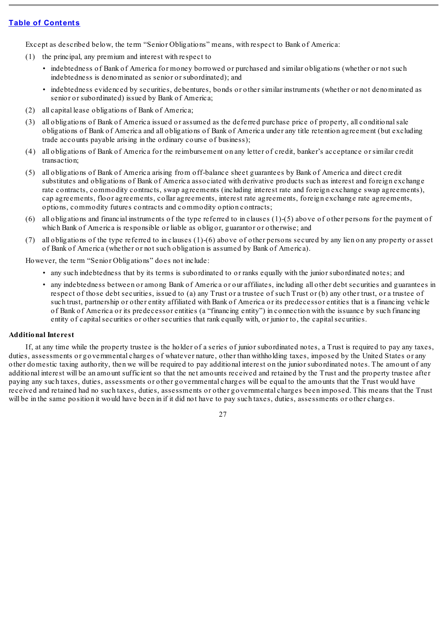Except as described below, the term "Senior Obligations" means, with respect to Bank of America:

- (1) the principal, any premium and interest with respect to
	- indebtedness of Bank of America for money borrowed or purchased and similar obligations (whether or not such indebtedness is denominated as senior or subordinated); and
	- indebtedness evidenced by securities, debentures, bonds or other similar instruments (whether or not denominated as senior or subordinated) issued by Bank of America;
- (2) all capital lease obligations of Bank of America;
- (3) all obligations of Bank of America issued or assumed as the deferred purchase price of property, all conditionalsale obligations of Bank of America and all obligations of Bank of America under any title retention agreement (but excluding trade accounts payable arising in the ordinary course of business);
- (4) all obligations of Bank of America for the reimbursement on any letter of credit, banker's acceptance or similar credit transaction;
- (5) all obligations of Bank of America arising from off-balance sheet guarantees by Bank of America and direct credit substitutes and obligations of Bank of America associated with derivative products such as interest and foreign exchange rate contracts, commodity contracts, swap agreements (including interest rate and foreign exchange swap agreements), cap agreements, floor agreements, collar agreements, interest rate agreements, foreign exchange rate agreements, options, commodity futures contracts and commodity option contracts;
- (6) all obligations and financial instruments of the type referred to in clauses (1)-(5) above of other persons for the payment of which Bank of America is responsible or liable as obligor, guarantor or otherwise; and
- (7) all obligations of the type referred to in clauses (1)-(6) above of other persons secured by any lien on any property or asset of Bank of America (whether or not such obligation is assumed by Bank of America).

However, the term "Senior Obligations" does not include:

- any such indebtedness that by its terms is subordinated to or ranks equally with the junior subordinated notes; and
- any indebtedness between or among Bank of America or our affiliates, including all other debt securities and guarantees in respect of those debt securities, issued to (a) any Trust or a trustee of such Trust or (b) any other trust, or a trustee of such trust, partnership or other entity affiliated with Bank of America or its predecessor entities that is a financing vehicle of Bank of America or its predecessor entities (a "financing entity") in connection with the issuance by such financing entity of capital securities or other securities that rank equally with, or junior to, the capital securities.

## **Additional Interest**

If, at any time while the property trustee is the holder of a series of junior subordinated notes, a Trust is required to pay any taxes, duties, assessments or governmental charges of whatever nature, other than withholding taxes, imposed by the United States or any other domestic taxing authority, then we will be required to pay additional interest on the junior subordinated notes. The amount of any additional interest will be an amount sufficient so that the net amounts received and retained by the Trust and the property trustee after paying any such taxes, duties, assessments or other governmental charges will be equal to the amounts that the Trust would have received and retained had no such taxes, duties, assessments or other governmental charges been imposed. This means that the Trust will be in the same position it would have been in if it did not have to pay such taxes, duties, assessments or other charges.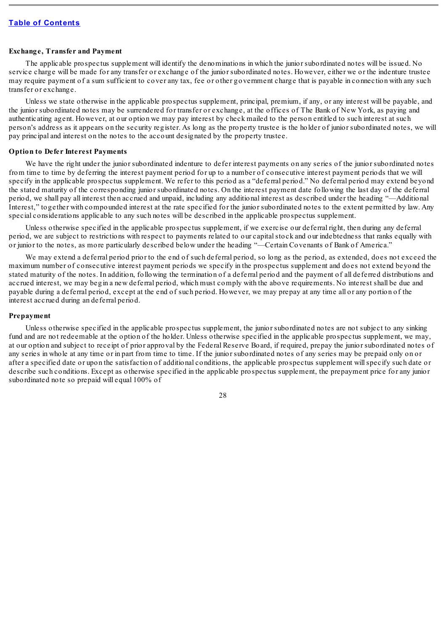#### **Exchange, Transfer and Payment**

The applicable prospectus supplement will identify the denominations in which the junior subordinated notes will be issued. No service charge will be made for any transfer or exchange of the junior subordinated notes. However, either we or the indenture trustee may require payment of a sum sufficient to cover any tax, fee or other government charge that is payable in connection with any such transfer or exchange.

Unless we state otherwise in the applicable prospectus supplement, principal, premium, if any, or any interest will be payable, and the junior subordinated notes may be surrendered for transfer or exchange, at the offices of The Bank of New York, as paying and authenticating agent. However, at our option we may pay interest by check mailed to the person entitled to such interest at such person's address as it appears on the security register. As long as the property trustee is the holder of junior subordinated notes, we will pay principal and interest on the notes to the account designated by the property trustee.

### **Option to Defer Interest Payments**

We have the right under the junior subordinated indenture to defer interest payments on any series of the junior subordinated notes from time to time by deferring the interest payment period for up to a number of consecutive interest payment periods that we will specify in the applicable prospectus supplement. We refer to this period as a "deferral period." No deferral period may extend beyond the stated maturity of the corresponding junior subordinated notes. On the interest payment date following the last day of the deferral period, we shall pay all interest then accrued and unpaid, including any additional interest as described under the heading "—Additional Interest," together with compounded interest at the rate specified for the junior subordinated notes to the extent permitted by law. Any special considerations applicable to any such notes will be described in the applicable prospectus supplement.

Unless otherwise specified in the applicable prospectus supplement, if we exercise our deferral right, then during any deferral period, we are subject to restrictions with respect to payments related to our capitalstock and our indebtedness that ranks equally with or junior to the notes, as more particularly described below under the heading "—Certain Covenants of Bank of America."

We may extend a deferral period prior to the end of such deferral period, so long as the period, as extended, does not exceed the maximum number of consecutive interest payment periods we specify in the prospectus supplement and does not extend beyond the stated maturity of the notes. In addition, following the termination of a deferral period and the payment of all deferred distributions and accrued interest, we may begin a new deferral period, which must comply with the above requirements. No interest shall be due and payable during a deferral period, except at the end of such period. However, we may prepay at any time all or any portion of the interest accrued during an deferral period.

#### **Prepayment**

Unless otherwise specified in the applicable prospectus supplement, the junior subordinated notes are not subject to any sinking fund and are not redeemable at the option of the holder. Unless otherwise specified in the applicable prospectus supplement, we may, at our option and subject to receipt of prior approval by the Federal Reserve Board, if required, prepay the junior subordinated notes of any series in whole at any time or in part from time to time. If the junior subordinated notes of any series may be prepaid only on or after a specified date or upon the satisfaction of additional conditions, the applicable prospectus supplement willspecify such date or describe such conditions. Except as otherwise specified in the applicable prospectus supplement, the prepayment price for any junior subordinated note so prepaid will equal 100% of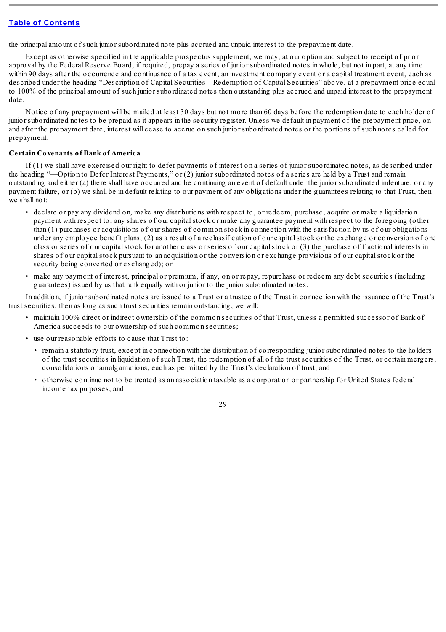the principal amount of such junior subordinated note plus accrued and unpaid interest to the prepayment date.

Except as otherwise specified in the applicable prospectus supplement, we may, at our option and subject to receipt of prior approval by the Federal Reserve Board, if required, prepay a series of junior subordinated notes in whole, but not in part, at any time within 90 days after the occurrence and continuance of a tax event, an investment company event or a capital treatment event, each as described under the heading "Description of Capital Securities—Redemption of Capital Securities" above, at a prepayment price equal to 100% of the principal amount of such junior subordinated notes then outstanding plus accrued and unpaid interest to the prepayment date.

Notice of any prepayment will be mailed at least 30 days but not more than 60 days before the redemption date to each holder of junior subordinated notes to be prepaid as it appears in the security register. Unless we default in payment of the prepayment price, on and after the prepayment date, interest will cease to accrue on such junior subordinated notes or the portions of such notes called for prepayment.

### **Certain Covenants of Bank of America**

If (1) we shall have exercised our right to defer payments of interest on a series of junior subordinated notes, as described under the heading "—Option to Defer Interest Payments," or (2) junior subordinated notes of a series are held by a Trust and remain outstanding and either (a) there shall have occurred and be continuing an event of default under the junior subordinated indenture, or any payment failure, or (b) we shall be in default relating to our payment of any obligations under the guarantees relating to that Trust, then we shall not:

- declare or pay any dividend on, make any distributions with respect to, or redeem, purchase, acquire or make a liquidation payment with respect to, any shares of our capitalstock or make any guarantee payment with respect to the foregoing (other than (1) purchases or acquisitions of our shares of common stock in connection with the satisfaction by us of our obligations under any employee benefit plans, (2) as a result of a reclassification of our capitalstock or the exchange or conversion of one class or series of our capitalstock for another class or series of our capitalstock or (3) the purchase of fractional interests in shares of our capital stock pursuant to an acquisition or the conversion or exchange provisions of our capital stock or the security being converted or exchanged); or
- make any payment of interest, principal or premium, if any, on or repay, repurchase or redeem any debt securities (including guarantees) issued by us that rank equally with or junior to the junior subordinated notes.

In addition, if junior subordinated notes are issued to a Trust or a trustee of the Trust in connection with the issuance of the Trust's trust securities, then as long as such trust securities remain outstanding, we will:

- maintain 100% direct or indirect ownership of the common securities of that Trust, unless a permitted successor of Bank of America succeeds to our ownership of such common securities;
- use our reasonable efforts to cause that Trust to:
	- remain a statutory trust, except in connection with the distribution of corresponding junior subordinated notes to the holders of the trust securities in liquidation of such Trust, the redemption of all of the trust securities of the Trust, or certain mergers, consolidations or amalgamations, each as permitted by the Trust's declaration of trust; and
	- otherwise continue not to be treated as an association taxable as a corporation or partnership for United States federal income tax purposes; and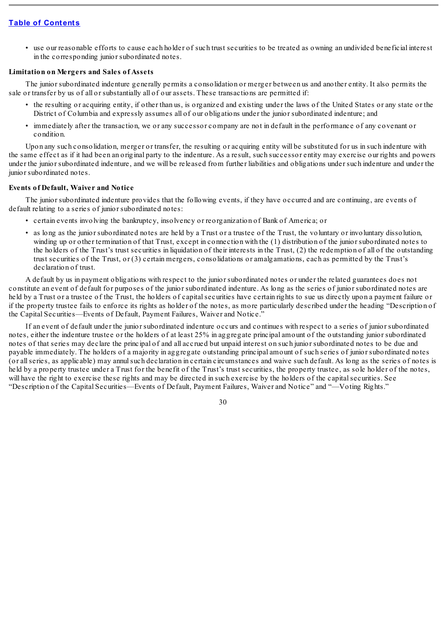• use our reasonable efforts to cause each holder of such trust securities to be treated as owning an undivided beneficial interest in the corresponding junior subordinated notes.

### **Limitation on Mergers and Sales of Assets**

The junior subordinated indenture generally permits a consolidation or merger between us and another entity. It also permits the sale or transfer by us of all or substantially all of our assets. These transactions are permitted if:

- the resulting or acquiring entity, if other than us, is organized and existing under the laws of the United States or any state or the District of Columbia and expressly assumes all of our obligations under the junior subordinated indenture; and
- immediately after the transaction, we or any successor company are not in default in the performance of any covenant or condition.

Upon any such consolidation, merger or transfer, the resulting or acquiring entity will be substituted for us in such indenture with the same effect as if it had been an original party to the indenture. As a result, such successor entity may exercise our rights and powers under the junior subordinated indenture, and we will be released from further liabilities and obligations under such indenture and under the junior subordinated notes.

### **Events of Default, Waiver and Notice**

The junior subordinated indenture provides that the following events, if they have occurred and are continuing, are events of default relating to a series of junior subordinated notes:

- certain events involving the bankruptcy, insolvency or reorganization of Bank of America; or
- as long as the junior subordinated notes are held by a Trust or a trustee of the Trust, the voluntary or involuntary dissolution, winding up or other termination of that Trust, except in connection with the (1) distribution of the junior subordinated notes to the holders of the Trust's trust securities in liquidation of their interests in the Trust, (2) the redemption of all of the outstanding trust securities of the Trust, or (3) certain mergers, consolidations or amalgamations, each as permitted by the Trust's declaration of trust.

A default by us in payment obligations with respect to the junior subordinated notes or under the related guarantees does not constitute an event of default for purposes of the junior subordinated indenture. As long as the series of junior subordinated notes are held by a Trust or a trustee of the Trust, the holders of capitalsecurities have certain rights to sue us directly upon a payment failure or if the property trustee fails to enforce its rights as holder of the notes, as more particularly described under the heading "Description of the Capital Securities—Events of Default, Payment Failures, Waiver and Notice."

If an event of default under the junior subordinated indenture occurs and continues with respect to a series of junior subordinated notes, either the indenture trustee or the holders of at least 25% in aggregate principal amount of the outstanding junior subordinated notes of that series may declare the principal of and all accrued but unpaid interest on such junior subordinated notes to be due and payable immediately. The holders of a majority in aggregate outstanding principal amount of such series of junior subordinated notes (or allseries, as applicable) may annulsuch declaration in certain circumstances and waive such default. As long as the series of notes is held by a property trustee under a Trust for the benefit of the Trust's trust securities, the property trustee, as sole holder of the notes, will have the right to exercise these rights and may be directed in such exercise by the holders of the capitalsecurities. See "Description of the Capital Securities—Events of Default, Payment Failures, Waiver and Notice" and "—Voting Rights."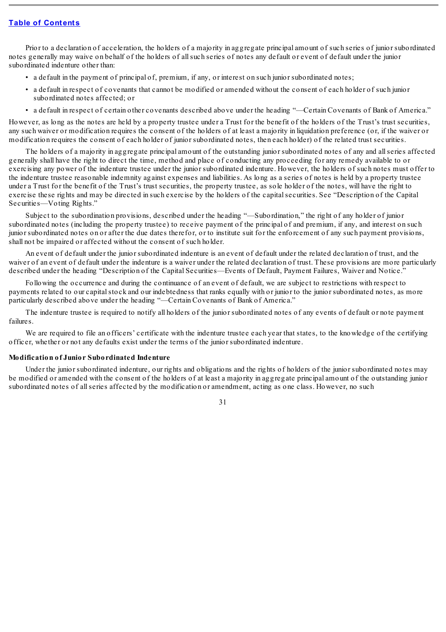Prior to a declaration of acceleration, the holders of a majority in aggregate principal amount of such series of junior subordinated notes generally may waive on behalf of the holders of allsuch series of notes any default or event of default under the junior subordinated indenture other than:

- a default in the payment of principal of, premium, if any, or interest on such junior subordinated notes;
- a default in respect of covenants that cannot be modified or amended without the consent of each holder of such junior subordinated notes affected; or
- a default in respect of certain other covenants described above under the heading "—Certain Covenants of Bank of America."

However, as long as the notes are held by a property trustee under a Trust for the benefit of the holders of the Trust's trust securities, any such waiver or modification requires the consent of the holders of at least a majority in liquidation preference (or, if the waiver or modification requires the consent of each holder of junior subordinated notes, then each holder) of the related trust securities.

The holders of a majority in aggregate principal amount of the outstanding junior subordinated notes of any and allseries affected generally shall have the right to direct the time, method and place of conducting any proceeding for any remedy available to or exercising any power of the indenture trustee under the junior subordinated indenture. However, the holders of such notes must offer to the indenture trustee reasonable indemnity against expenses and liabilities. As long as a series of notes is held by a property trustee under a Trust for the benefit of the Trust's trust securities, the property trustee, as sole holder of the notes, will have the right to exercise these rights and may be directed in such exercise by the holders of the capital securities. See "Description of the Capital Securities—Voting Rights."

Subject to the subordination provisions, described under the heading "—Subordination," the right of any holder of junior subordinated notes (including the property trustee) to receive payment of the principal of and premium, if any, and interest on such junior subordinated notes on or after the due dates therefor, or to institute suit for the enforcement of any such payment provisions, shall not be impaired or affected without the consent of such holder.

An event of default under the junior subordinated indenture is an event of default under the related declaration of trust, and the waiver of an event of default under the indenture is a waiver under the related declaration of trust. These provisions are more particularly described under the heading "Description of the Capital Securities—Events of Default, Payment Failures, Waiver and Notice."

Following the occurrence and during the continuance of an event of default, we are subject to restrictions with respect to payments related to our capitalstock and our indebtedness that ranks equally with or junior to the junior subordinated notes, as more particularly described above under the heading "—Certain Covenants of Bank of America."

The indenture trustee is required to notify all holders of the junior subordinated notes of any events of default or note payment failures.

We are required to file an officers' certificate with the indenture trustee each year that states, to the knowledge of the certifying officer, whether or not any defaults exist under the terms of the junior subordinated indenture.

### **Modification of Junior Subordinated Indenture**

Under the junior subordinated indenture, our rights and obligations and the rights of holders of the junior subordinated notes may be modified or amended with the consent of the holders of at least a majority in aggregate principal amount of the outstanding junior subordinated notes of allseries affected by the modification or amendment, acting as one class. However, no such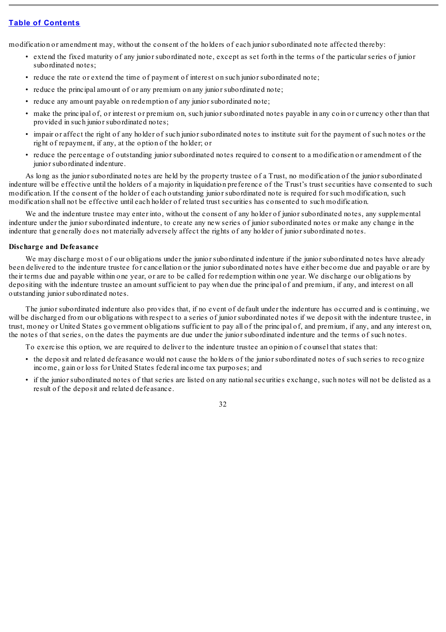modification or amendment may, without the consent of the holders of each junior subordinated note affected thereby:

- extend the fixed maturity of any junior subordinated note, except as set forth in the terms of the particular series of junior subordinated notes;
- reduce the rate or extend the time of payment of interest on such junior subordinated note;
- reduce the principal amount of or any premium on any junior subordinated note;
- reduce any amount payable on redemption of any junior subordinated note;
- make the principal of, or interest or premium on, such junior subordinated notes payable in any coin or currency other than that provided in such junior subordinated notes;
- impair or affect the right of any holder of such junior subordinated notes to institute suit for the payment of such notes or the right of repayment, if any, at the option of the holder; or
- reduce the percentage of outstanding junior subordinated notes required to consent to a modification or amendment of the junior subordinated indenture.

As long as the junior subordinated notes are held by the property trustee of a Trust, no modification of the junior subordinated indenture will be effective until the holders of a majority in liquidation preference of the Trust's trust securities have consented to such modification. If the consent of the holder of each outstanding junior subordinated note is required for such modification, such modification shall not be effective until each holder of related trust securities has consented to such modification.

We and the indenture trustee may enter into, without the consent of any holder of junior subordinated notes, any supplemental indenture under the junior subordinated indenture, to create any new series of junior subordinated notes or make any change in the indenture that generally does not materially adversely affect the rights of any holder of junior subordinated notes.

#### **Discharge and Defeasance**

We may discharge most of our obligations under the junior subordinated indenture if the junior subordinated notes have already been delivered to the indenture trustee for cancellation or the junior subordinated notes have either become due and payable or are by their terms due and payable within one year, or are to be called for redemption within one year. We discharge our obligations by depositing with the indenture trustee an amount sufficient to pay when due the principal of and premium, if any, and interest on all outstanding junior subordinated notes.

The junior subordinated indenture also provides that, if no event of default under the indenture has occurred and is continuing, we will be discharged from our obligations with respect to a series of junior subordinated notes if we deposit with the indenture trustee, in trust, money or United States government obligations sufficient to pay all of the principal of, and premium, if any, and any interest on, the notes of that series, on the dates the payments are due under the junior subordinated indenture and the terms of such notes.

To exercise this option, we are required to deliver to the indenture trustee an opinion of counsel that states that:

- the deposit and related defeasance would not cause the holders of the junior subordinated notes of such series to recognize income, gain or loss for United States federal income tax purposes; and
- if the junior subordinated notes of that series are listed on any nationalsecurities exchange, such notes will not be delisted as a result of the deposit and related defeasance.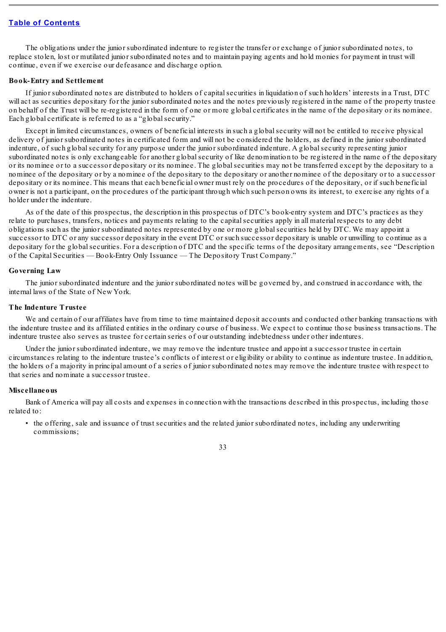The obligations under the junior subordinated indenture to register the transfer or exchange of junior subordinated notes, to replace stolen, lost or mutilated junior subordinated notes and to maintain paying agents and hold monies for payment in trust will continue, even if we exercise our defeasance and discharge option.

### **Book-Entry and Settlement**

If junior subordinated notes are distributed to holders of capitalsecurities in liquidation of such holders' interests in a Trust, DTC will act as securities depositary for the junior subordinated notes and the notes previously registered in the name of the property trustee on behalf of the Trust will be re-registered in the form of one or more global certificates in the name of the depositary or its nominee. Each global certificate is referred to as a "globalsecurity."

Except in limited circumstances, owners of beneficial interests in such a globalsecurity will not be entitled to receive physical delivery of junior subordinated notes in certificated form and will not be considered the holders, as defined in the junior subordinated indenture, of such globalsecurity for any purpose under the junior subordinated indenture. A globalsecurity representing junior subordinated notes is only exchangeable for another globalsecurity of like denomination to be registered in the name of the depositary or its nominee or to a successor depositary or its nominee. The globalsecurities may not be transferred except by the depositary to a nominee of the depositary or by a nominee of the depositary to the depositary or another nominee of the depositary or to a successor depositary or its nominee. This means that each beneficial owner must rely on the procedures of the depositary, or if such beneficial owner is not a participant, on the procedures of the participant through which such person owns its interest, to exercise any rights of a holder under the indenture.

As of the date of this prospectus, the description in this prospectus of DTC's book-entry system and DTC's practices as they relate to purchases, transfers, notices and payments relating to the capitalsecurities apply in all material respects to any debt obligations such as the junior subordinated notes represented by one or more globalsecurities held by DTC. We may appoint a successor to DTC or any successor depositary in the event DTC or such successor depositary is unable or unwilling to continue as a depositary for the globalsecurities. For a description of DTC and the specific terms of the depositary arrangements, see "Description of the Capital Securities — Book-Entry Only Issuance — The Depository Trust Company."

#### **Governing Law**

The junior subordinated indenture and the junior subordinated notes will be governed by, and construed in accordance with, the internal laws of the State of New York.

#### **The Indenture Trustee**

We and certain of our affiliates have from time to time maintained deposit accounts and conducted other banking transactions with the indenture trustee and its affiliated entities in the ordinary course of business. We expect to continue those business transactions. The indenture trustee also serves as trustee for certain series of our outstanding indebtedness under other indentures.

Under the junior subordinated indenture, we may remove the indenture trustee and appoint a successor trustee in certain circumstances relating to the indenture trustee's conflicts of interest or eligibility or ability to continue as indenture trustee. In addition, the holders of a majority in principal amount of a series of junior subordinated notes may remove the indenture trustee with respect to that series and nominate a successor trustee.

#### **Miscellaneous**

Bank of America will pay all costs and expenses in connection with the transactions described in this prospectus, including those related to:

• the offering, sale and issuance of trust securities and the related junior subordinated notes, including any underwriting commissions;

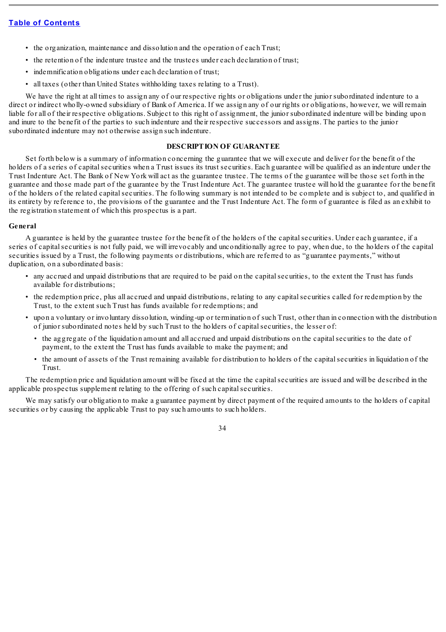- the organization, maintenance and dissolution and the operation of each Trust;
- the retention of the indenture trustee and the trustees under each declaration of trust;
- indemnification obligations under each declaration of trust:
- all taxes (other than United States withholding taxes relating to a Trust).

We have the right at all times to assign any of our respective rights or obligations under the junior subordinated indenture to a direct or indirect wholly-owned subsidiary of Bank of America. If we assign any of our rights or obligations, however, we will remain liable for all of their respective obligations. Subject to this right of assignment, the junior subordinated indenture will be binding upon and inure to the benefit of the parties to such indenture and their respective successors and assigns. The parties to the junior subordinated indenture may not otherwise assign such indenture.

### **DESCRIPTION OF GUARANTEE**

Set forth below is a summary of information concerning the guarantee that we will execute and deliver for the benefit of the holders of a series of capital securities when a Trust issues its trust securities. Each guarantee will be qualified as an indenture under the Trust Indenture Act. The Bank of New York will act as the guarantee trustee. The terms of the guarantee will be those set forth in the guarantee and those made part of the guarantee by the Trust Indenture Act. The guarantee trustee will hold the guarantee for the benefit of the holders of the related capitalsecurities. The following summary is not intended to be complete and is subject to, and qualified in its entirety by reference to, the provisions of the guarantee and the Trust Indenture Act. The form of guarantee is filed as an exhibit to the registration statement of which this prospectus is a part.

### **General**

A guarantee is held by the guarantee trustee for the benefit of the holders of the capitalsecurities. Under each guarantee, if a series of capitalsecurities is not fully paid, we will irrevocably and unconditionally agree to pay, when due, to the holders of the capital securities issued by a Trust, the following payments or distributions, which are referred to as "guarantee payments," without duplication, on a subordinated basis:

- any accrued and unpaid distributions that are required to be paid on the capitalsecurities, to the extent the Trust has funds available for distributions;
- the redemption price, plus all accrued and unpaid distributions, relating to any capitalsecurities called for redemption by the Trust, to the extent such Trust has funds available for redemptions; and
- upon a voluntary or involuntary dissolution, winding-up or termination of such Trust, other than in connection with the distribution of junior subordinated notes held by such Trust to the holders of capitalsecurities, the lesser of:
	- the aggregate of the liquidation amount and all accrued and unpaid distributions on the capital securities to the date of payment, to the extent the Trust has funds available to make the payment; and
	- the amount of assets of the Trust remaining available for distribution to holders of the capitalsecurities in liquidation of the Trust.

The redemption price and liquidation amount will be fixed at the time the capitalsecurities are issued and will be described in the applicable prospectus supplement relating to the offering of such capitalsecurities.

We may satisfy our obligation to make a guarantee payment by direct payment of the required amounts to the holders of capital securities or by causing the applicable Trust to pay such amounts to such holders.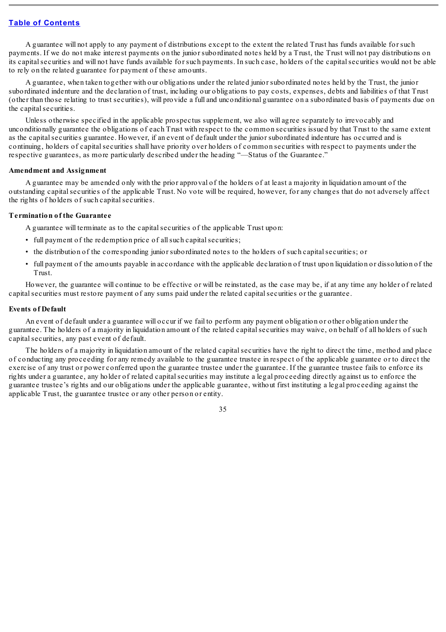A guarantee will not apply to any payment of distributions except to the extent the related Trust has funds available for such payments. If we do not make interest payments on the junior subordinated notes held by a Trust, the Trust will not pay distributions on its capital securities and will not have funds available for such payments. In such case, holders of the capital securities would not be able to rely on the related guarantee for payment of these amounts.

A guarantee, when taken together with our obligations under the related junior subordinated notes held by the Trust, the junior subordinated indenture and the declaration of trust, including our obligations to pay costs, expenses, debts and liabilities of that Trust (other than those relating to trust securities), will provide a full and unconditional guarantee on a subordinated basis of payments due on the capital securities.

Unless otherwise specified in the applicable prospectus supplement, we also will agree separately to irrevocably and unconditionally guarantee the obligations of each Trust with respect to the common securities issued by that Trust to the same extent as the capital securities guarantee. However, if an event of default under the junior subordinated indenture has occurred and is continuing, holders of capitalsecurities shall have priority over holders of common securities with respect to payments under the respective guarantees, as more particularly described under the heading "—Status of the Guarantee."

### **Amendment and Assignment**

A guarantee may be amended only with the prior approval of the holders of at least a majority in liquidation amount of the outstanding capitalsecurities of the applicable Trust. No vote will be required, however, for any changes that do not adversely affect the rights of holders of such capital securities.

### **Termination of the Guarantee**

A guarantee will terminate as to the capitalsecurities of the applicable Trust upon:

- full payment of the redemption price of all such capital securities;
- the distribution of the corresponding junior subordinated notes to the holders of such capitalsecurities; or
- full payment of the amounts payable in accordance with the applicable declaration of trust upon liquidation or dissolution of the Trust.

However, the guarantee will continue to be effective or will be reinstated, as the case may be, if at any time any holder of related capitalsecurities must restore payment of any sums paid under the related capitalsecurities or the guarantee.

### **Events of Default**

An event of default under a guarantee will occur if we fail to perform any payment obligation or other obligation under the guarantee. The holders of a majority in liquidation amount of the related capitalsecurities may waive, on behalf of all holders of such capital securities, any past event of default.

The holders of a majority in liquidation amount of the related capitalsecurities have the right to direct the time, method and place of conducting any proceeding for any remedy available to the guarantee trustee in respect of the applicable guarantee or to direct the exercise of any trust or power conferred upon the guarantee trustee under the guarantee. If the guarantee trustee fails to enforce its rights under a guarantee, any holder of related capitalsecurities may institute a legal proceeding directly against us to enforce the guarantee trustee's rights and our obligations under the applicable guarantee, without first instituting a legal proceeding against the applicable Trust, the guarantee trustee or any other person or entity.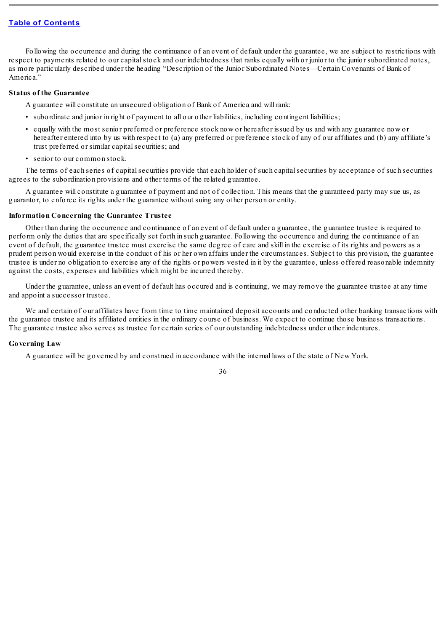Following the occurrence and during the continuance of an event of default under the guarantee, we are subject to restrictions with respect to payments related to our capital stock and our indebtedness that ranks equally with or junior to the junior subordinated notes, as more particularly described under the heading "Description of the Junior Subordinated Notes—Certain Covenants of Bank of America."

### **Status of the Guarantee**

A guarantee will constitute an unsecured obligation of Bank of America and will rank:

- subordinate and junior in right of payment to all our other liabilities, including contingent liabilities;
- equally with the most senior preferred or preference stock now or hereafter issued by us and with any guarantee now or hereafter entered into by us with respect to (a) any preferred or preference stock of any of our affiliates and (b) any affiliate's trust preferred or similar capital securities; and
- senior to our common stock.

The terms of each series of capitalsecurities provide that each holder of such capitalsecurities by acceptance of such securities agrees to the subordination provisions and other terms of the related guarantee.

A guarantee will constitute a guarantee of payment and not of collection. This means that the guaranteed party may sue us, as guarantor, to enforce its rights under the guarantee without suing any other person or entity.

#### **Information Concerning the Guarantee Trustee**

Other than during the occurrence and continuance of an event of default under a guarantee, the guarantee trustee is required to perform only the duties that are specifically set forth in such guarantee. Following the occurrence and during the continuance of an event of default, the guarantee trustee must exercise the same degree of care and skill in the exercise of its rights and powers as a prudent person would exercise in the conduct of his or her own affairs under the circumstances. Subject to this provision, the guarantee trustee is under no obligation to exercise any of the rights or powers vested in it by the guarantee, unless offered reasonable indemnity against the costs, expenses and liabilities which might be incurred thereby.

Under the guarantee, unless an event of default has occured and is continuing, we may remove the guarantee trustee at any time and appoint a successor trustee.

We and certain of our affiliates have from time to time maintained deposit accounts and conducted other banking transactions with the guarantee trustee and its affiliated entities in the ordinary course of business. We expect to continue those business transactions. The guarantee trustee also serves as trustee for certain series of our outstanding indebtedness under other indentures.

### **Governing Law**

A guarantee will be governed by and construed in accordance with the internal laws of the state of New York.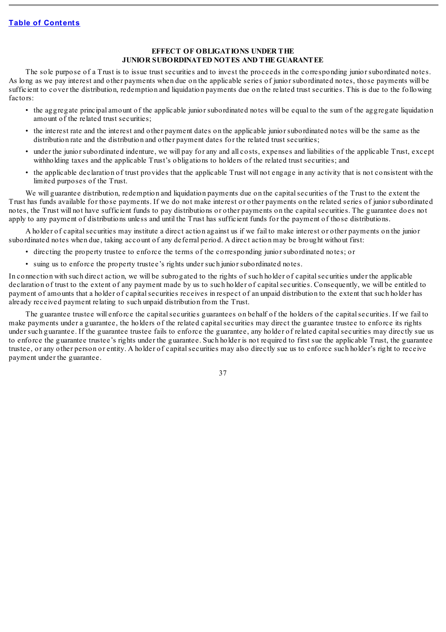### **EFFECT OF OBLIGATIONS UNDER THE JUNIOR SUBORDINATED NOTES AND THE GUARANTEE**

The sole purpose of a Trust is to issue trust securities and to invest the proceeds in the corresponding junior subordinated notes. As long as we pay interest and other payments when due on the applicable series of junior subordinated notes, those payments will be sufficient to cover the distribution, redemption and liquidation payments due on the related trust securities. This is due to the following factors:

- the aggregate principal amount of the applicable junior subordinated notes will be equal to the sum of the aggregate liquidation amount of the related trust securities;
- the interest rate and the interest and other payment dates on the applicable junior subordinated notes will be the same as the distribution rate and the distribution and other payment dates for the related trust securities;
- under the junior subordinated indenture, we will pay for any and all costs, expenses and liabilities of the applicable Trust, except withholding taxes and the applicable Trust's obligations to holders of the related trust securities; and
- the applicable declaration of trust provides that the applicable Trust will not engage in any activity that is not consistent with the limited purposes of the Trust.

We will guarantee distribution, redemption and liquidation payments due on the capital securities of the Trust to the extent the Trust has funds available for those payments. If we do not make interest or other payments on the related series of junior subordinated notes, the Trust will not have sufficient funds to pay distributions or other payments on the capitalsecurities. The guarantee does not apply to any payment of distributions unless and until the Trust has sufficient funds for the payment of those distributions.

A holder of capitalsecurities may institute a direct action against us if we fail to make interest or other payments on the junior subordinated notes when due, taking account of any deferral period. A direct action may be brought without first:

- directing the property trustee to enforce the terms of the corresponding junior subordinated notes; or
- suing us to enforce the property trustee's rights under such junior subordinated notes.

In connection with such direct action, we will be subrogated to the rights of such holder of capitalsecurities under the applicable declaration of trust to the extent of any payment made by us to such holder of capital securities. Consequently, we will be entitled to payment of amounts that a holder of capitalsecurities receives in respect of an unpaid distribution to the extent that such holder has already received payment relating to such unpaid distribution from the Trust.

The guarantee trustee will enforce the capital securities guarantees on behalf of the holders of the capital securities. If we fail to make payments under a guarantee, the holders of the related capitalsecurities may direct the guarantee trustee to enforce its rights under such guarantee. If the guarantee trustee fails to enforce the guarantee, any holder of related capitalsecurities may directly sue us to enforce the guarantee trustee's rights under the guarantee. Such holder is not required to first sue the applicable Trust, the guarantee trustee, or any other person or entity. A holder of capitalsecurities may also directly sue us to enforce such holder's right to receive payment under the guarantee.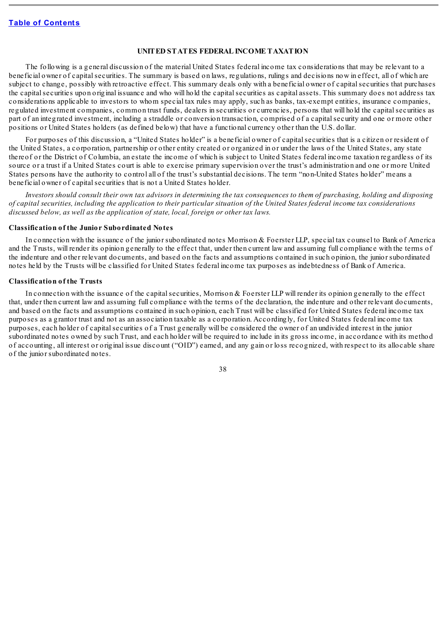### **UNITED STATES FEDERAL INCOME TAXATION**

The following is a general discussion of the material United States federal income tax considerations that may be relevant to a beneficial owner of capital securities. The summary is based on laws, regulations, rulings and decisions now in effect, all of which are subject to change, possibly with retroactive effect. This summary deals only with a beneficial owner of capital securities that purchases the capital securities upon original issuance and who will hold the capital securities as capital assets. This summary does not address tax considerations applicable to investors to whom special tax rules may apply, such as banks, tax-exempt entities, insurance companies, regulated investment companies, common trust funds, dealers in securities or currencies, persons that will hold the capitalsecurities as part of an integrated investment, including a straddle or conversion transaction, comprised of a capital security and one or more other positions or United States holders (as defined below) that have a functional currency other than the U.S. dollar.

For purposes of this discussion, a "United States holder" is a beneficial owner of capital securities that is a citizen or resident of the United States, a corporation, partnership or other entity created or organized in or under the laws of the United States, any state thereof or the District of Columbia, an estate the income of which is subject to United States federal income taxation regardless of its source or a trust if a United States court is able to exercise primary supervision over the trust's administration and one or more United States persons have the authority to control all of the trust's substantial decisions. The term "non-United States holder" means a beneficial owner of capital securities that is not a United States holder.

Investors should consult their own tax advisors in determining the tax consequences to them of purchasing, holding and disposing of capital securities, including the application to their particular situation of the United States federal income tax considerations *discussed below, as well as the application of state, local, foreign or other tax laws.*

### **Classification of the Junior Subordinated Notes**

In connection with the issuance of the junior subordinated notes Morrison & Foerster LLP, special tax counsel to Bank of America and the Trusts, will render its opinion generally to the effect that, under then current law and assuming full compliance with the terms of the indenture and other relevant documents, and based on the facts and assumptions contained in such opinion, the junior subordinated notes held by the Trusts will be classified for United States federal income tax purposes as indebtedness of Bank of America.

#### **Classification of the Trusts**

In connection with the issuance of the capital securities, Morrison & Foerster LLP will render its opinion generally to the effect that, under then current law and assuming full compliance with the terms of the declaration, the indenture and other relevant documents, and based on the facts and assumptions contained in such opinion, each Trust will be classified for United States federal income tax purposes as a grantor trust and not as an association taxable as a corporation. Accordingly, for United States federal income tax purposes, each holder of capitalsecurities of a Trust generally will be considered the owner of an undivided interest in the junior subordinated notes owned by such Trust, and each holder will be required to include in its gross income, in accordance with its method of accounting, all interest or original issue discount ("OID") earned, and any gain or loss recognized, with respect to its allocable share of the junior subordinated notes.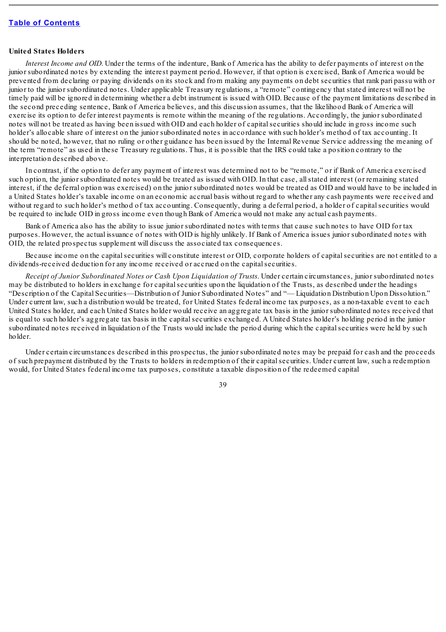#### **United States Holders**

*Interest Income and OID*. Under the terms of the indenture, Bank of America has the ability to defer payments of interest on the junior subordinated notes by extending the interest payment period. However, if that option is exercised, Bank of America would be prevented from declaring or paying dividends on its stock and from making any payments on debt securities that rank pari passu with or junior to the junior subordinated notes. Under applicable Treasury regulations, a "remote" contingency that stated interest will not be timely paid will be ignored in determining whether a debt instrument is issued with OID. Because of the payment limitations described in the second preceding sentence, Bank of America believes, and this discussion assumes, that the likelihood Bank of America will exercise its option to defer interest payments is remote within the meaning of the regulations. Accordingly, the junior subordinated notes will not be treated as having been issued with OID and each holder of capitalsecurities should include in gross income such holder's allocable share of interest on the junior subordinated notes in accordance with such holder's method of tax accounting. It should be noted, however, that no ruling or other guidance has been issued by the Internal Revenue Service addressing the meaning of the term "remote" as used in these Treasury regulations. Thus, it is possible that the IRS could take a position contrary to the interpretation described above.

In contrast, if the option to defer any payment of interest was determined not to be "remote," or if Bank of America exercised such option, the junior subordinated notes would be treated as issued with OID. In that case, allstated interest (or remaining stated interest, if the deferral option was exercised) on the junior subordinated notes would be treated as OID and would have to be included in a United States holder's taxable income on an economic accrual basis without regard to whether any cash payments were received and without regard to such holder's method of tax accounting. Consequently, during a deferral period, a holder of capital securities would be required to include OID in gross income even though Bank of America would not make any actual cash payments.

Bank of America also has the ability to issue junior subordinated notes with terms that cause such notes to have OID for tax purposes. However, the actual issuance of notes with OID is highly unlikely. If Bank of America issues junior subordinated notes with OID, the related prospectus supplement will discuss the associated tax consequences.

Because income on the capitalsecurities will constitute interest or OID, corporate holders of capitalsecurities are not entitled to a dividends-received deduction for any income received or accrued on the capital securities.

*Receipt of Junior Subordinated Notes or Cash Upon Liquidation of Trusts*. Under certain circumstances, junior subordinated notes may be distributed to holders in exchange for capital securities upon the liquidation of the Trusts, as described under the headings "Description of the Capital Securities—Distribution of Junior Subordinated Notes" and "— Liquidation Distribution Upon Dissolution." Under current law, such a distribution would be treated, for United States federal income tax purposes, as a non-taxable event to each United States holder, and each United States holder would receive an aggregate tax basis in the junior subordinated notes received that is equal to such holder's aggregate tax basis in the capitalsecurities exchanged. A United States holder's holding period in the junior subordinated notes received in liquidation of the Trusts would include the period during which the capitalsecurities were held by such holder.

Under certain circumstances described in this prospectus, the junior subordinated notes may be prepaid for cash and the proceeds of such prepayment distributed by the Trusts to holders in redemption of their capitalsecurities. Under current law, such a redemption would, for United States federal income tax purposes, constitute a taxable disposition of the redeemed capital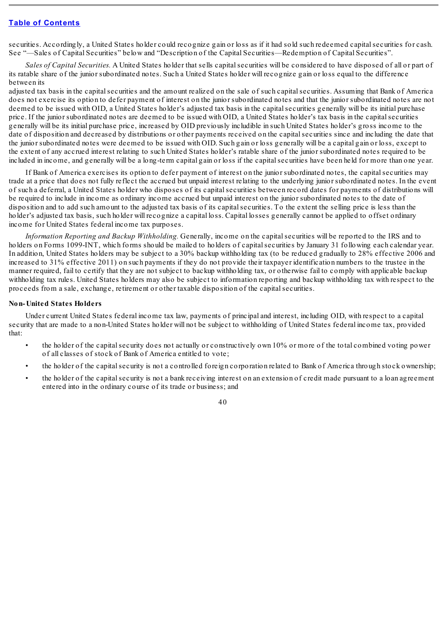securities. Accordingly, a United States holder could recognize gain or loss as if it had sold such redeemed capital securities for cash. See "—Sales of Capital Securities" below and "Description of the Capital Securities—Redemption of Capital Securities".

*Sales of Capital Securities.* A United States holder that sells capitalsecurities will be considered to have disposed of all or part of its ratable share of the junior subordinated notes. Such a United States holder will recognize gain or loss equal to the difference between its

adjusted tax basis in the capitalsecurities and the amount realized on the sale of such capitalsecurities. Assuming that Bank of America does not exercise its option to defer payment of interest on the junior subordinated notes and that the junior subordinated notes are not deemed to be issued with OID, a United States holder's adjusted tax basis in the capital securities generally will be its initial purchase price. If the junior subordinated notes are deemed to be issued with OID, a United States holder's tax basis in the capitalsecurities generally will be its initial purchase price, increased by OID previously includible in such United States holder's gross income to the date of disposition and decreased by distributions or other payments received on the capital securities since and including the date that the junior subordinated notes were deemed to be issued with OID. Such gain or loss generally will be a capital gain or loss, except to the extent of any accrued interest relating to such United States holder's ratable share of the junior subordinated notes required to be included in income, and generally will be a long-term capital gain or loss if the capitalsecurities have been held for more than one year.

If Bank of America exercises its option to defer payment of interest on the junior subordinated notes, the capital securities may trade at a price that does not fully reflect the accrued but unpaid interest relating to the underlying junior subordinated notes. In the event of such a deferral, a United States holder who disposes of its capitalsecurities between record dates for payments of distributions will be required to include in income as ordinary income accrued but unpaid interest on the junior subordinated notes to the date of disposition and to add such amount to the adjusted tax basis of its capital securities. To the extent the selling price is less than the holder's adjusted tax basis, such holder will recognize a capital loss. Capital losses generally cannot be applied to offset ordinary income for United States federal income tax purposes.

*Information Reporting and Backup Withholding.* Generally, income on the capitalsecurities will be reported to the IRS and to holders on Forms 1099-INT, which forms should be mailed to holders of capital securities by January 31 following each calendar year. In addition, United States holders may be subject to a 30% backup withholding tax (to be reduced gradually to 28% effective 2006 and increased to 31% effective 2011) on such payments if they do not provide their taxpayer identification numbers to the trustee in the manner required, fail to certify that they are not subject to backup withholding tax, or otherwise fail to comply with applicable backup withholding tax rules. United States holders may also be subject to information reporting and backup withholding tax with respect to the proceeds from a sale, exchange, retirement or other taxable disposition of the capitalsecurities.

### **Non-United States Holders**

Under current United States federal income tax law, payments of principal and interest, including OID, with respect to a capital security that are made to a non-United States holder will not be subject to withholding of United States federal income tax, provided that:

- the holder of the capitalsecurity does not actually or constructively own 10% or more of the total combined voting power of all classes of stock of Bank of America entitled to vote;
- the holder of the capitalsecurity is not a controlled foreign corporation related to Bank of America through stock ownership;
- the holder of the capitalsecurity is not a bank receiving interest on an extension of credit made pursuant to a loan agreement entered into in the ordinary course of its trade or business; and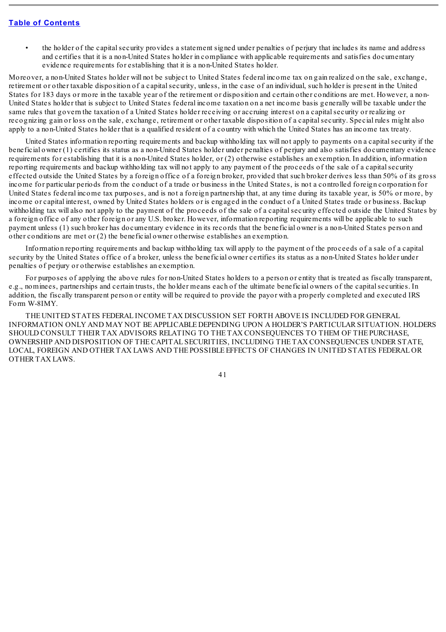• the holder of the capitalsecurity provides a statement signed under penalties of perjury that includes its name and address and certifies that it is a non-United States holder in compliance with applicable requirements and satisfies documentary evidence requirements for establishing that it is a non-United States holder.

Moreover, a non-United States holder will not be subject to United States federal income tax on gain realized on the sale, exchange, retirement or other taxable disposition of a capitalsecurity, unless, in the case of an individual, such holder is present in the United States for 183 days or more in the taxable year of the retirement or disposition and certain other conditions are met. However, a non-United States holder that is subject to United States federal income taxation on a net income basis generally will be taxable under the same rules that govern the taxation of a United States holder receiving or accruing interest on a capitalsecurity or realizing or recognizing gain or loss on the sale, exchange, retirement or other taxable disposition of a capitalsecurity. Special rules might also apply to a non-United States holder that is a qualified resident of a country with which the United States has an income tax treaty.

United States information reporting requirements and backup withholding tax will not apply to payments on a capitalsecurity if the beneficial owner (1) certifies its status as a non-United States holder under penalties of perjury and also satisfies documentary evidence requirements for establishing that it is a non-United States holder, or (2) otherwise establishes an exemption. In addition, information reporting requirements and backup withholding tax will not apply to any payment of the proceeds of the sale of a capitalsecurity effected outside the United States by a foreign office of a foreign broker, provided that such broker derives less than 50% of its gross income for particular periods from the conduct of a trade or business in the United States, is not a controlled foreign corporation for United States federal income tax purposes, and is not a foreign partnership that, at any time during its taxable year, is 50% or more, by income or capital interest, owned by United States holders or is engaged in the conduct of a United States trade or business. Backup withholding tax will also not apply to the payment of the proceeds of the sale of a capitalsecurity effected outside the United States by a foreign office of any other foreign or any U.S. broker. However, information reporting requirements will be applicable to such payment unless (1) such broker has documentary evidence in its records that the beneficial owner is a non-United States person and other conditions are met or  $(2)$  the beneficial owner otherwise establishes an exemption.

Information reporting requirements and backup withholding tax will apply to the payment of the proceeds of a sale of a capital security by the United States office of a broker, unless the beneficial owner certifies its status as a non-United States holder under penalties of perjury or otherwise establishes an exemption.

For purposes of applying the above rules for non-United States holders to a person or entity that is treated as fiscally transparent, e.g., nominees, partnerships and certain trusts, the holder means each of the ultimate beneficial owners of the capitalsecurities. In addition, the fiscally transparent person or entity will be required to provide the payor with a properly completed and executed IRS Form W-8IMY.

THE UNITED STATES FEDERAL INCOME TAX DISCUSSION SET FORTH ABOVE IS INCLUDED FOR GENERAL INFORMATION ONLY AND MAY NOT BE APPLICABLE DEPENDING UPON A HOLDER'S PARTICULAR SITUATION. HOLDERS SHOULD CONSULT THEIR TAX ADVISORS RELATING TO THE TAX CONSEQUENCES TO THEM OF THE PURCHASE, OWNERSHIP AND DISPOSITION OF THECAPITAL SECURITIES, INCLUDING THE TAX CONSEQUENCES UNDER STATE, LOCAL, FOREIGN AND OTHER TAX LAWS AND THE POSSIBLE EFFECTS OF CHANGES IN UNITED STATES FEDERAL OR OTHER TAX LAWS.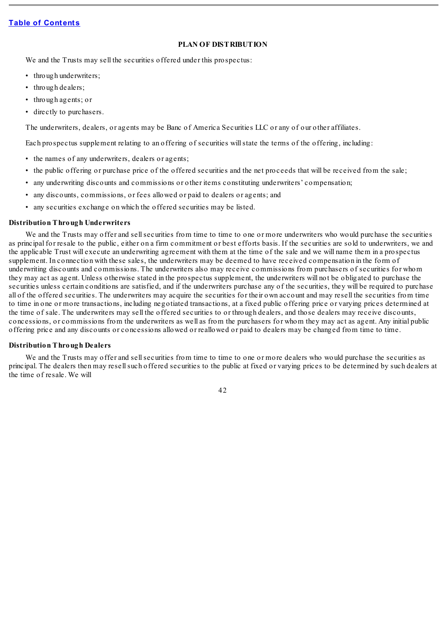## **PLAN OF DISTRIBUTION**

We and the Trusts may sell the securities offered under this prospectus:

- through underwriters;
- through dealers;
- through agents; or
- directly to purchasers.

The underwriters, dealers, or agents may be Banc of America Securities LLC or any of our other affiliates.

Each prospectus supplement relating to an offering of securities willstate the terms of the offering, including:

- the names of any underwriters, dealers or agents;
- the public offering or purchase price of the offered securities and the net proceeds that will be received from the sale;
- any underwriting discounts and commissions or other items constituting underwriters' compensation;
- any discounts, commissions, or fees allowed or paid to dealers or agents; and
- any securities exchange on which the offered securities may be listed.

### **Distribution Through Underwriters**

We and the Trusts may offer and sell securities from time to time to one or more underwriters who would purchase the securities as principal for resale to the public, either on a firm commitment or best efforts basis. If the securities are sold to underwriters, we and the applicable Trust will execute an underwriting agreement with them at the time of the sale and we will name them in a prospectus supplement. In connection with these sales, the underwriters may be deemed to have received compensation in the form of underwriting discounts and commissions. The underwriters also may receive commissions from purchasers of securities for whom they may act as agent. Unless otherwise stated in the prospectus supplement, the underwriters will not be obligated to purchase the securities unless certain conditions are satisfied, and if the underwriters purchase any of the securities, they will be required to purchase all of the offered securities. The underwriters may acquire the securities for their own account and may resell the securities from time to time in one or more transactions, including negotiated transactions, at a fixed public offering price or varying prices determined at the time of sale. The underwriters may sell the offered securities to or through dealers, and those dealers may receive discounts, concessions, or commissions from the underwriters as well as from the purchasers for whom they may act as agent. Any initial public offering price and any discounts or concessions allowed or reallowed or paid to dealers may be changed from time to time.

## **Distribution Through Dealers**

We and the Trusts may offer and sell securities from time to time to one or more dealers who would purchase the securities as principal. The dealers then may resellsuch offered securities to the public at fixed or varying prices to be determined by such dealers at the time of resale. We will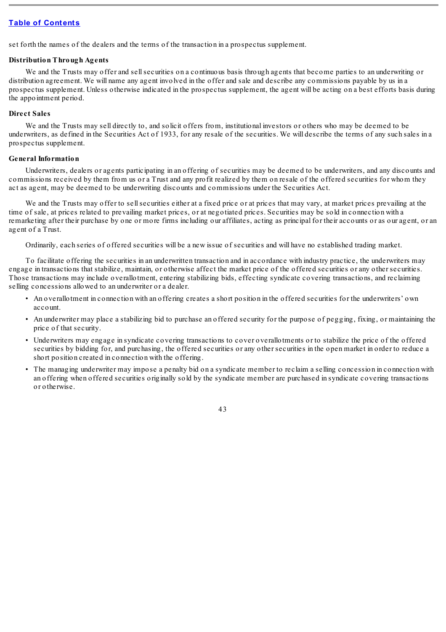set forth the names of the dealers and the terms of the transaction in a prospectus supplement.

## **Distribution Through Agents**

We and the Trusts may offer and sell securities on a continuous basis through agents that become parties to an underwriting or distribution agreement. We will name any agent involved in the offer and sale and describe any commissions payable by us in a prospectus supplement. Unless otherwise indicated in the prospectus supplement, the agent will be acting on a best efforts basis during the appointment period.

## **Direct Sales**

We and the Trusts may sell directly to, and solicit offers from, institutional investors or others who may be deemed to be underwriters, as defined in the Securities Act of 1933, for any resale of the securities. We will describe the terms of any such sales in a prospectus supplement.

## **General Information**

Underwriters, dealers or agents participating in an offering of securities may be deemed to be underwriters, and any discounts and commissions received by them from us or a Trust and any profit realized by them on resale of the offered securities for whom they act as agent, may be deemed to be underwriting discounts and commissions under the Securities Act.

We and the Trusts may offer to sell securities either at a fixed price or at prices that may vary, at market prices prevailing at the time of sale, at prices related to prevailing market prices, or at negotiated prices. Securities may be sold in connection with a remarketing after their purchase by one or more firms including our affiliates, acting as principal for their accounts or as our agent, or an agent of a Trust.

Ordinarily, each series of offered securities will be a new issue of securities and will have no established trading market.

To facilitate offering the securities in an underwritten transaction and in accordance with industry practice, the underwriters may engage in transactions that stabilize, maintain, or otherwise affect the market price of the offered securities or any other securities. Those transactions may include overallotment, entering stabilizing bids, effecting syndicate covering transactions, and reclaiming selling concessions allowed to an underwriter or a dealer.

- An overallotment in connection with an offering creates a short position in the offered securities for the underwriters' own account.
- An underwriter may place a stabilizing bid to purchase an offered security for the purpose of pegging, fixing, or maintaining the price of that security.
- Underwriters may engage in syndicate covering transactions to cover overallotments or to stabilize the price of the offered securities by bidding for, and purchasing, the offered securities or any other securities in the open market in order to reduce a short position created in connection with the offering.
- The managing underwriter may impose a penalty bid on a syndicate member to reclaim a selling concession in connection with an offering when offered securities originally sold by the syndicate member are purchased in syndicate covering transactions or otherwise.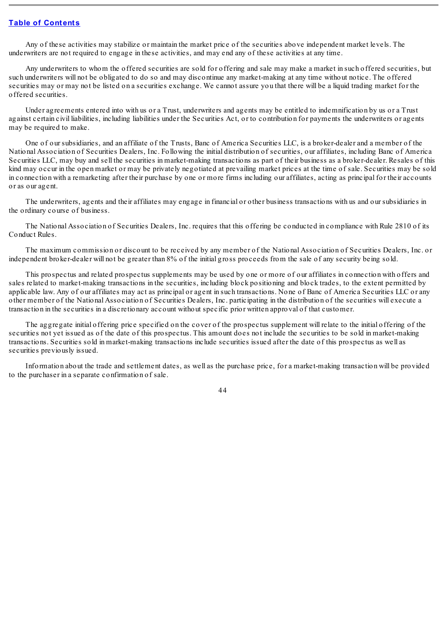Any of these activities may stabilize or maintain the market price of the securities above independent market levels. The underwriters are not required to engage in these activities, and may end any of these activities at any time.

Any underwriters to whom the offered securities are sold for offering and sale may make a market in such offered securities, but such underwriters will not be obligated to do so and may discontinue any market-making at any time without notice. The offered securities may or may not be listed on a securities exchange. We cannot assure you that there will be a liquid trading market for the offered securities.

Under agreements entered into with us or a Trust, underwriters and agents may be entitled to indemnification by us or a Trust against certain civil liabilities, including liabilities under the Securities Act, or to contribution for payments the underwriters or agents may be required to make.

One of our subsidiaries, and an affiliate of the Trusts, Banc of America Securities LLC, is a broker-dealer and a member of the National Association of Securities Dealers, Inc. Following the initial distribution of securities, our affiliates, including Banc of America Securities LLC, may buy and sell the securities in market-making transactions as part of their business as a broker-dealer. Resales of this kind may occur in the open market or may be privately negotiated at prevailing market prices at the time of sale. Securities may be sold in connection with a remarketing after their purchase by one or more firms including our affiliates, acting as principal for their accounts or as our agent.

The underwriters, agents and their affiliates may engage in financial or other business transactions with us and our subsidiaries in the ordinary course of business.

The National Association of Securities Dealers, Inc. requires that this offering be conducted in compliance with Rule 2810 of its Conduct Rules.

The maximum commission or discount to be received by any member of the National Association of Securities Dealers, Inc. or independent broker-dealer will not be greater than 8% of the initial gross proceeds from the sale of any security being sold.

This prospectus and related prospectus supplements may be used by one or more of our affiliates in connection with offers and sales related to market-making transactions in the securities, including block positioning and block trades, to the extent permitted by applicable law. Any of our affiliates may act as principal or agent in such transactions. None of Banc of America Securities LLC or any other member of the National Association of Securities Dealers, Inc. participating in the distribution of the securities will execute a transaction in the securities in a discretionary account without specific prior written approval of that customer.

The aggregate initial offering price specified on the cover of the prospectus supplement will relate to the initial offering of the securities not yet issued as of the date of this prospectus. This amount does not include the securities to be sold in market-making transactions. Securities sold in market-making transactions include securities issued after the date of this prospectus as well as securities previously issued.

Information about the trade and settlement dates, as well as the purchase price, for a market-making transaction will be provided to the purchaser in a separate confirmation of sale.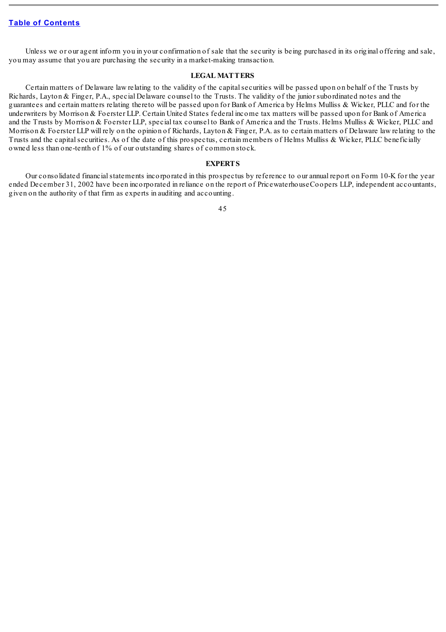Unless we or our agent inform you in your confirmation of sale that the security is being purchased in its original offering and sale, you may assume that you are purchasing the security in a market-making transaction.

### **LEGAL MATTERS**

Certain matters of Delaware law relating to the validity of the capitalsecurities will be passed upon on behalf of the Trusts by Richards, Layton & Finger, P.A., special Delaware counsel to the Trusts. The validity of the junior subordinated notes and the guarantees and certain matters relating thereto will be passed upon for Bank of America by Helms Mulliss & Wicker, PLLC and for the underwriters by Morrison & Foerster LLP. Certain United States federal income tax matters will be passed upon for Bank of America and the Trusts by Morrison & Foerster LLP, special tax counsel to Bank of America and the Trusts. Helms Mulliss & Wicker, PLLC and Morrison & Foerster LLP will rely on the opinion of Richards, Layton & Finger, P.A. as to certain matters of Delaware law relating to the Trusts and the capitalsecurities. As of the date of this prospectus, certain members of Helms Mulliss & Wicker, PLLC beneficially owned less than one-tenth of 1% of our outstanding shares of common stock.

### **EXPERTS**

Our consolidated financial statements incorporated in this prospectus by reference to our annual report on Form 10-K for the year ended December 31, 2002 have been incorporated in reliance on the report of PricewaterhouseCoopers LLP, independent accountants, given on the authority of that firm as experts in auditing and accounting.